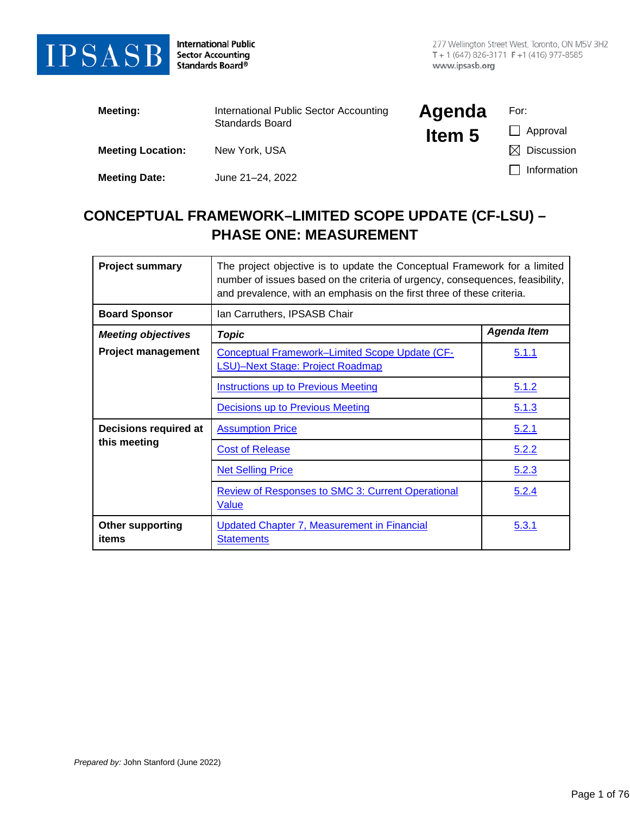

**International Public** Sector Accounting<br>Standards Board®

| Meeting:                 | International Public Sector Accounting<br>Standards Board | Agenda | For:                   |
|--------------------------|-----------------------------------------------------------|--------|------------------------|
|                          |                                                           | Item 5 | Approval               |
| <b>Meeting Location:</b> | New York, USA                                             |        | <b>Discussion</b><br>M |
| <b>Meeting Date:</b>     | June 21-24, 2022                                          |        | Information            |

# **CONCEPTUAL FRAMEWORK–LIMITED SCOPE UPDATE (CF-LSU) – PHASE ONE: MEASUREMENT**

| <b>Project summary</b>           | The project objective is to update the Conceptual Framework for a limited<br>number of issues based on the criteria of urgency, consequences, feasibility,<br>and prevalence, with an emphasis on the first three of these criteria. |                    |  |
|----------------------------------|--------------------------------------------------------------------------------------------------------------------------------------------------------------------------------------------------------------------------------------|--------------------|--|
| <b>Board Sponsor</b>             | Ian Carruthers, IPSASB Chair                                                                                                                                                                                                         |                    |  |
| <b>Meeting objectives</b>        | <b>Topic</b>                                                                                                                                                                                                                         | <b>Agenda Item</b> |  |
| <b>Project management</b>        | <b>Conceptual Framework-Limited Scope Update (CF-</b><br><b>LSU)-Next Stage: Project Roadmap</b>                                                                                                                                     | 5.1.1              |  |
|                                  | <b>Instructions up to Previous Meeting</b>                                                                                                                                                                                           | 5.1.2              |  |
|                                  | <b>Decisions up to Previous Meeting</b>                                                                                                                                                                                              | 5.1.3              |  |
| Decisions required at            | <b>Assumption Price</b>                                                                                                                                                                                                              | 5.2.1              |  |
| this meeting                     | <b>Cost of Release</b>                                                                                                                                                                                                               | 5.2.2              |  |
|                                  | <b>Net Selling Price</b>                                                                                                                                                                                                             | 5.2.3              |  |
|                                  | <b>Review of Responses to SMC 3: Current Operational</b><br>Value                                                                                                                                                                    | 5.2.4              |  |
| <b>Other supporting</b><br>items | <b>Updated Chapter 7, Measurement in Financial</b><br><b>Statements</b>                                                                                                                                                              | 5.3.1              |  |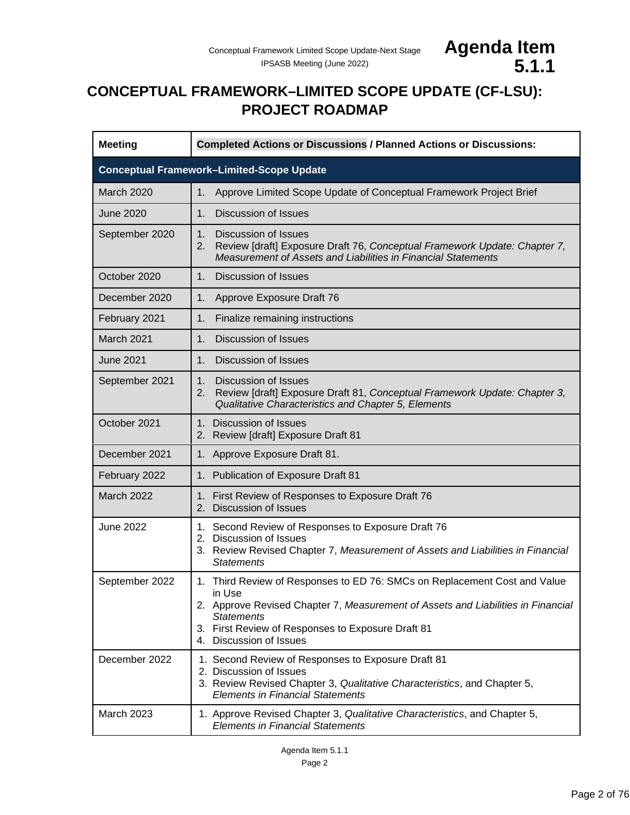

# <span id="page-1-0"></span>**CONCEPTUAL FRAMEWORK–LIMITED SCOPE UPDATE (CF-LSU): PROJECT ROADMAP**

| <b>Meeting</b>                                   | <b>Completed Actions or Discussions / Planned Actions or Discussions:</b>                                                                                                                                                                                                    |  |  |
|--------------------------------------------------|------------------------------------------------------------------------------------------------------------------------------------------------------------------------------------------------------------------------------------------------------------------------------|--|--|
| <b>Conceptual Framework-Limited-Scope Update</b> |                                                                                                                                                                                                                                                                              |  |  |
| March 2020                                       | Approve Limited Scope Update of Conceptual Framework Project Brief<br>1.                                                                                                                                                                                                     |  |  |
| <b>June 2020</b>                                 | 1.<br><b>Discussion of Issues</b>                                                                                                                                                                                                                                            |  |  |
| September 2020                                   | 1.<br><b>Discussion of Issues</b><br>Review [draft] Exposure Draft 76, Conceptual Framework Update: Chapter 7,<br>2.<br>Measurement of Assets and Liabilities in Financial Statements                                                                                        |  |  |
| October 2020                                     | 1.<br><b>Discussion of Issues</b>                                                                                                                                                                                                                                            |  |  |
| December 2020                                    | 1.<br>Approve Exposure Draft 76                                                                                                                                                                                                                                              |  |  |
| February 2021                                    | 1.<br>Finalize remaining instructions                                                                                                                                                                                                                                        |  |  |
| March 2021                                       | <b>Discussion of Issues</b><br>1.                                                                                                                                                                                                                                            |  |  |
| <b>June 2021</b>                                 | <b>Discussion of Issues</b><br>1.                                                                                                                                                                                                                                            |  |  |
| September 2021                                   | <b>Discussion of Issues</b><br>1.<br>Review [draft] Exposure Draft 81, Conceptual Framework Update: Chapter 3,<br>2.<br>Qualitative Characteristics and Chapter 5, Elements                                                                                                  |  |  |
| October 2021                                     | 1. Discussion of Issues<br>2. Review [draft] Exposure Draft 81                                                                                                                                                                                                               |  |  |
| December 2021                                    | 1. Approve Exposure Draft 81.                                                                                                                                                                                                                                                |  |  |
| February 2022                                    | 1. Publication of Exposure Draft 81                                                                                                                                                                                                                                          |  |  |
| March 2022                                       | 1. First Review of Responses to Exposure Draft 76<br>2. Discussion of Issues                                                                                                                                                                                                 |  |  |
| <b>June 2022</b>                                 | 1. Second Review of Responses to Exposure Draft 76<br>2. Discussion of Issues<br>3. Review Revised Chapter 7, Measurement of Assets and Liabilities in Financial<br><b>Statements</b>                                                                                        |  |  |
| September 2022                                   | 1. Third Review of Responses to ED 76: SMCs on Replacement Cost and Value<br>in Use<br>2. Approve Revised Chapter 7, Measurement of Assets and Liabilities in Financial<br><b>Statements</b><br>3. First Review of Responses to Exposure Draft 81<br>4. Discussion of Issues |  |  |
| December 2022                                    | 1. Second Review of Responses to Exposure Draft 81<br>2. Discussion of Issues<br>3. Review Revised Chapter 3, Qualitative Characteristics, and Chapter 5,<br><b>Elements in Financial Statements</b>                                                                         |  |  |
| March 2023                                       | 1. Approve Revised Chapter 3, Qualitative Characteristics, and Chapter 5,<br><b>Elements in Financial Statements</b>                                                                                                                                                         |  |  |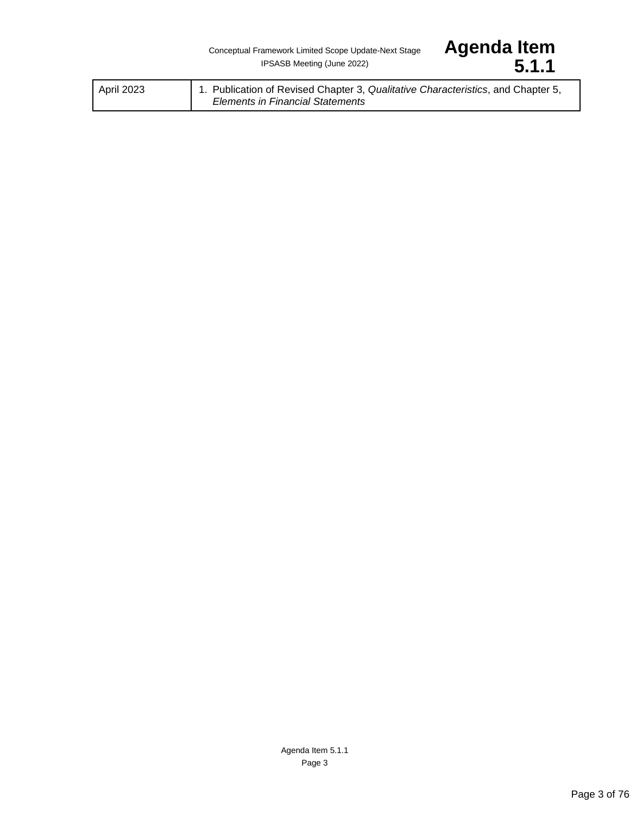| 1. Publication of Revised Chapter 3, Qualitative Characteristics, and Chapter 5,<br>April 2023<br><b>Elements in Financial Statements</b> |  |
|-------------------------------------------------------------------------------------------------------------------------------------------|--|
|-------------------------------------------------------------------------------------------------------------------------------------------|--|

Agenda Item<br>5.1.1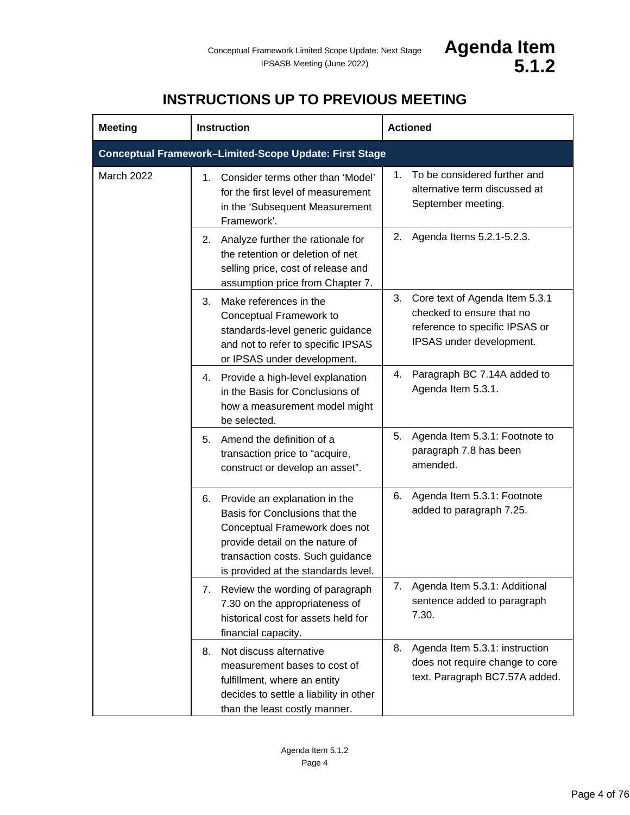# **INSTRUCTIONS UP TO PREVIOUS MEETING**

<span id="page-3-0"></span>

| <b>Meeting</b>                                                | <b>Instruction</b>                                                                                                                                                                                                   | <b>Actioned</b>                                                                                                                 |  |  |
|---------------------------------------------------------------|----------------------------------------------------------------------------------------------------------------------------------------------------------------------------------------------------------------------|---------------------------------------------------------------------------------------------------------------------------------|--|--|
| <b>Conceptual Framework-Limited-Scope Update: First Stage</b> |                                                                                                                                                                                                                      |                                                                                                                                 |  |  |
| March 2022                                                    | Consider terms other than 'Model'<br>1.<br>for the first level of measurement<br>in the 'Subsequent Measurement<br>Framework'.                                                                                       | To be considered further and<br>1.<br>alternative term discussed at<br>September meeting.                                       |  |  |
|                                                               | Analyze further the rationale for<br>2.<br>the retention or deletion of net<br>selling price, cost of release and<br>assumption price from Chapter 7.                                                                | Agenda Items 5.2.1-5.2.3.<br>2.                                                                                                 |  |  |
|                                                               | Make references in the<br>3.<br>Conceptual Framework to<br>standards-level generic guidance<br>and not to refer to specific IPSAS<br>or IPSAS under development.                                                     | Core text of Agenda Item 5.3.1<br>3.<br>checked to ensure that no<br>reference to specific IPSAS or<br>IPSAS under development. |  |  |
|                                                               | Provide a high-level explanation<br>4.<br>in the Basis for Conclusions of<br>how a measurement model might<br>be selected.                                                                                           | Paragraph BC 7.14A added to<br>4.<br>Agenda Item 5.3.1.                                                                         |  |  |
|                                                               | Amend the definition of a<br>5.<br>transaction price to "acquire,<br>construct or develop an asset".                                                                                                                 | Agenda Item 5.3.1: Footnote to<br>5.<br>paragraph 7.8 has been<br>amended.                                                      |  |  |
|                                                               | Provide an explanation in the<br>6.<br>Basis for Conclusions that the<br>Conceptual Framework does not<br>provide detail on the nature of<br>transaction costs. Such guidance<br>is provided at the standards level. | Agenda Item 5.3.1: Footnote<br>6.<br>added to paragraph 7.25.                                                                   |  |  |
|                                                               | Review the wording of paragraph<br>7.<br>7.30 on the appropriateness of<br>historical cost for assets held for<br>financial capacity.                                                                                | Agenda Item 5.3.1: Additional<br>7.<br>sentence added to paragraph<br>7.30.                                                     |  |  |
|                                                               | Not discuss alternative<br>8.<br>measurement bases to cost of<br>fulfillment, where an entity<br>decides to settle a liability in other<br>than the least costly manner.                                             | Agenda Item 5.3.1: instruction<br>8.<br>does not require change to core<br>text. Paragraph BC7.57A added.                       |  |  |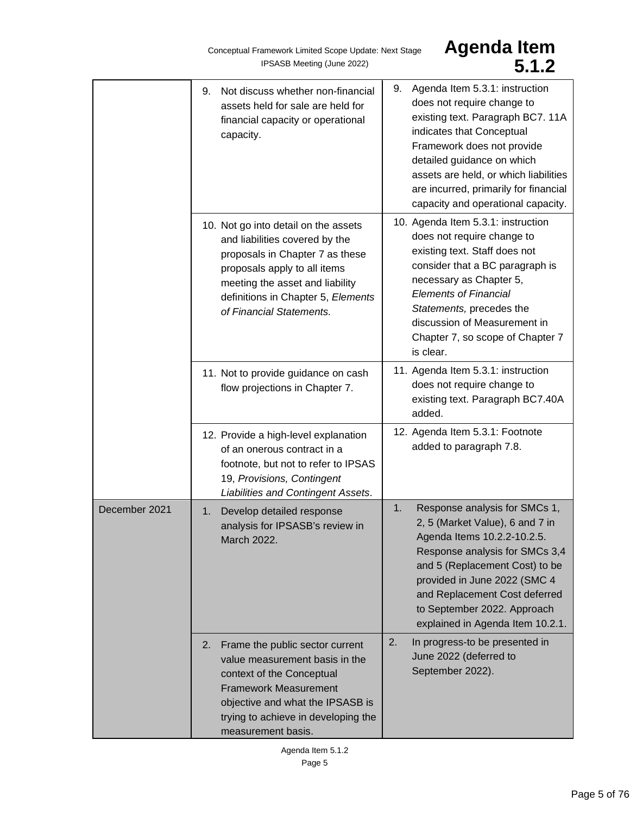Conceptual Framework Limited Scope Update: Next Stage<br>**IPSASB Meeting (June 2022)** 

# Agenda Item<br>5.1.2

|               | Not discuss whether non-financial<br>9.<br>assets held for sale are held for<br>financial capacity or operational<br>capacity.                                                                                                                 | 9. Agenda Item 5.3.1: instruction<br>does not require change to<br>existing text. Paragraph BC7. 11A<br>indicates that Conceptual<br>Framework does not provide<br>detailed guidance on which<br>assets are held, or which liabilities<br>are incurred, primarily for financial<br>capacity and operational capacity. |
|---------------|------------------------------------------------------------------------------------------------------------------------------------------------------------------------------------------------------------------------------------------------|-----------------------------------------------------------------------------------------------------------------------------------------------------------------------------------------------------------------------------------------------------------------------------------------------------------------------|
|               | 10. Not go into detail on the assets<br>and liabilities covered by the<br>proposals in Chapter 7 as these<br>proposals apply to all items<br>meeting the asset and liability<br>definitions in Chapter 5, Elements<br>of Financial Statements. | 10. Agenda Item 5.3.1: instruction<br>does not require change to<br>existing text. Staff does not<br>consider that a BC paragraph is<br>necessary as Chapter 5,<br><b>Elements of Financial</b><br>Statements, precedes the<br>discussion of Measurement in<br>Chapter 7, so scope of Chapter 7<br>is clear.          |
|               | 11. Not to provide guidance on cash<br>flow projections in Chapter 7.                                                                                                                                                                          | 11. Agenda Item 5.3.1: instruction<br>does not require change to<br>existing text. Paragraph BC7.40A<br>added.                                                                                                                                                                                                        |
|               | 12. Provide a high-level explanation<br>of an onerous contract in a<br>footnote, but not to refer to IPSAS<br>19, Provisions, Contingent<br>Liabilities and Contingent Assets.                                                                 | 12. Agenda Item 5.3.1: Footnote<br>added to paragraph 7.8.                                                                                                                                                                                                                                                            |
| December 2021 | Develop detailed response<br>1.<br>analysis for IPSASB's review in<br>March 2022.                                                                                                                                                              | Response analysis for SMCs 1,<br>1.<br>2, 5 (Market Value), 6 and 7 in<br>Agenda Items 10.2.2-10.2.5<br>Response analysis for SMCs 3,4<br>and 5 (Replacement Cost) to be<br>provided in June 2022 (SMC 4<br>and Replacement Cost deferred<br>to September 2022. Approach<br>explained in Agenda Item 10.2.1.          |
|               | 2.<br>Frame the public sector current<br>value measurement basis in the<br>context of the Conceptual<br><b>Framework Measurement</b><br>objective and what the IPSASB is<br>trying to achieve in developing the<br>measurement basis.          | 2.<br>In progress-to be presented in<br>June 2022 (deferred to<br>September 2022).                                                                                                                                                                                                                                    |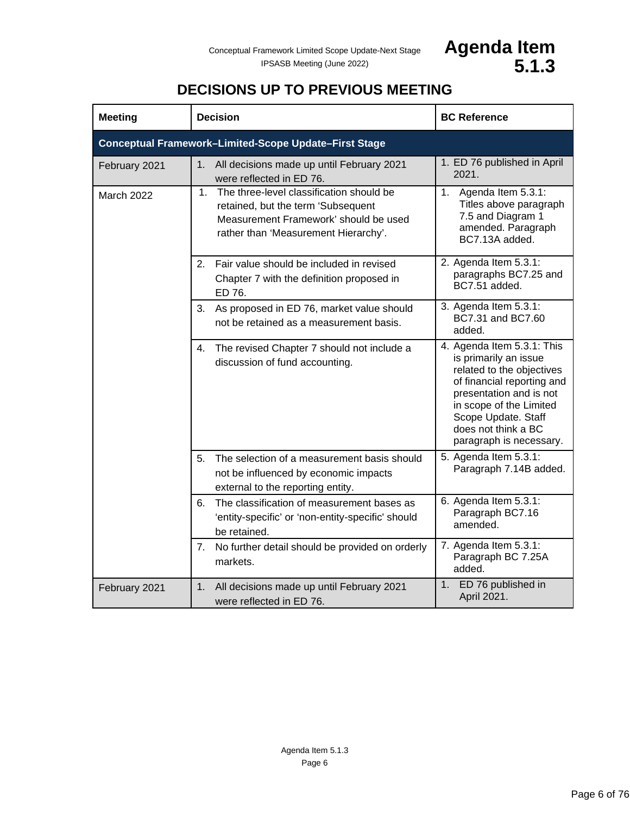

# **DECISIONS UP TO PREVIOUS MEETING**

<span id="page-5-0"></span>

| <b>Meeting</b> | <b>Decision</b>                                                                                                                                                    | <b>BC Reference</b>                                                                                                                                                                                                                           |  |  |
|----------------|--------------------------------------------------------------------------------------------------------------------------------------------------------------------|-----------------------------------------------------------------------------------------------------------------------------------------------------------------------------------------------------------------------------------------------|--|--|
|                | <b>Conceptual Framework-Limited-Scope Update-First Stage</b>                                                                                                       |                                                                                                                                                                                                                                               |  |  |
| February 2021  | All decisions made up until February 2021<br>1.<br>were reflected in ED 76.                                                                                        | 1. ED 76 published in April<br>2021.                                                                                                                                                                                                          |  |  |
| March 2022     | 1. The three-level classification should be<br>retained, but the term 'Subsequent<br>Measurement Framework' should be used<br>rather than 'Measurement Hierarchy'. | 1. Agenda Item 5.3.1:<br>Titles above paragraph<br>7.5 and Diagram 1<br>amended. Paragraph<br>BC7.13A added.                                                                                                                                  |  |  |
|                | 2. Fair value should be included in revised<br>Chapter 7 with the definition proposed in<br>ED 76.                                                                 | 2. Agenda Item 5.3.1:<br>paragraphs BC7.25 and<br>BC7.51 added.                                                                                                                                                                               |  |  |
|                | As proposed in ED 76, market value should<br>3.<br>not be retained as a measurement basis.                                                                         | 3. Agenda Item 5.3.1:<br>BC7.31 and BC7.60<br>added.                                                                                                                                                                                          |  |  |
|                | 4.<br>The revised Chapter 7 should not include a<br>discussion of fund accounting.                                                                                 | 4. Agenda Item 5.3.1: This<br>is primarily an issue<br>related to the objectives<br>of financial reporting and<br>presentation and is not<br>in scope of the Limited<br>Scope Update. Staff<br>does not think a BC<br>paragraph is necessary. |  |  |
|                | The selection of a measurement basis should<br>5.<br>not be influenced by economic impacts<br>external to the reporting entity.                                    | 5. Agenda Item 5.3.1:<br>Paragraph 7.14B added.                                                                                                                                                                                               |  |  |
|                | 6.<br>The classification of measurement bases as<br>'entity-specific' or 'non-entity-specific' should<br>be retained.                                              | 6. Agenda Item 5.3.1:<br>Paragraph BC7.16<br>amended.                                                                                                                                                                                         |  |  |
|                | 7. No further detail should be provided on orderly<br>markets.                                                                                                     | 7. Agenda Item 5.3.1:<br>Paragraph BC 7.25A<br>added.                                                                                                                                                                                         |  |  |
| February 2021  | 1. All decisions made up until February 2021<br>were reflected in ED 76.                                                                                           | 1. ED 76 published in<br>April 2021.                                                                                                                                                                                                          |  |  |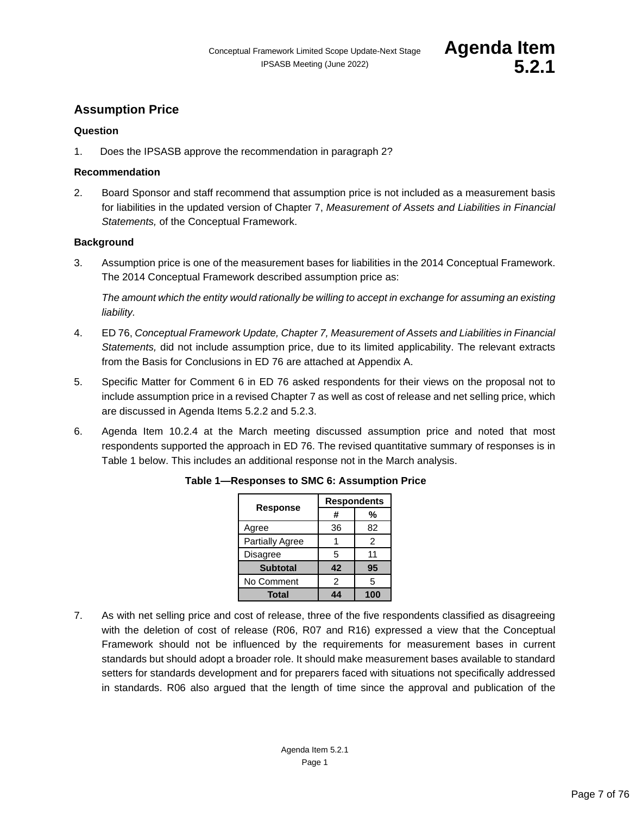

# <span id="page-6-0"></span>**Assumption Price**

# **Question**

1. Does the IPSASB approve the recommendation in paragraph 2?

# **Recommendation**

2. Board Sponsor and staff recommend that assumption price is not included as a measurement basis for liabilities in the updated version of Chapter 7, *Measurement of Assets and Liabilities in Financial Statements,* of the Conceptual Framework.

# **Background**

3. Assumption price is one of the measurement bases for liabilities in the 2014 Conceptual Framework. The 2014 Conceptual Framework described assumption price as:

*The amount which the entity would rationally be willing to accept in exchange for assuming an existing liability.*

- 4. ED 76, *Conceptual Framework Update, Chapter 7, Measurement of Assets and Liabilities in Financial Statements,* did not include assumption price, due to its limited applicability. The relevant extracts from the Basis for Conclusions in ED 76 are attached at Appendix A.
- 5. Specific Matter for Comment 6 in ED 76 asked respondents for their views on the proposal not to include assumption price in a revised Chapter 7 as well as cost of release and net selling price, which are discussed in Agenda Items 5.2.2 and 5.2.3.
- 6. Agenda Item 10.2.4 at the March meeting discussed assumption price and noted that most respondents supported the approach in ED 76. The revised quantitative summary of responses is in Table 1 below. This includes an additional response not in the March analysis.

|                        | <b>Respondents</b> |     |
|------------------------|--------------------|-----|
| <b>Response</b>        | #                  | %   |
| Agree                  | 36                 | 82  |
| <b>Partially Agree</b> |                    | 2   |
| Disagree               | 5                  | 11  |
| <b>Subtotal</b>        | 42                 | 95  |
| No Comment             | $\mathfrak{p}$     | 5   |
| Total                  | A /                | 100 |

# **Table 1—Responses to SMC 6: Assumption Price**

7. As with net selling price and cost of release, three of the five respondents classified as disagreeing with the deletion of cost of release (R06, R07 and R16) expressed a view that the Conceptual Framework should not be influenced by the requirements for measurement bases in current standards but should adopt a broader role. It should make measurement bases available to standard setters for standards development and for preparers faced with situations not specifically addressed in standards. R06 also argued that the length of time since the approval and publication of the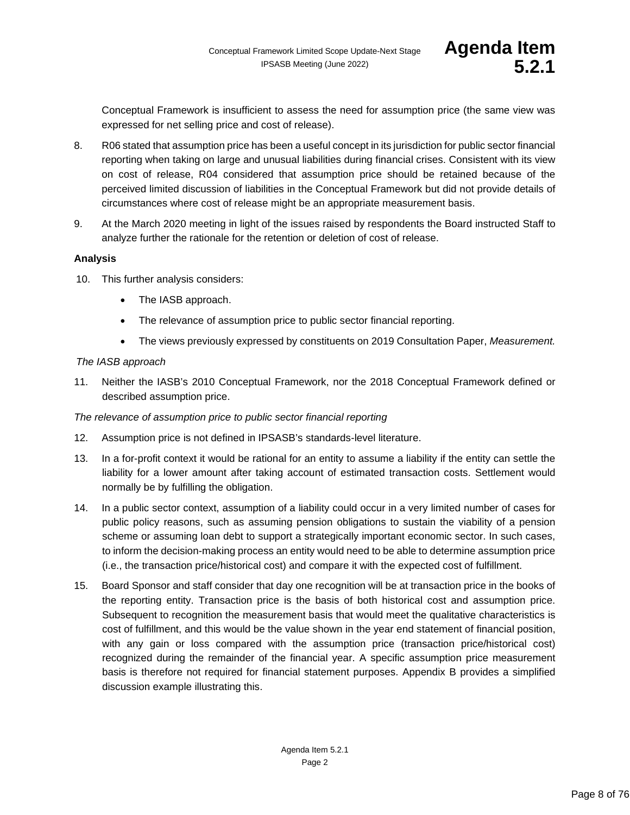Conceptual Framework is insufficient to assess the need for assumption price (the same view was expressed for net selling price and cost of release).

- 8. R06 stated that assumption price has been a useful concept in its jurisdiction for public sector financial reporting when taking on large and unusual liabilities during financial crises. Consistent with its view on cost of release, R04 considered that assumption price should be retained because of the perceived limited discussion of liabilities in the Conceptual Framework but did not provide details of circumstances where cost of release might be an appropriate measurement basis.
- 9. At the March 2020 meeting in light of the issues raised by respondents the Board instructed Staff to analyze further the rationale for the retention or deletion of cost of release.

# **Analysis**

- 10. This further analysis considers:
	- The IASB approach.
	- The relevance of assumption price to public sector financial reporting.
	- The views previously expressed by constituents on 2019 Consultation Paper, *Measurement.*

#### *The IASB approach*

11. Neither the IASB's 2010 Conceptual Framework, nor the 2018 Conceptual Framework defined or described assumption price.

#### *The relevance of assumption price to public sector financial reporting*

- 12. Assumption price is not defined in IPSASB's standards-level literature.
- 13. In a for-profit context it would be rational for an entity to assume a liability if the entity can settle the liability for a lower amount after taking account of estimated transaction costs. Settlement would normally be by fulfilling the obligation.
- 14. In a public sector context, assumption of a liability could occur in a very limited number of cases for public policy reasons, such as assuming pension obligations to sustain the viability of a pension scheme or assuming loan debt to support a strategically important economic sector. In such cases, to inform the decision-making process an entity would need to be able to determine assumption price (i.e., the transaction price/historical cost) and compare it with the expected cost of fulfillment.
- 15. Board Sponsor and staff consider that day one recognition will be at transaction price in the books of the reporting entity. Transaction price is the basis of both historical cost and assumption price. Subsequent to recognition the measurement basis that would meet the qualitative characteristics is cost of fulfillment, and this would be the value shown in the year end statement of financial position, with any gain or loss compared with the assumption price (transaction price/historical cost) recognized during the remainder of the financial year. A specific assumption price measurement basis is therefore not required for financial statement purposes. Appendix B provides a simplified discussion example illustrating this.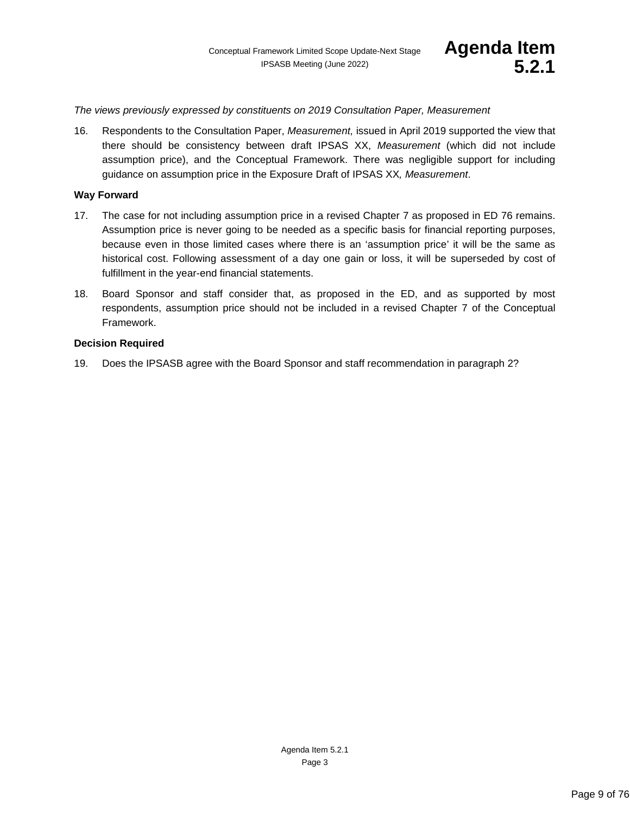*The views previously expressed by constituents on 2019 Consultation Paper, Measurement*

16. Respondents to the Consultation Paper, *Measurement,* issued in April 2019 supported the view that there should be consistency between draft IPSAS XX, *Measurement* (which did not include assumption price), and the Conceptual Framework. There was negligible support for including guidance on assumption price in the Exposure Draft of IPSAS XX*, Measurement*.

#### **Way Forward**

- 17. The case for not including assumption price in a revised Chapter 7 as proposed in ED 76 remains. Assumption price is never going to be needed as a specific basis for financial reporting purposes, because even in those limited cases where there is an 'assumption price' it will be the same as historical cost. Following assessment of a day one gain or loss, it will be superseded by cost of fulfillment in the year-end financial statements.
- 18. Board Sponsor and staff consider that, as proposed in the ED, and as supported by most respondents, assumption price should not be included in a revised Chapter 7 of the Conceptual Framework.

#### **Decision Required**

19. Does the IPSASB agree with the Board Sponsor and staff recommendation in paragraph 2?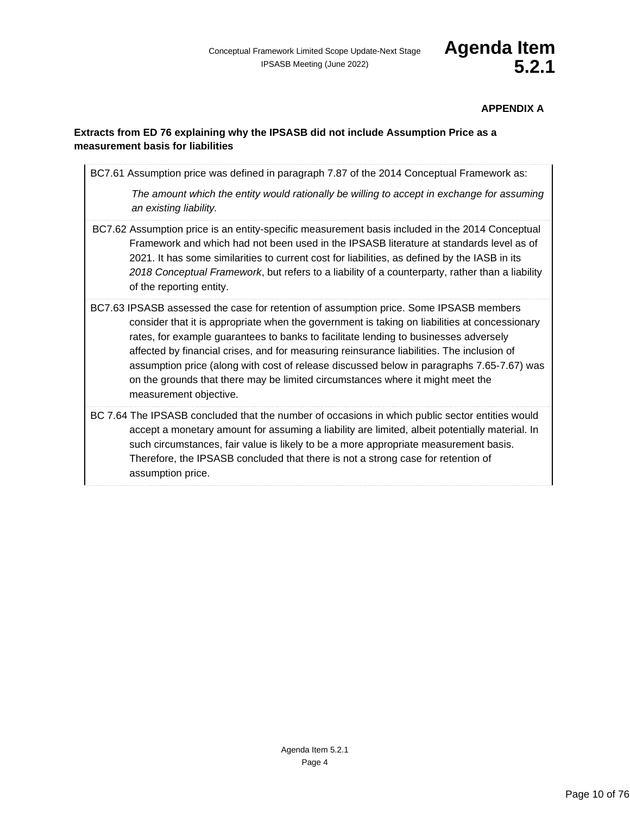# **APPENDIX A**

# **Extracts from ED 76 explaining why the IPSASB did not include Assumption Price as a measurement basis for liabilities**

BC7.61 Assumption price was defined in paragraph 7.87 of the 2014 Conceptual Framework as: *The amount which the entity would rationally be willing to accept in exchange for assuming an existing liability.* BC7.62 Assumption price is an entity-specific measurement basis included in the 2014 Conceptual Framework and which had not been used in the IPSASB literature at standards level as of 2021. It has some similarities to current cost for liabilities, as defined by the IASB in its *2018 Conceptual Framework*, but refers to a liability of a counterparty, rather than a liability of the reporting entity. BC7.63 IPSASB assessed the case for retention of assumption price. Some IPSASB members consider that it is appropriate when the government is taking on liabilities at concessionary rates, for example guarantees to banks to facilitate lending to businesses adversely affected by financial crises, and for measuring reinsurance liabilities. The inclusion of assumption price (along with cost of release discussed below in paragraphs 7.65-7.67) was on the grounds that there may be limited circumstances where it might meet the measurement objective.

BC 7.64 The IPSASB concluded that the number of occasions in which public sector entities would accept a monetary amount for assuming a liability are limited, albeit potentially material. In such circumstances, fair value is likely to be a more appropriate measurement basis. Therefore, the IPSASB concluded that there is not a strong case for retention of assumption price.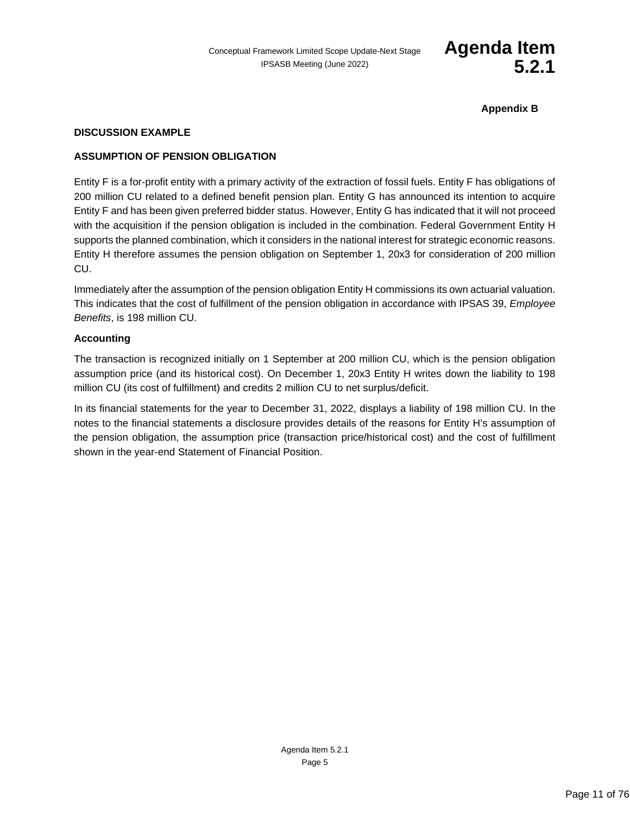

**Appendix B**

### **DISCUSSION EXAMPLE**

#### **ASSUMPTION OF PENSION OBLIGATION**

Entity F is a for-profit entity with a primary activity of the extraction of fossil fuels. Entity F has obligations of 200 million CU related to a defined benefit pension plan. Entity G has announced its intention to acquire Entity F and has been given preferred bidder status. However, Entity G has indicated that it will not proceed with the acquisition if the pension obligation is included in the combination. Federal Government Entity H supports the planned combination, which it considers in the national interest for strategic economic reasons. Entity H therefore assumes the pension obligation on September 1, 20x3 for consideration of 200 million CU.

Immediately after the assumption of the pension obligation Entity H commissions its own actuarial valuation. This indicates that the cost of fulfillment of the pension obligation in accordance with IPSAS 39, *Employee Benefits*, is 198 million CU.

#### **Accounting**

The transaction is recognized initially on 1 September at 200 million CU, which is the pension obligation assumption price (and its historical cost). On December 1, 20x3 Entity H writes down the liability to 198 million CU (its cost of fulfillment) and credits 2 million CU to net surplus/deficit.

In its financial statements for the year to December 31, 2022, displays a liability of 198 million CU. In the notes to the financial statements a disclosure provides details of the reasons for Entity H's assumption of the pension obligation, the assumption price (transaction price/historical cost) and the cost of fulfillment shown in the year-end Statement of Financial Position.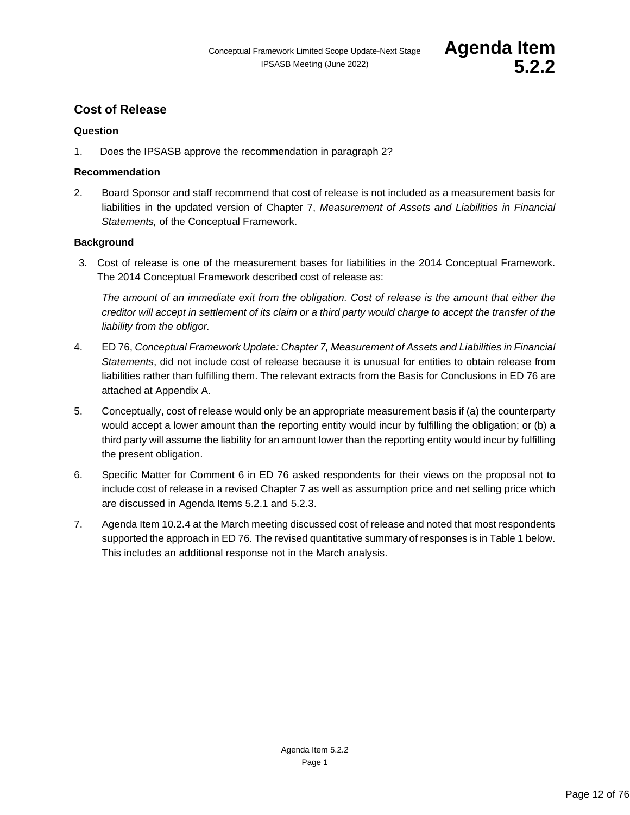# <span id="page-11-0"></span>**Cost of Release**

# **Question**

1. Does the IPSASB approve the recommendation in paragraph 2?

# **Recommendation**

2. Board Sponsor and staff recommend that cost of release is not included as a measurement basis for liabilities in the updated version of Chapter 7, *Measurement of Assets and Liabilities in Financial Statements,* of the Conceptual Framework.

# **Background**

3. Cost of release is one of the measurement bases for liabilities in the 2014 Conceptual Framework. The 2014 Conceptual Framework described cost of release as:

*The amount of an immediate exit from the obligation. Cost of release is the amount that either the creditor will accept in settlement of its claim or a third party would charge to accept the transfer of the liability from the obligor.*

- 4. ED 76, *Conceptual Framework Update: Chapter 7, Measurement of Assets and Liabilities in Financial Statements*, did not include cost of release because it is unusual for entities to obtain release from liabilities rather than fulfilling them. The relevant extracts from the Basis for Conclusions in ED 76 are attached at Appendix A.
- 5. Conceptually, cost of release would only be an appropriate measurement basis if (a) the counterparty would accept a lower amount than the reporting entity would incur by fulfilling the obligation; or (b) a third party will assume the liability for an amount lower than the reporting entity would incur by fulfilling the present obligation.
- 6. Specific Matter for Comment 6 in ED 76 asked respondents for their views on the proposal not to include cost of release in a revised Chapter 7 as well as assumption price and net selling price which are discussed in Agenda Items 5.2.1 and 5.2.3.
- 7. Agenda Item 10.2.4 at the March meeting discussed cost of release and noted that most respondents supported the approach in ED 76. The revised quantitative summary of responses is in Table 1 below. This includes an additional response not in the March analysis.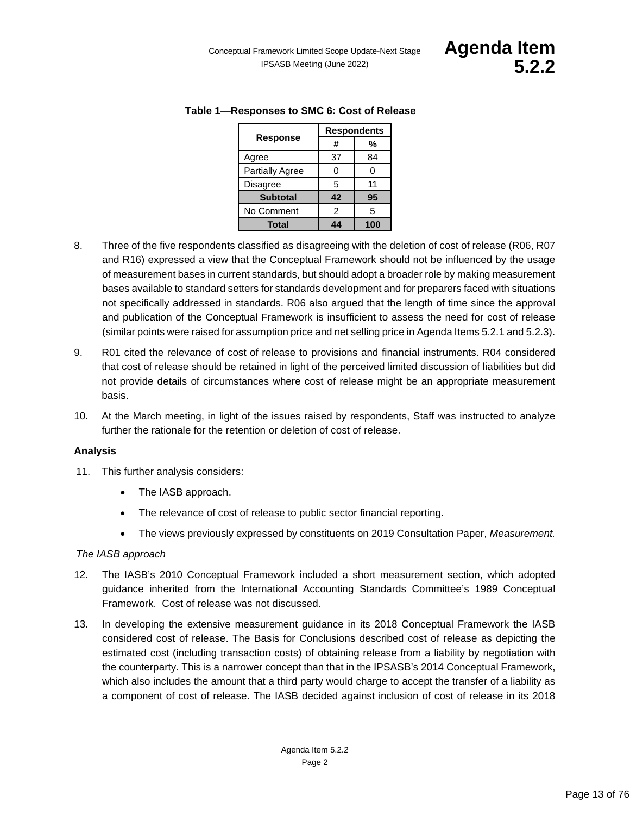|                        | <b>Respondents</b> |     |
|------------------------|--------------------|-----|
| <b>Response</b>        | #                  | %   |
| Agree                  | 37                 | 84  |
| <b>Partially Agree</b> |                    | 0   |
| <b>Disagree</b>        | 5                  | 11  |
| <b>Subtotal</b>        | 42                 | 95  |
| No Comment             | 2                  | 5   |
| Total                  | 44                 | 100 |

# **Table 1—Responses to SMC 6: Cost of Release**

- 8. Three of the five respondents classified as disagreeing with the deletion of cost of release (R06, R07 and R16) expressed a view that the Conceptual Framework should not be influenced by the usage of measurement bases in current standards, but should adopt a broader role by making measurement bases available to standard setters for standards development and for preparers faced with situations not specifically addressed in standards. R06 also argued that the length of time since the approval and publication of the Conceptual Framework is insufficient to assess the need for cost of release (similar points were raised for assumption price and net selling price in Agenda Items 5.2.1 and 5.2.3).
- 9. R01 cited the relevance of cost of release to provisions and financial instruments. R04 considered that cost of release should be retained in light of the perceived limited discussion of liabilities but did not provide details of circumstances where cost of release might be an appropriate measurement basis.
- 10. At the March meeting, in light of the issues raised by respondents, Staff was instructed to analyze further the rationale for the retention or deletion of cost of release.

# **Analysis**

- 11. This further analysis considers:
	- The IASB approach.
	- The relevance of cost of release to public sector financial reporting.
	- The views previously expressed by constituents on 2019 Consultation Paper, *Measurement.*

# *The IASB approach*

- 12. The IASB's 2010 Conceptual Framework included a short measurement section, which adopted guidance inherited from the International Accounting Standards Committee's 1989 Conceptual Framework. Cost of release was not discussed.
- 13. In developing the extensive measurement guidance in its 2018 Conceptual Framework the IASB considered cost of release. The Basis for Conclusions described cost of release as depicting the estimated cost (including transaction costs) of obtaining release from a liability by negotiation with the counterparty. This is a narrower concept than that in the IPSASB's 2014 Conceptual Framework, which also includes the amount that a third party would charge to accept the transfer of a liability as a component of cost of release. The IASB decided against inclusion of cost of release in its 2018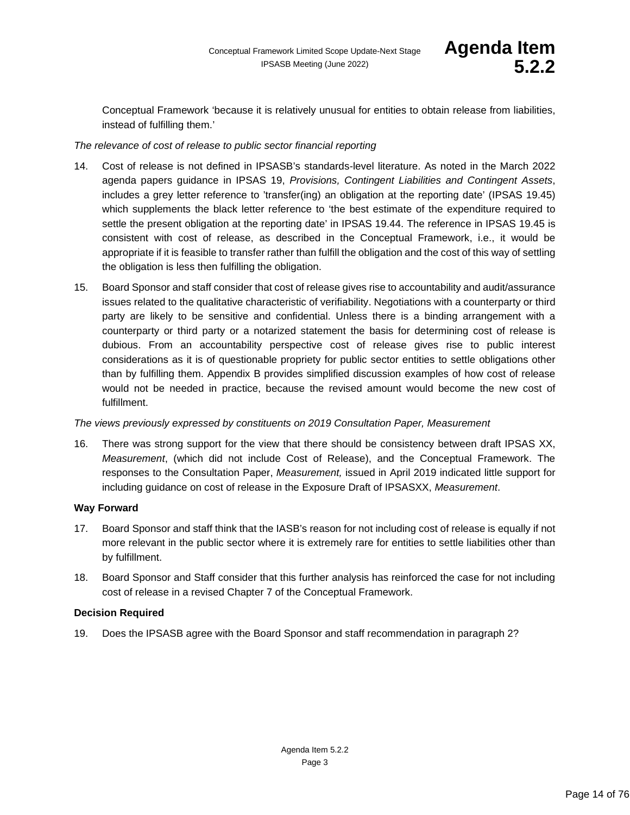Conceptual Framework 'because it is relatively unusual for entities to obtain release from liabilities, instead of fulfilling them.'

# *The relevance of cost of release to public sector financial reporting*

- 14. Cost of release is not defined in IPSASB's standards-level literature. As noted in the March 2022 agenda papers guidance in IPSAS 19, *Provisions, Contingent Liabilities and Contingent Assets*, includes a grey letter reference to 'transfer(ing) an obligation at the reporting date' (IPSAS 19.45) which supplements the black letter reference to 'the best estimate of the expenditure required to settle the present obligation at the reporting date' in IPSAS 19.44. The reference in IPSAS 19.45 is consistent with cost of release, as described in the Conceptual Framework, i.e., it would be appropriate if it is feasible to transfer rather than fulfill the obligation and the cost of this way of settling the obligation is less then fulfilling the obligation.
- 15. Board Sponsor and staff consider that cost of release gives rise to accountability and audit/assurance issues related to the qualitative characteristic of verifiability. Negotiations with a counterparty or third party are likely to be sensitive and confidential. Unless there is a binding arrangement with a counterparty or third party or a notarized statement the basis for determining cost of release is dubious. From an accountability perspective cost of release gives rise to public interest considerations as it is of questionable propriety for public sector entities to settle obligations other than by fulfilling them. Appendix B provides simplified discussion examples of how cost of release would not be needed in practice, because the revised amount would become the new cost of fulfillment.

# *The views previously expressed by constituents on 2019 Consultation Paper, Measurement*

16. There was strong support for the view that there should be consistency between draft IPSAS XX, *Measurement*, (which did not include Cost of Release), and the Conceptual Framework. The responses to the Consultation Paper, *Measurement,* issued in April 2019 indicated little support for including guidance on cost of release in the Exposure Draft of IPSASXX, *Measurement*.

# **Way Forward**

- 17. Board Sponsor and staff think that the IASB's reason for not including cost of release is equally if not more relevant in the public sector where it is extremely rare for entities to settle liabilities other than by fulfillment.
- 18. Board Sponsor and Staff consider that this further analysis has reinforced the case for not including cost of release in a revised Chapter 7 of the Conceptual Framework.

# **Decision Required**

19. Does the IPSASB agree with the Board Sponsor and staff recommendation in paragraph 2?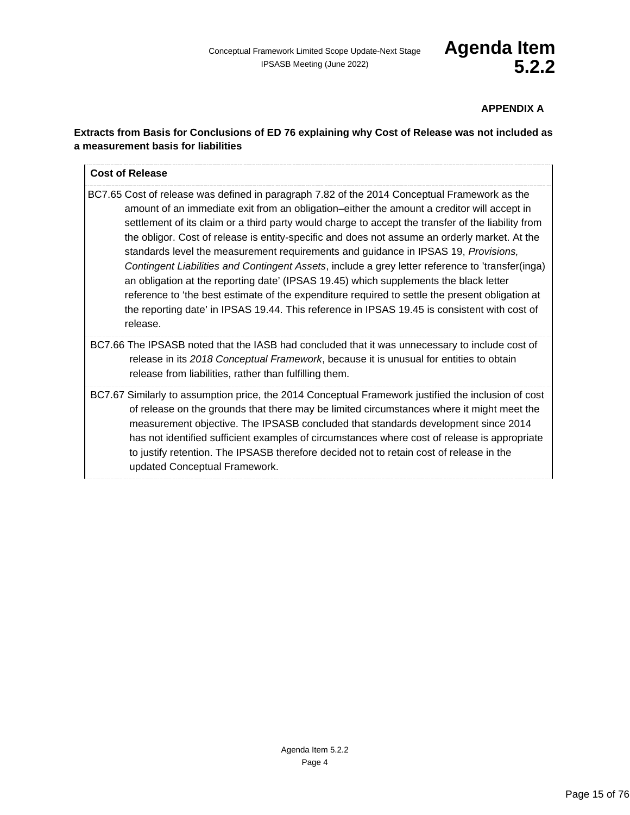# **APPENDIX A**

# **Extracts from Basis for Conclusions of ED 76 explaining why Cost of Release was not included as a measurement basis for liabilities**

# **Cost of Release**

- BC7.65 Cost of release was defined in paragraph 7.82 of the 2014 Conceptual Framework as the amount of an immediate exit from an obligation–either the amount a creditor will accept in settlement of its claim or a third party would charge to accept the transfer of the liability from the obligor. Cost of release is entity-specific and does not assume an orderly market. At the standards level the measurement requirements and guidance in IPSAS 19, *Provisions, Contingent Liabilities and Contingent Assets*, include a grey letter reference to 'transfer(inga) an obligation at the reporting date' (IPSAS 19.45) which supplements the black letter reference to 'the best estimate of the expenditure required to settle the present obligation at the reporting date' in IPSAS 19.44. This reference in IPSAS 19.45 is consistent with cost of release.
- BC7.66 The IPSASB noted that the IASB had concluded that it was unnecessary to include cost of release in its *2018 Conceptual Framework*, because it is unusual for entities to obtain release from liabilities, rather than fulfilling them.
- BC7.67 Similarly to assumption price, the 2014 Conceptual Framework justified the inclusion of cost of release on the grounds that there may be limited circumstances where it might meet the measurement objective. The IPSASB concluded that standards development since 2014 has not identified sufficient examples of circumstances where cost of release is appropriate to justify retention. The IPSASB therefore decided not to retain cost of release in the updated Conceptual Framework.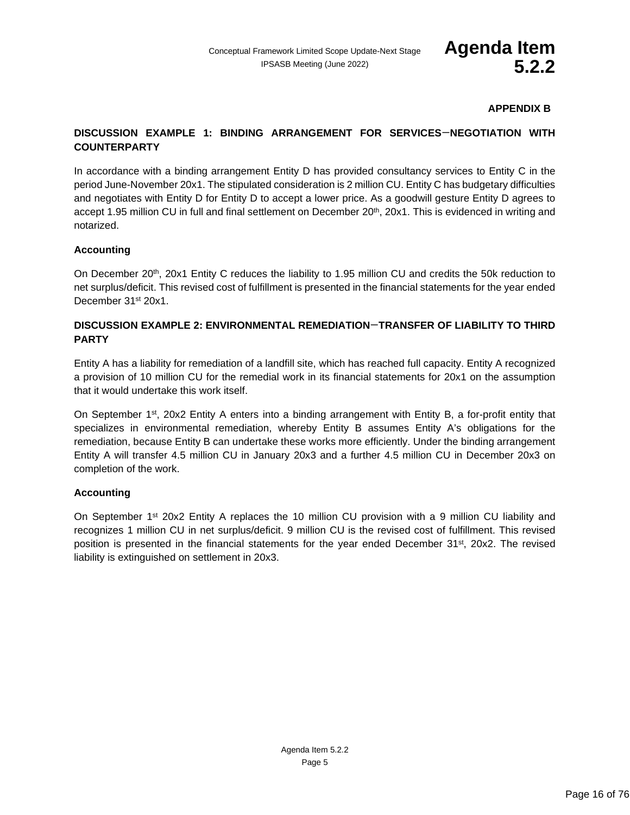# **APPENDIX B**

# **DISCUSSION EXAMPLE 1: BINDING ARRANGEMENT FOR SERVICES**—**NEGOTIATION WITH COUNTERPARTY**

In accordance with a binding arrangement Entity D has provided consultancy services to Entity C in the period June-November 20x1. The stipulated consideration is 2 million CU. Entity C has budgetary difficulties and negotiates with Entity D for Entity D to accept a lower price. As a goodwill gesture Entity D agrees to accept 1.95 million CU in full and final settlement on December 20<sup>th</sup>, 20x1. This is evidenced in writing and notarized.

# **Accounting**

On December 20<sup>th</sup>, 20x1 Entity C reduces the liability to 1.95 million CU and credits the 50k reduction to net surplus/deficit. This revised cost of fulfillment is presented in the financial statements for the year ended December 31<sup>st</sup> 20x1.

# **DISCUSSION EXAMPLE 2: ENVIRONMENTAL REMEDIATION**—**TRANSFER OF LIABILITY TO THIRD PARTY**

Entity A has a liability for remediation of a landfill site, which has reached full capacity. Entity A recognized a provision of 10 million CU for the remedial work in its financial statements for 20x1 on the assumption that it would undertake this work itself.

On September 1<sup>st</sup>, 20x2 Entity A enters into a binding arrangement with Entity B, a for-profit entity that specializes in environmental remediation, whereby Entity B assumes Entity A's obligations for the remediation, because Entity B can undertake these works more efficiently. Under the binding arrangement Entity A will transfer 4.5 million CU in January 20x3 and a further 4.5 million CU in December 20x3 on completion of the work.

# **Accounting**

On September 1<sup>st</sup> 20x2 Entity A replaces the 10 million CU provision with a 9 million CU liability and recognizes 1 million CU in net surplus/deficit. 9 million CU is the revised cost of fulfillment. This revised position is presented in the financial statements for the year ended December 31<sup>st</sup>, 20x2. The revised liability is extinguished on settlement in 20x3.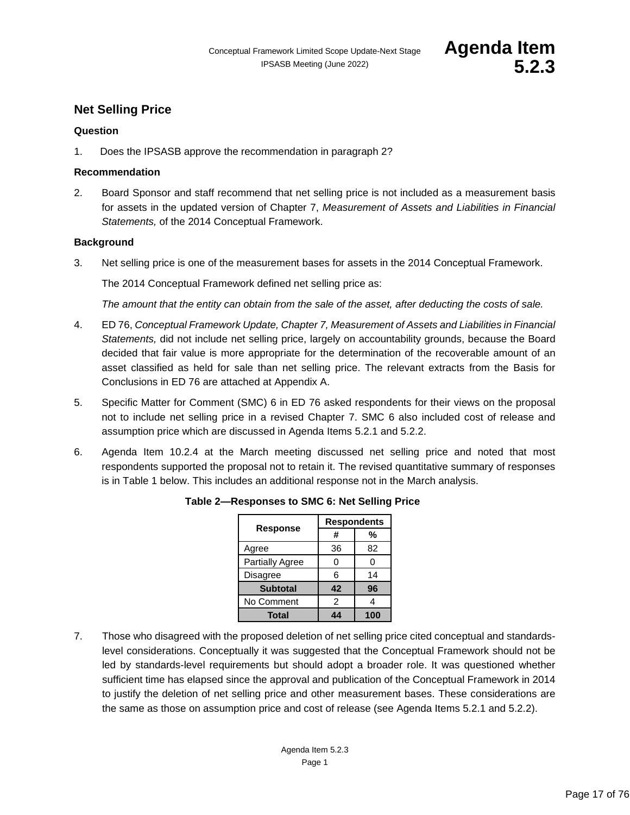# <span id="page-16-0"></span>**Net Selling Price**

#### **Question**

1. Does the IPSASB approve the recommendation in paragraph 2?

#### **Recommendation**

2. Board Sponsor and staff recommend that net selling price is not included as a measurement basis for assets in the updated version of Chapter 7, *Measurement of Assets and Liabilities in Financial Statements,* of the 2014 Conceptual Framework.

#### **Background**

3. Net selling price is one of the measurement bases for assets in the 2014 Conceptual Framework.

The 2014 Conceptual Framework defined net selling price as:

*The amount that the entity can obtain from the sale of the asset, after deducting the costs of sale.*

- 4. ED 76, *Conceptual Framework Update, Chapter 7, Measurement of Assets and Liabilities in Financial Statements,* did not include net selling price, largely on accountability grounds, because the Board decided that fair value is more appropriate for the determination of the recoverable amount of an asset classified as held for sale than net selling price. The relevant extracts from the Basis for Conclusions in ED 76 are attached at Appendix A.
- 5. Specific Matter for Comment (SMC) 6 in ED 76 asked respondents for their views on the proposal not to include net selling price in a revised Chapter 7. SMC 6 also included cost of release and assumption price which are discussed in Agenda Items 5.2.1 and 5.2.2.
- 6. Agenda Item 10.2.4 at the March meeting discussed net selling price and noted that most respondents supported the proposal not to retain it. The revised quantitative summary of responses is in Table 1 below. This includes an additional response not in the March analysis.

|                        | <b>Respondents</b> |     |
|------------------------|--------------------|-----|
| <b>Response</b>        | #                  | %   |
| Agree                  | 36                 | 82  |
| <b>Partially Agree</b> | O                  | ი   |
| <b>Disagree</b>        | 6                  | 14  |
| <b>Subtotal</b>        | 42                 | 96  |
| No Comment             | $\mathfrak{p}$     |     |
| Total                  |                    | 100 |

#### **Table 2—Responses to SMC 6: Net Selling Price**

7. Those who disagreed with the proposed deletion of net selling price cited conceptual and standardslevel considerations. Conceptually it was suggested that the Conceptual Framework should not be led by standards-level requirements but should adopt a broader role. It was questioned whether sufficient time has elapsed since the approval and publication of the Conceptual Framework in 2014 to justify the deletion of net selling price and other measurement bases. These considerations are the same as those on assumption price and cost of release (see Agenda Items 5.2.1 and 5.2.2).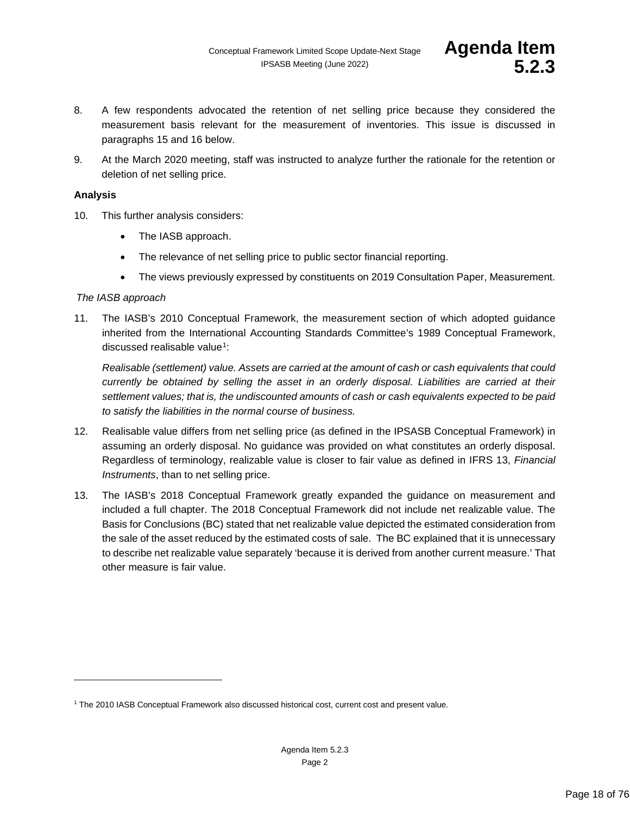- 8. A few respondents advocated the retention of net selling price because they considered the measurement basis relevant for the measurement of inventories. This issue is discussed in paragraphs 15 and 16 below.
- 9. At the March 2020 meeting, staff was instructed to analyze further the rationale for the retention or deletion of net selling price.

### **Analysis**

- 10. This further analysis considers:
	- The IASB approach.
	- The relevance of net selling price to public sector financial reporting.
	- The views previously expressed by constituents on 2019 Consultation Paper, Measurement.

#### *The IASB approach*

11. The IASB's 2010 Conceptual Framework, the measurement section of which adopted guidance inherited from the International Accounting Standards Committee's 1989 Conceptual Framework, discussed realisable value<sup>[1](#page-17-0)</sup>:

*Realisable (settlement) value. Assets are carried at the amount of cash or cash equivalents that could currently be obtained by selling the asset in an orderly disposal. Liabilities are carried at their settlement values; that is, the undiscounted amounts of cash or cash equivalents expected to be paid to satisfy the liabilities in the normal course of business.*

- 12. Realisable value differs from net selling price (as defined in the IPSASB Conceptual Framework) in assuming an orderly disposal. No guidance was provided on what constitutes an orderly disposal. Regardless of terminology, realizable value is closer to fair value as defined in IFRS 13, *Financial Instruments*, than to net selling price.
- 13. The IASB's 2018 Conceptual Framework greatly expanded the guidance on measurement and included a full chapter. The 2018 Conceptual Framework did not include net realizable value. The Basis for Conclusions (BC) stated that net realizable value depicted the estimated consideration from the sale of the asset reduced by the estimated costs of sale. The BC explained that it is unnecessary to describe net realizable value separately 'because it is derived from another current measure.' That other measure is fair value.

<span id="page-17-0"></span><sup>1</sup> The 2010 IASB Conceptual Framework also discussed historical cost, current cost and present value.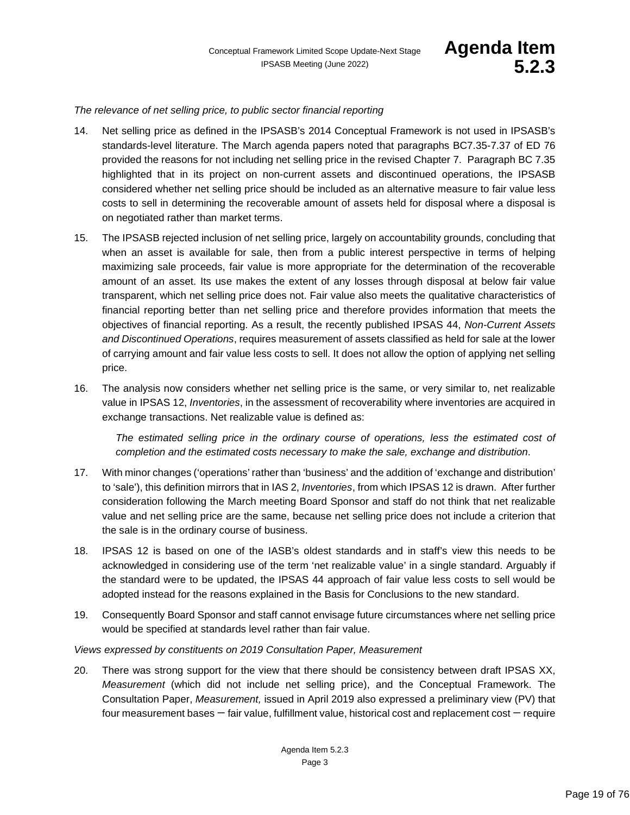#### *The relevance of net selling price, to public sector financial reporting*

- 14. Net selling price as defined in the IPSASB's 2014 Conceptual Framework is not used in IPSASB's standards-level literature. The March agenda papers noted that paragraphs BC7.35-7.37 of ED 76 provided the reasons for not including net selling price in the revised Chapter 7. Paragraph BC 7.35 highlighted that in its project on non-current assets and discontinued operations, the IPSASB considered whether net selling price should be included as an alternative measure to fair value less costs to sell in determining the recoverable amount of assets held for disposal where a disposal is on negotiated rather than market terms.
- 15. The IPSASB rejected inclusion of net selling price, largely on accountability grounds, concluding that when an asset is available for sale, then from a public interest perspective in terms of helping maximizing sale proceeds, fair value is more appropriate for the determination of the recoverable amount of an asset. Its use makes the extent of any losses through disposal at below fair value transparent, which net selling price does not. Fair value also meets the qualitative characteristics of financial reporting better than net selling price and therefore provides information that meets the objectives of financial reporting. As a result, the recently published IPSAS 44, *Non-Current Assets and Discontinued Operations*, requires measurement of assets classified as held for sale at the lower of carrying amount and fair value less costs to sell. It does not allow the option of applying net selling price.
- 16. The analysis now considers whether net selling price is the same, or very similar to, net realizable value in IPSAS 12, *Inventories*, in the assessment of recoverability where inventories are acquired in exchange transactions. Net realizable value is defined as:

The estimated selling price in the ordinary course of operations, less the estimated cost of *completion and the estimated costs necessary to make the sale, exchange and distribution*.

- 17. With minor changes ('operations' rather than 'business' and the addition of 'exchange and distribution' to 'sale'), this definition mirrors that in IAS 2, *Inventories*, from which IPSAS 12 is drawn. After further consideration following the March meeting Board Sponsor and staff do not think that net realizable value and net selling price are the same, because net selling price does not include a criterion that the sale is in the ordinary course of business.
- 18. IPSAS 12 is based on one of the IASB's oldest standards and in staff's view this needs to be acknowledged in considering use of the term 'net realizable value' in a single standard. Arguably if the standard were to be updated, the IPSAS 44 approach of fair value less costs to sell would be adopted instead for the reasons explained in the Basis for Conclusions to the new standard.
- 19. Consequently Board Sponsor and staff cannot envisage future circumstances where net selling price would be specified at standards level rather than fair value.

#### *Views expressed by constituents on 2019 Consultation Paper, Measurement*

20. There was strong support for the view that there should be consistency between draft IPSAS XX, *Measurement* (which did not include net selling price), and the Conceptual Framework. The Consultation Paper, *Measurement,* issued in April 2019 also expressed a preliminary view (PV) that four measurement bases — fair value, fulfillment value, historical cost and replacement cost — require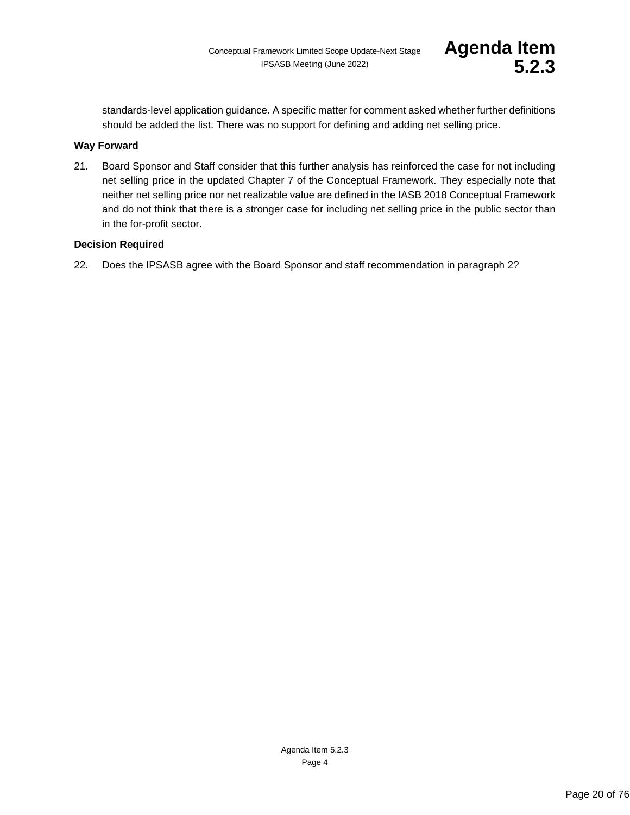standards-level application guidance. A specific matter for comment asked whether further definitions should be added the list. There was no support for defining and adding net selling price.

### **Way Forward**

21. Board Sponsor and Staff consider that this further analysis has reinforced the case for not including net selling price in the updated Chapter 7 of the Conceptual Framework. They especially note that neither net selling price nor net realizable value are defined in the IASB 2018 Conceptual Framework and do not think that there is a stronger case for including net selling price in the public sector than in the for-profit sector.

### **Decision Required**

22. Does the IPSASB agree with the Board Sponsor and staff recommendation in paragraph 2?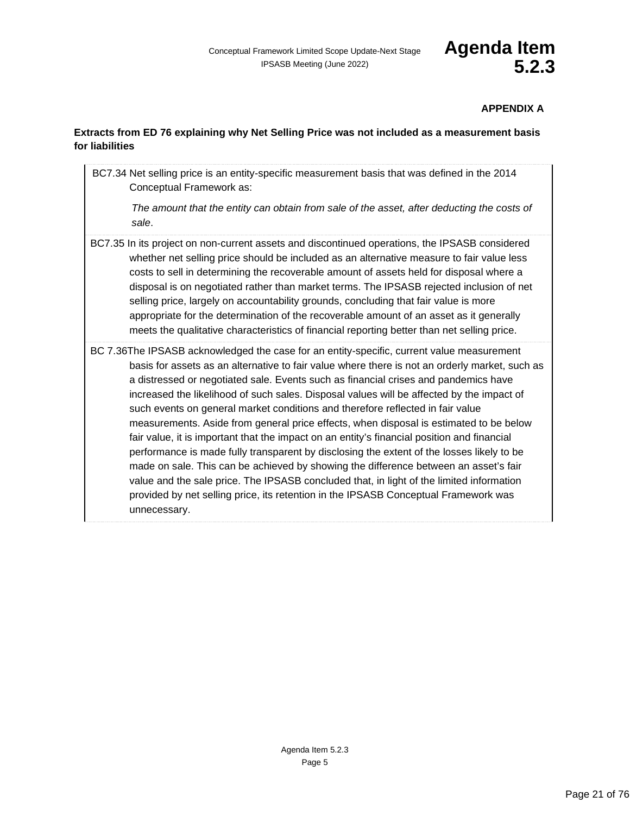# **APPENDIX A**

# **Extracts from ED 76 explaining why Net Selling Price was not included as a measurement basis for liabilities**

BC7.34 Net selling price is an entity-specific measurement basis that was defined in the 2014 Conceptual Framework as: *The amount that the entity can obtain from sale of the asset, after deducting the costs of sale*. BC7.35 In its project on non-current assets and discontinued operations, the IPSASB considered whether net selling price should be included as an alternative measure to fair value less costs to sell in determining the recoverable amount of assets held for disposal where a disposal is on negotiated rather than market terms. The IPSASB rejected inclusion of net selling price, largely on accountability grounds, concluding that fair value is more appropriate for the determination of the recoverable amount of an asset as it generally meets the qualitative characteristics of financial reporting better than net selling price.

BC 7.36The IPSASB acknowledged the case for an entity-specific, current value measurement basis for assets as an alternative to fair value where there is not an orderly market, such as a distressed or negotiated sale. Events such as financial crises and pandemics have increased the likelihood of such sales. Disposal values will be affected by the impact of such events on general market conditions and therefore reflected in fair value measurements. Aside from general price effects, when disposal is estimated to be below fair value, it is important that the impact on an entity's financial position and financial performance is made fully transparent by disclosing the extent of the losses likely to be made on sale. This can be achieved by showing the difference between an asset's fair value and the sale price. The IPSASB concluded that, in light of the limited information provided by net selling price, its retention in the IPSASB Conceptual Framework was unnecessary.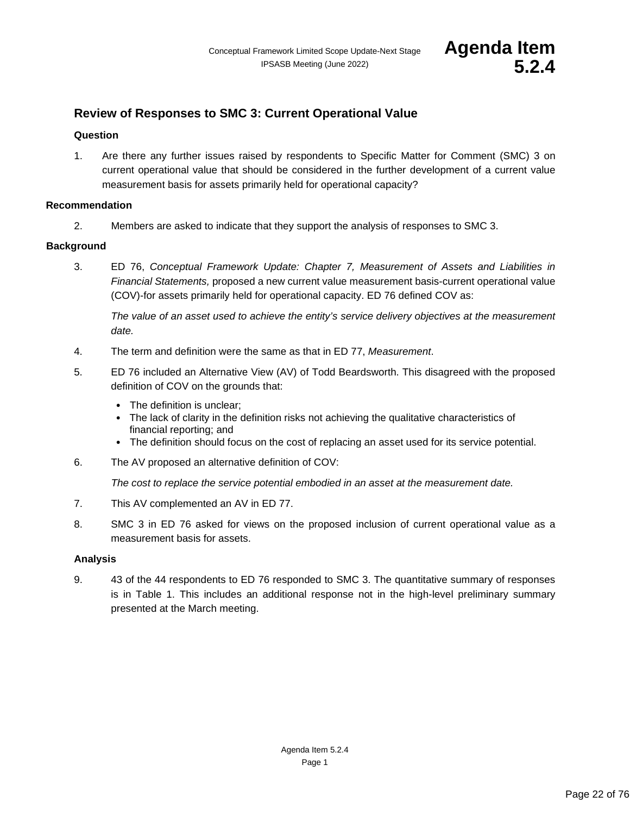

# <span id="page-21-0"></span>**Review of Responses to SMC 3: Current Operational Value**

# **Question**

1. Are there any further issues raised by respondents to Specific Matter for Comment (SMC) 3 on current operational value that should be considered in the further development of a current value measurement basis for assets primarily held for operational capacity?

# **Recommendation**

2. Members are asked to indicate that they support the analysis of responses to SMC 3.

# **Background**

3. ED 76, *Conceptual Framework Update: Chapter 7, Measurement of Assets and Liabilities in Financial Statements,* proposed a new current value measurement basis-current operational value (COV)-for assets primarily held for operational capacity. ED 76 defined COV as:

*The value of an asset used to achieve the entity's service delivery objectives at the measurement date.*

- 4. The term and definition were the same as that in ED 77, *Measurement*.
- 5. ED 76 included an Alternative View (AV) of Todd Beardsworth. This disagreed with the proposed definition of COV on the grounds that:
	- The definition is unclear;
	- The lack of clarity in the definition risks not achieving the qualitative characteristics of financial reporting; and
	- The definition should focus on the cost of replacing an asset used for its service potential.
- 6. The AV proposed an alternative definition of COV:

*The cost to replace the service potential embodied in an asset at the measurement date.* 

- 7. This AV complemented an AV in ED 77.
- 8. SMC 3 in ED 76 asked for views on the proposed inclusion of current operational value as a measurement basis for assets.

# **Analysis**

9. 43 of the 44 respondents to ED 76 responded to SMC 3. The quantitative summary of responses is in Table 1. This includes an additional response not in the high-level preliminary summary presented at the March meeting.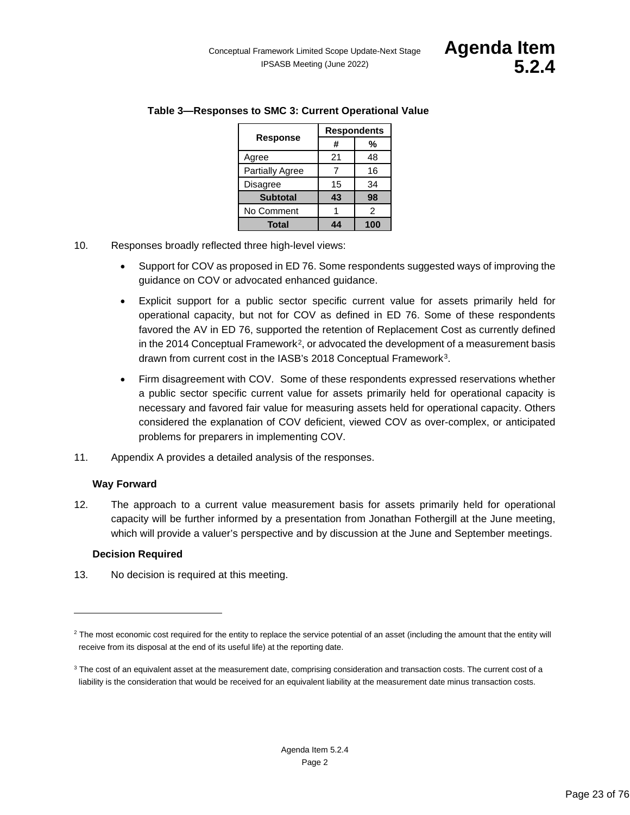|                        | <b>Respondents</b> |     |
|------------------------|--------------------|-----|
| <b>Response</b>        | #                  | %   |
| Agree                  | 21                 | 48  |
| <b>Partially Agree</b> |                    | 16  |
| <b>Disagree</b>        | 15                 | 34  |
| <b>Subtotal</b>        | 43                 | 98  |
| No Comment             |                    | 2   |
| Total                  | Л Л                | 100 |

# **Table 3—Responses to SMC 3: Current Operational Value**

- 10. Responses broadly reflected three high-level views:
	- Support for COV as proposed in ED 76. Some respondents suggested ways of improving the guidance on COV or advocated enhanced guidance.
	- Explicit support for a public sector specific current value for assets primarily held for operational capacity, but not for COV as defined in ED 76. Some of these respondents favored the AV in ED 76, supported the retention of Replacement Cost as currently defined in the [2](#page-22-0)014 Conceptual Framework<sup>2</sup>, or advocated the development of a measurement basis drawn from current cost in the IASB's 2018 Conceptual Framework<sup>[3](#page-22-1)</sup>.
	- Firm disagreement with COV. Some of these respondents expressed reservations whether a public sector specific current value for assets primarily held for operational capacity is necessary and favored fair value for measuring assets held for operational capacity. Others considered the explanation of COV deficient, viewed COV as over-complex, or anticipated problems for preparers in implementing COV.
- 11. Appendix A provides a detailed analysis of the responses.

# **Way Forward**

12. The approach to a current value measurement basis for assets primarily held for operational capacity will be further informed by a presentation from Jonathan Fothergill at the June meeting, which will provide a valuer's perspective and by discussion at the June and September meetings.

# **Decision Required**

13. No decision is required at this meeting.

<span id="page-22-0"></span><sup>&</sup>lt;sup>2</sup> The most economic cost required for the entity to replace the service potential of an asset (including the amount that the entity will receive from its disposal at the end of its useful life) at the reporting date.

<span id="page-22-1"></span><sup>&</sup>lt;sup>3</sup> The cost of an equivalent asset at the measurement date, comprising consideration and transaction costs. The current cost of a liability is the consideration that would be received for an equivalent liability at the measurement date minus transaction costs.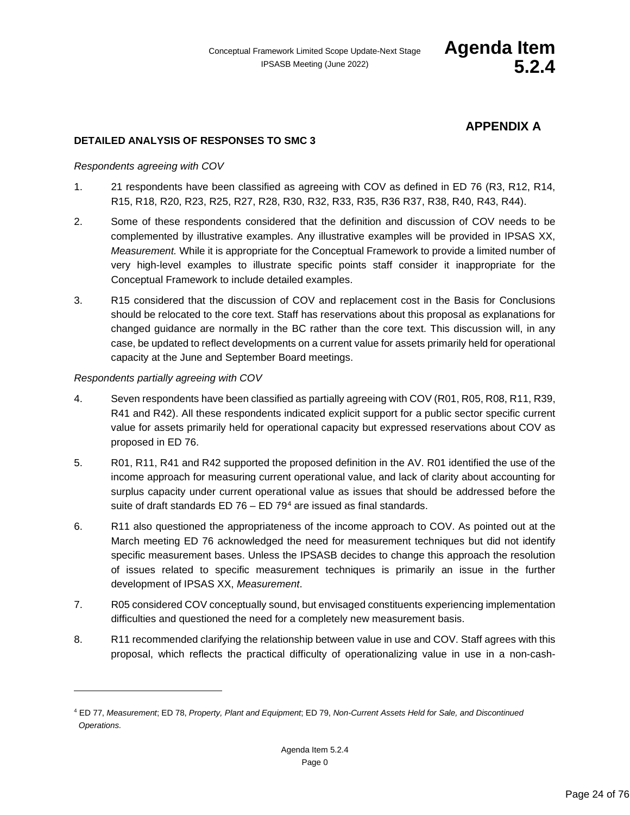# **APPENDIX A**

# **DETAILED ANALYSIS OF RESPONSES TO SMC 3**

#### *Respondents agreeing with COV*

- 1. 21 respondents have been classified as agreeing with COV as defined in ED 76 (R3, R12, R14, R15, R18, R20, R23, R25, R27, R28, R30, R32, R33, R35, R36 R37, R38, R40, R43, R44).
- 2. Some of these respondents considered that the definition and discussion of COV needs to be complemented by illustrative examples. Any illustrative examples will be provided in IPSAS XX, *Measurement.* While it is appropriate for the Conceptual Framework to provide a limited number of very high-level examples to illustrate specific points staff consider it inappropriate for the Conceptual Framework to include detailed examples.
- 3. R15 considered that the discussion of COV and replacement cost in the Basis for Conclusions should be relocated to the core text. Staff has reservations about this proposal as explanations for changed guidance are normally in the BC rather than the core text. This discussion will, in any case, be updated to reflect developments on a current value for assets primarily held for operational capacity at the June and September Board meetings.

#### *Respondents partially agreeing with COV*

- 4. Seven respondents have been classified as partially agreeing with COV (R01, R05, R08, R11, R39, R41 and R42). All these respondents indicated explicit support for a public sector specific current value for assets primarily held for operational capacity but expressed reservations about COV as proposed in ED 76.
- 5. R01, R11, R41 and R42 supported the proposed definition in the AV. R01 identified the use of the income approach for measuring current operational value, and lack of clarity about accounting for surplus capacity under current operational value as issues that should be addressed before the suite of draft standards ED  $76 - ED$   $79<sup>4</sup>$  $79<sup>4</sup>$  $79<sup>4</sup>$  are issued as final standards.
- 6. R11 also questioned the appropriateness of the income approach to COV. As pointed out at the March meeting ED 76 acknowledged the need for measurement techniques but did not identify specific measurement bases. Unless the IPSASB decides to change this approach the resolution of issues related to specific measurement techniques is primarily an issue in the further development of IPSAS XX, *Measurement*.
- 7. R05 considered COV conceptually sound, but envisaged constituents experiencing implementation difficulties and questioned the need for a completely new measurement basis.
- 8. R11 recommended clarifying the relationship between value in use and COV. Staff agrees with this proposal, which reflects the practical difficulty of operationalizing value in use in a non-cash-

<span id="page-23-0"></span><sup>4</sup> ED 77, *Measurement*; ED 78, *Property, Plant and Equipment*; ED 79, *Non-Current Assets Held for Sale, and Discontinued Operations.*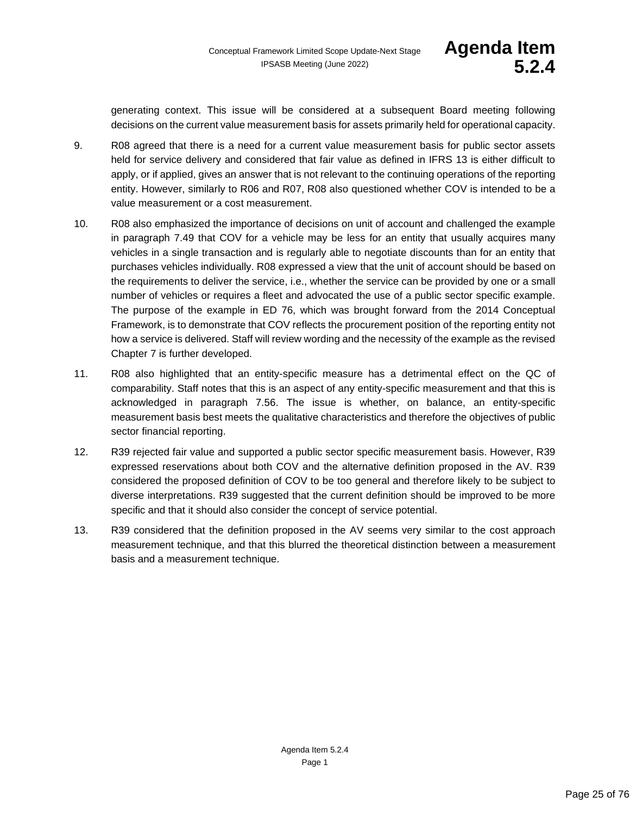generating context. This issue will be considered at a subsequent Board meeting following decisions on the current value measurement basis for assets primarily held for operational capacity.

- 9. R08 agreed that there is a need for a current value measurement basis for public sector assets held for service delivery and considered that fair value as defined in IFRS 13 is either difficult to apply, or if applied, gives an answer that is not relevant to the continuing operations of the reporting entity. However, similarly to R06 and R07, R08 also questioned whether COV is intended to be a value measurement or a cost measurement.
- 10. R08 also emphasized the importance of decisions on unit of account and challenged the example in paragraph 7.49 that COV for a vehicle may be less for an entity that usually acquires many vehicles in a single transaction and is regularly able to negotiate discounts than for an entity that purchases vehicles individually. R08 expressed a view that the unit of account should be based on the requirements to deliver the service, i.e., whether the service can be provided by one or a small number of vehicles or requires a fleet and advocated the use of a public sector specific example. The purpose of the example in ED 76, which was brought forward from the 2014 Conceptual Framework, is to demonstrate that COV reflects the procurement position of the reporting entity not how a service is delivered. Staff will review wording and the necessity of the example as the revised Chapter 7 is further developed.
- 11. R08 also highlighted that an entity-specific measure has a detrimental effect on the QC of comparability. Staff notes that this is an aspect of any entity-specific measurement and that this is acknowledged in paragraph 7.56. The issue is whether, on balance, an entity-specific measurement basis best meets the qualitative characteristics and therefore the objectives of public sector financial reporting.
- 12. R39 rejected fair value and supported a public sector specific measurement basis. However, R39 expressed reservations about both COV and the alternative definition proposed in the AV. R39 considered the proposed definition of COV to be too general and therefore likely to be subject to diverse interpretations. R39 suggested that the current definition should be improved to be more specific and that it should also consider the concept of service potential.
- 13. R39 considered that the definition proposed in the AV seems very similar to the cost approach measurement technique, and that this blurred the theoretical distinction between a measurement basis and a measurement technique.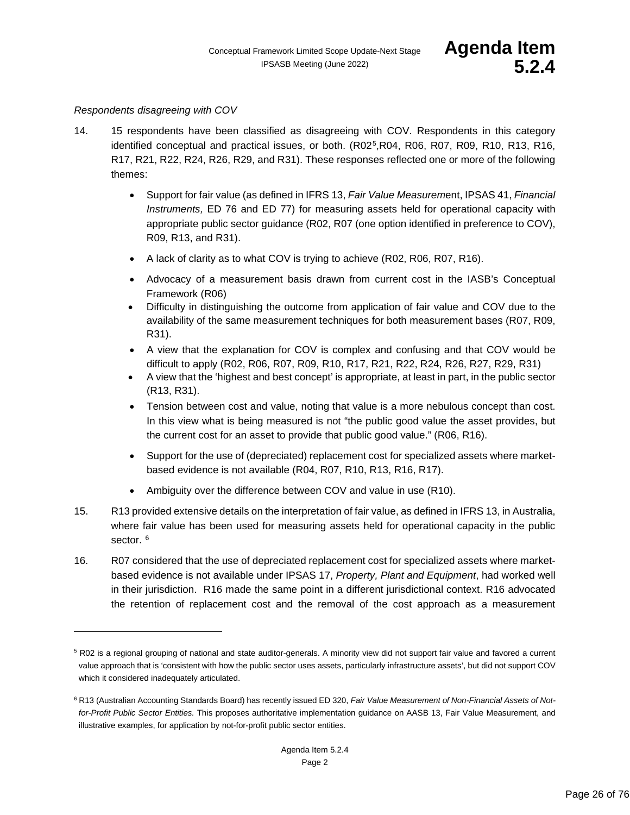#### *Respondents disagreeing with COV*

- 14. 15 respondents have been classified as disagreeing with COV. Respondents in this category identified conceptual and practical issues, or both. (R02<sup>5</sup>,R04, R06, R07, R09, R10, R13, R16, R17, R21, R22, R24, R26, R29, and R31). These responses reflected one or more of the following themes:
	- Support for fair value (as defined in IFRS 13, *Fair Value Measurem*ent, IPSAS 41, *Financial Instruments,* ED 76 and ED 77) for measuring assets held for operational capacity with appropriate public sector guidance (R02, R07 (one option identified in preference to COV), R09, R13, and R31).
	- A lack of clarity as to what COV is trying to achieve (R02, R06, R07, R16).
	- Advocacy of a measurement basis drawn from current cost in the IASB's Conceptual Framework (R06)
	- Difficulty in distinguishing the outcome from application of fair value and COV due to the availability of the same measurement techniques for both measurement bases (R07, R09, R31).
	- A view that the explanation for COV is complex and confusing and that COV would be difficult to apply (R02, R06, R07, R09, R10, R17, R21, R22, R24, R26, R27, R29, R31)
	- A view that the 'highest and best concept' is appropriate, at least in part, in the public sector (R13, R31).
	- Tension between cost and value, noting that value is a more nebulous concept than cost. In this view what is being measured is not "the public good value the asset provides, but the current cost for an asset to provide that public good value." (R06, R16).
	- Support for the use of (depreciated) replacement cost for specialized assets where marketbased evidence is not available (R04, R07, R10, R13, R16, R17).
	- Ambiguity over the difference between COV and value in use (R10).
- 15. R13 provided extensive details on the interpretation of fair value, as defined in IFRS 13, in Australia, where fair value has been used for measuring assets held for operational capacity in the public sector.<sup>[6](#page-25-1)</sup>
- 16. R07 considered that the use of depreciated replacement cost for specialized assets where marketbased evidence is not available under IPSAS 17, *Property, Plant and Equipment*, had worked well in their jurisdiction. R16 made the same point in a different jurisdictional context. R16 advocated the retention of replacement cost and the removal of the cost approach as a measurement

<span id="page-25-0"></span><sup>5</sup> R02 is a regional grouping of national and state auditor-generals. A minority view did not support fair value and favored a current value approach that is 'consistent with how the public sector uses assets, particularly infrastructure assets', but did not support COV which it considered inadequately articulated.

<span id="page-25-1"></span><sup>&</sup>lt;sup>6</sup> R13 (Australian Accounting Standards Board) has recently issued ED 320, Fair Value Measurement of Non-Financial Assets of Not*for-Profit Public Sector Entities.* This proposes authoritative implementation guidance on AASB 13, Fair Value Measurement, and illustrative examples, for application by not-for-profit public sector entities.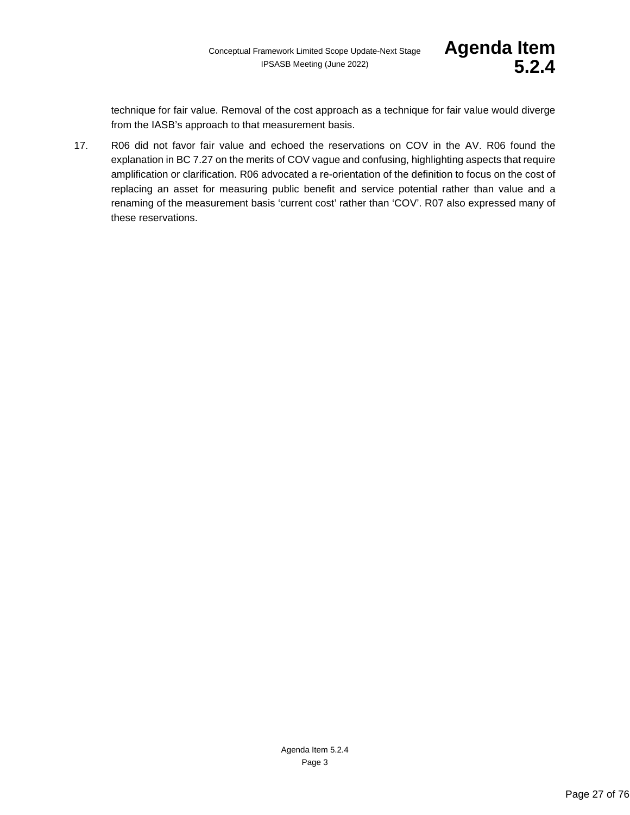technique for fair value. Removal of the cost approach as a technique for fair value would diverge from the IASB's approach to that measurement basis.

17. R06 did not favor fair value and echoed the reservations on COV in the AV. R06 found the explanation in BC 7.27 on the merits of COV vague and confusing, highlighting aspects that require amplification or clarification. R06 advocated a re-orientation of the definition to focus on the cost of replacing an asset for measuring public benefit and service potential rather than value and a renaming of the measurement basis 'current cost' rather than 'COV'. R07 also expressed many of these reservations.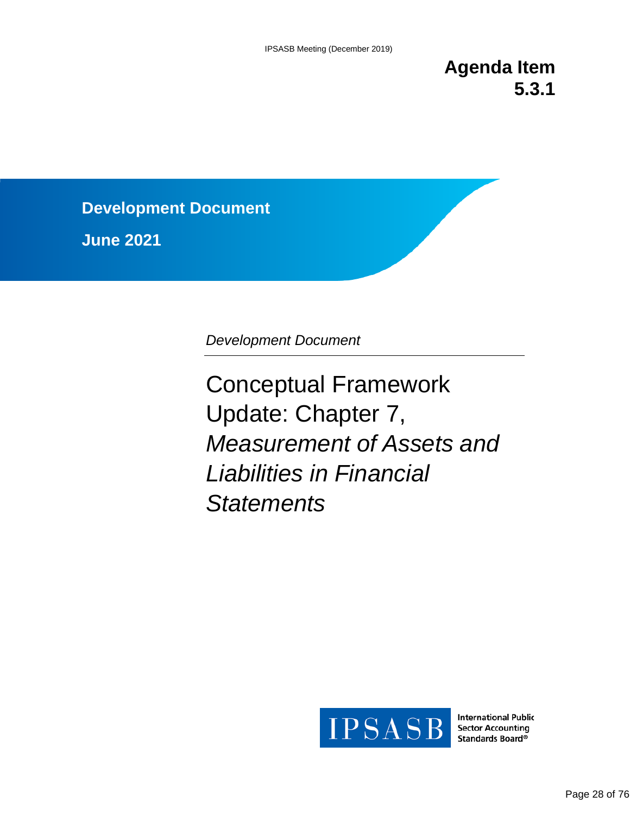**Agenda Item 5.3.1**

**Development Document**

**June 2021**

*Development Document* 

Conceptual Framework Update: Chapter 7, *Measurement of Assets and Liabilities in Financial Statements*



**International Public Sector Accounting** Standards Board®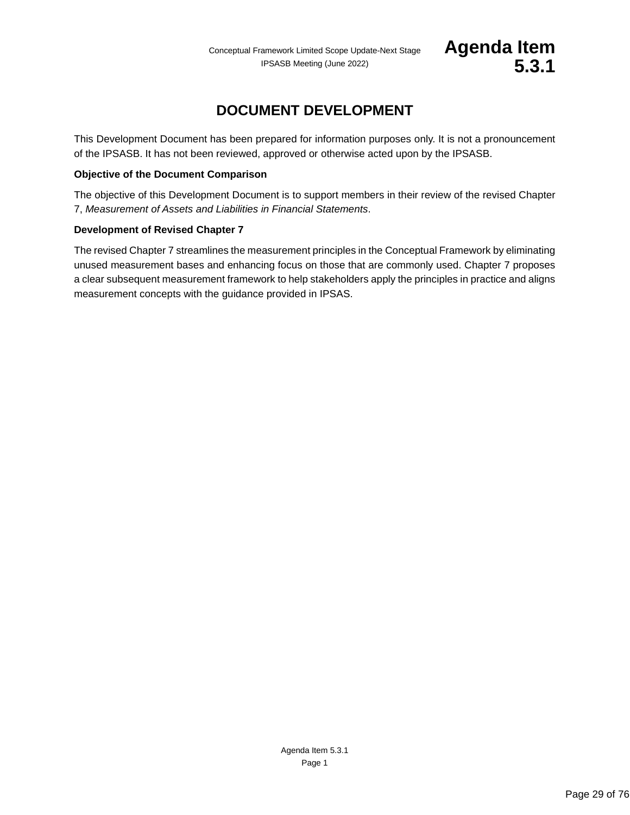# **DOCUMENT DEVELOPMENT**

<span id="page-28-1"></span>This Development Document has been prepared for information purposes only. It is not a pronouncement of the IPSASB. It has not been reviewed, approved or otherwise acted upon by the IPSASB.

### **Objective of the Document Comparison**

The objective of this Development Document is to support members in their review of the revised Chapter 7, *Measurement of Assets and Liabilities in Financial Statements*.

# <span id="page-28-0"></span>**Development of Revised Chapter 7**

The revised Chapter 7 streamlines the measurement principles in the Conceptual Framework by eliminating unused measurement bases and enhancing focus on those that are commonly used. Chapter 7 proposes a clear subsequent measurement framework to help stakeholders apply the principles in practice and aligns measurement concepts with the guidance provided in IPSAS.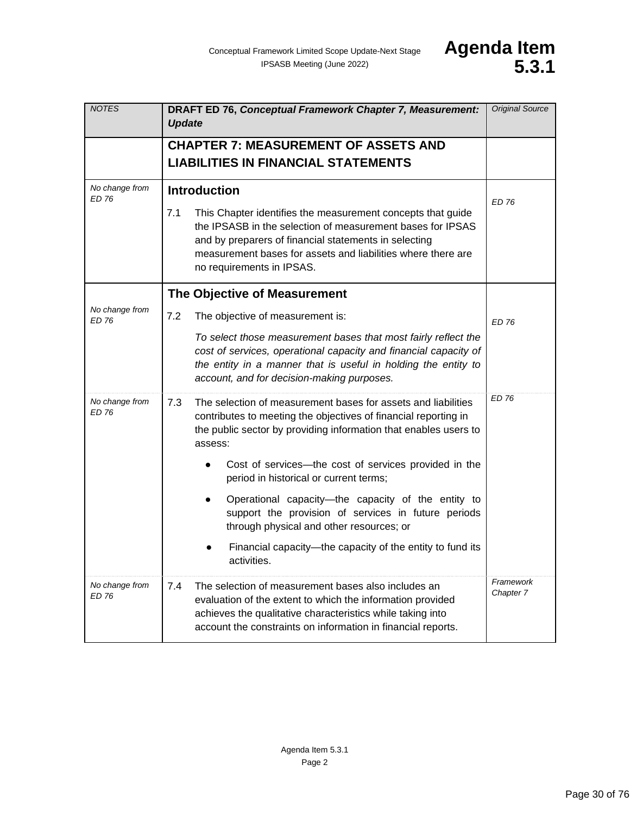| <b>NOTES</b>                   | DRAFT ED 76, Conceptual Framework Chapter 7, Measurement:<br><b>Update</b>                                                                                                                                                                                                             | <b>Original Source</b> |
|--------------------------------|----------------------------------------------------------------------------------------------------------------------------------------------------------------------------------------------------------------------------------------------------------------------------------------|------------------------|
|                                | <b>CHAPTER 7: MEASUREMENT OF ASSETS AND</b>                                                                                                                                                                                                                                            |                        |
|                                | <b>LIABILITIES IN FINANCIAL STATEMENTS</b>                                                                                                                                                                                                                                             |                        |
| No change from<br>ED 76        | <b>Introduction</b>                                                                                                                                                                                                                                                                    | <b>ED 76</b>           |
|                                | 7.1<br>This Chapter identifies the measurement concepts that guide<br>the IPSASB in the selection of measurement bases for IPSAS<br>and by preparers of financial statements in selecting<br>measurement bases for assets and liabilities where there are<br>no requirements in IPSAS. |                        |
|                                | The Objective of Measurement                                                                                                                                                                                                                                                           |                        |
| No change from<br><b>ED 76</b> | 7.2<br>The objective of measurement is:                                                                                                                                                                                                                                                | <b>ED 76</b>           |
|                                | To select those measurement bases that most fairly reflect the<br>cost of services, operational capacity and financial capacity of<br>the entity in a manner that is useful in holding the entity to<br>account, and for decision-making purposes.                                     |                        |
| No change from<br><b>ED 76</b> | 7.3<br>The selection of measurement bases for assets and liabilities<br>contributes to meeting the objectives of financial reporting in<br>the public sector by providing information that enables users to<br>assess:                                                                 | <b>ED 76</b>           |
|                                | Cost of services—the cost of services provided in the<br>period in historical or current terms;                                                                                                                                                                                        |                        |
|                                | Operational capacity-the capacity of the entity to<br>support the provision of services in future periods<br>through physical and other resources; or                                                                                                                                  |                        |
|                                | Financial capacity-the capacity of the entity to fund its<br>activities.                                                                                                                                                                                                               |                        |
| No change from<br><b>ED 76</b> | 7.4<br>The selection of measurement bases also includes an<br>evaluation of the extent to which the information provided<br>achieves the qualitative characteristics while taking into<br>account the constraints on information in financial reports.                                 | Framework<br>Chapter 7 |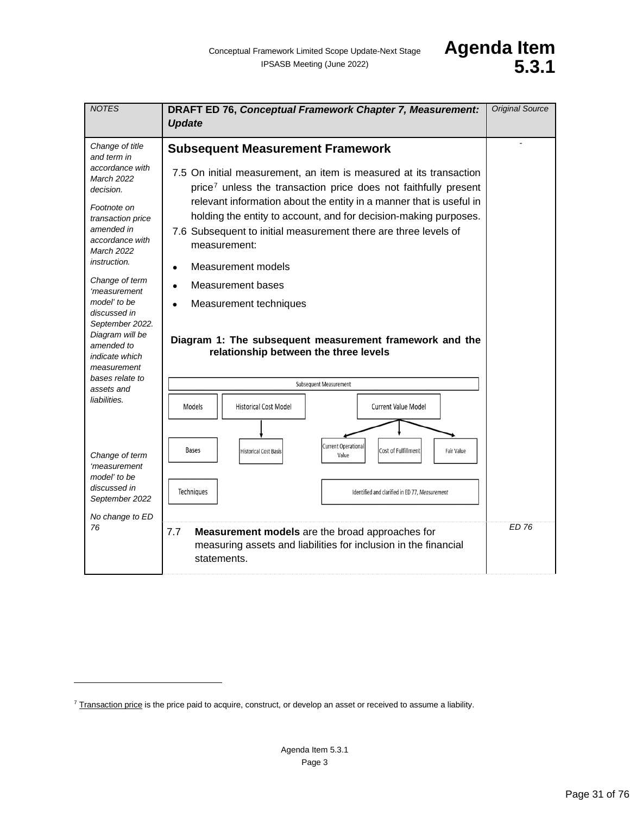| <b>NOTES</b>                                                                                                                                                                                                                                                                                                                                                                   | DRAFT ED 76, Conceptual Framework Chapter 7, Measurement:<br><b>Update</b>                                                                                                                                                                                                                                                                                                                                                                                                                                                                                                                                 | <b>Original Source</b> |
|--------------------------------------------------------------------------------------------------------------------------------------------------------------------------------------------------------------------------------------------------------------------------------------------------------------------------------------------------------------------------------|------------------------------------------------------------------------------------------------------------------------------------------------------------------------------------------------------------------------------------------------------------------------------------------------------------------------------------------------------------------------------------------------------------------------------------------------------------------------------------------------------------------------------------------------------------------------------------------------------------|------------------------|
| Change of title<br>and term in<br>accordance with<br>March 2022<br>decision.<br>Footnote on<br>transaction price<br>amended in<br>accordance with<br><b>March 2022</b><br><i>instruction.</i><br>Change of term<br>'measurement<br>model' to be<br>discussed in<br>September 2022.<br>Diagram will be<br>amended to<br><i>indicate which</i><br>measurement<br>bases relate to | <b>Subsequent Measurement Framework</b><br>7.5 On initial measurement, an item is measured at its transaction<br>price <sup>7</sup> unless the transaction price does not faithfully present<br>relevant information about the entity in a manner that is useful in<br>holding the entity to account, and for decision-making purposes.<br>7.6 Subsequent to initial measurement there are three levels of<br>measurement:<br>Measurement models<br><b>Measurement bases</b><br>Measurement techniques<br>Diagram 1: The subsequent measurement framework and the<br>relationship between the three levels |                        |
| assets and                                                                                                                                                                                                                                                                                                                                                                     | Subsequent Measurement                                                                                                                                                                                                                                                                                                                                                                                                                                                                                                                                                                                     |                        |
| liabilities.                                                                                                                                                                                                                                                                                                                                                                   | Models<br><b>Historical Cost Model</b><br><b>Current Value Model</b>                                                                                                                                                                                                                                                                                                                                                                                                                                                                                                                                       |                        |
| Change of term<br>'measurement<br>model' to be<br>discussed in<br>September 2022<br>No change to ED                                                                                                                                                                                                                                                                            | <b>Current Operational</b><br>Bases<br>Cost of Fulfillment<br>Fair Value<br><b>Historical Cost Basis</b><br>Value<br>Techniques<br>Identified and clarified in ED 77, Measurement                                                                                                                                                                                                                                                                                                                                                                                                                          |                        |
| 76                                                                                                                                                                                                                                                                                                                                                                             | 7.7<br>Measurement models are the broad approaches for<br>measuring assets and liabilities for inclusion in the financial<br>statements.                                                                                                                                                                                                                                                                                                                                                                                                                                                                   | <b>ED 76</b>           |

<span id="page-30-0"></span> $7$  Transaction price is the price paid to acquire, construct, or develop an asset or received to assume a liability.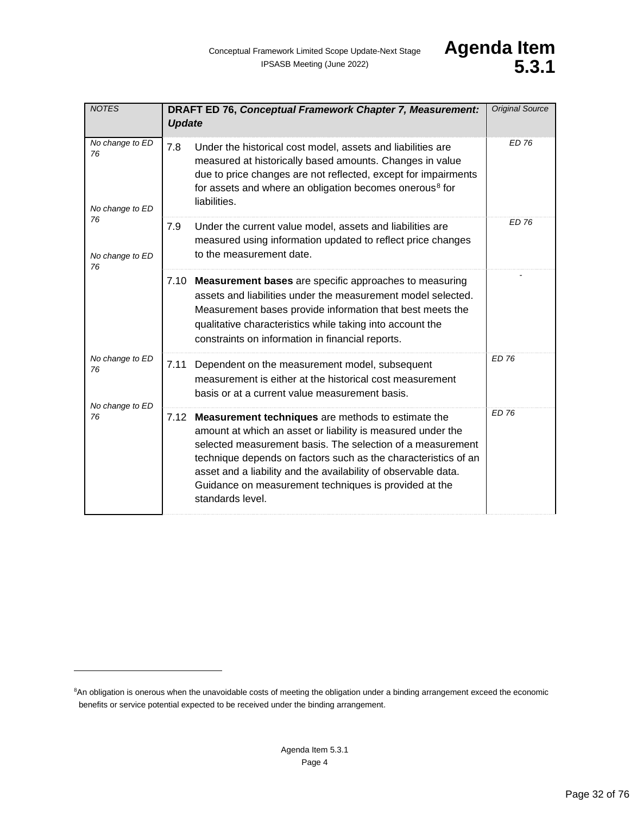| <b>NOTES</b>                                                            | DRAFT ED 76, Conceptual Framework Chapter 7, Measurement:<br><b>Update</b>                                                                                                                                                                                                                                                                                                                            | <b>Original Source</b> |
|-------------------------------------------------------------------------|-------------------------------------------------------------------------------------------------------------------------------------------------------------------------------------------------------------------------------------------------------------------------------------------------------------------------------------------------------------------------------------------------------|------------------------|
| No change to ED<br>76<br>No change to ED<br>76<br>No change to ED<br>76 | 7.8<br>Under the historical cost model, assets and liabilities are<br>measured at historically based amounts. Changes in value<br>due to price changes are not reflected, except for impairments<br>for assets and where an obligation becomes onerous <sup>8</sup> for<br>liabilities.                                                                                                               | <b>ED 76</b>           |
|                                                                         | 7.9<br>Under the current value model, assets and liabilities are<br>measured using information updated to reflect price changes<br>to the measurement date.                                                                                                                                                                                                                                           | <b>ED 76</b>           |
|                                                                         | 7.10 Measurement bases are specific approaches to measuring<br>assets and liabilities under the measurement model selected.<br>Measurement bases provide information that best meets the<br>qualitative characteristics while taking into account the<br>constraints on information in financial reports.                                                                                             |                        |
| No change to ED<br>76<br>No change to ED<br>76                          | 7.11<br>Dependent on the measurement model, subsequent<br>measurement is either at the historical cost measurement<br>basis or at a current value measurement basis.                                                                                                                                                                                                                                  | <b>ED 76</b>           |
|                                                                         | 7.12 Measurement techniques are methods to estimate the<br>amount at which an asset or liability is measured under the<br>selected measurement basis. The selection of a measurement<br>technique depends on factors such as the characteristics of an<br>asset and a liability and the availability of observable data.<br>Guidance on measurement techniques is provided at the<br>standards level. | <b>ED 76</b>           |

<span id="page-31-0"></span><sup>&</sup>lt;sup>8</sup>An obligation is onerous when the unavoidable costs of meeting the obligation under a binding arrangement exceed the economic benefits or service potential expected to be received under the binding arrangement.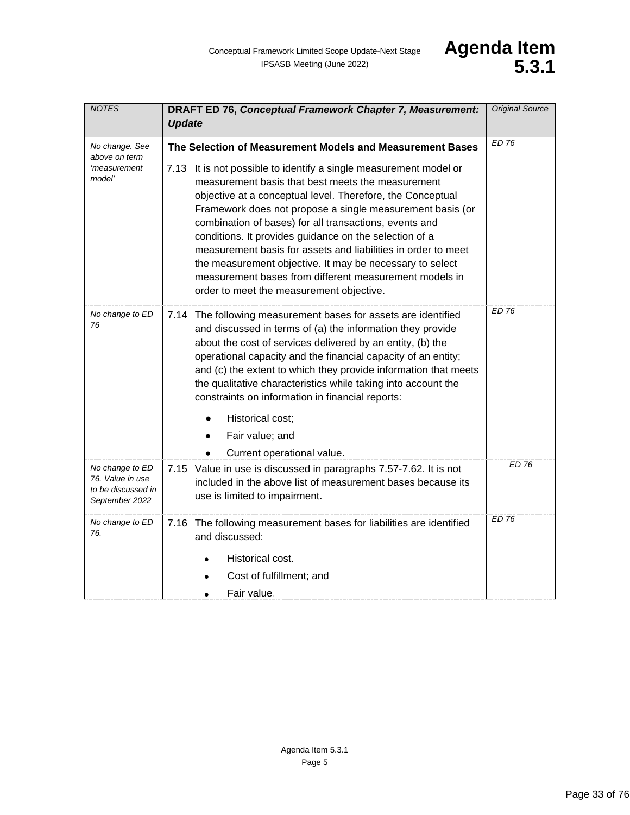| <b>NOTES</b>                                                                | DRAFT ED 76, Conceptual Framework Chapter 7, Measurement:<br><b>Update</b>                                                                                                                                                                                                                                                                                                                                                                                                                                                                                                                               | <b>Original Source</b> |
|-----------------------------------------------------------------------------|----------------------------------------------------------------------------------------------------------------------------------------------------------------------------------------------------------------------------------------------------------------------------------------------------------------------------------------------------------------------------------------------------------------------------------------------------------------------------------------------------------------------------------------------------------------------------------------------------------|------------------------|
| No change. See                                                              | The Selection of Measurement Models and Measurement Bases                                                                                                                                                                                                                                                                                                                                                                                                                                                                                                                                                | <b>ED 76</b>           |
| above on term<br>'measurement<br>model'                                     | 7.13 It is not possible to identify a single measurement model or<br>measurement basis that best meets the measurement<br>objective at a conceptual level. Therefore, the Conceptual<br>Framework does not propose a single measurement basis (or<br>combination of bases) for all transactions, events and<br>conditions. It provides guidance on the selection of a<br>measurement basis for assets and liabilities in order to meet<br>the measurement objective. It may be necessary to select<br>measurement bases from different measurement models in<br>order to meet the measurement objective. |                        |
| No change to ED<br>76                                                       | 7.14 The following measurement bases for assets are identified<br>and discussed in terms of (a) the information they provide<br>about the cost of services delivered by an entity, (b) the<br>operational capacity and the financial capacity of an entity;<br>and (c) the extent to which they provide information that meets<br>the qualitative characteristics while taking into account the<br>constraints on information in financial reports:<br>Historical cost;<br>$\bullet$<br>Fair value; and<br>Current operational value.                                                                    | <b>ED 76</b>           |
| No change to ED<br>76. Value in use<br>to be discussed in<br>September 2022 | 7.15 Value in use is discussed in paragraphs 7.57-7.62. It is not<br>included in the above list of measurement bases because its<br>use is limited to impairment.                                                                                                                                                                                                                                                                                                                                                                                                                                        | ED 76                  |
| No change to ED<br>76.                                                      | 7.16 The following measurement bases for liabilities are identified<br>and discussed:                                                                                                                                                                                                                                                                                                                                                                                                                                                                                                                    | <b>ED 76</b>           |
|                                                                             | Historical cost.                                                                                                                                                                                                                                                                                                                                                                                                                                                                                                                                                                                         |                        |
|                                                                             | Cost of fulfillment; and                                                                                                                                                                                                                                                                                                                                                                                                                                                                                                                                                                                 |                        |
|                                                                             | Fair value.                                                                                                                                                                                                                                                                                                                                                                                                                                                                                                                                                                                              |                        |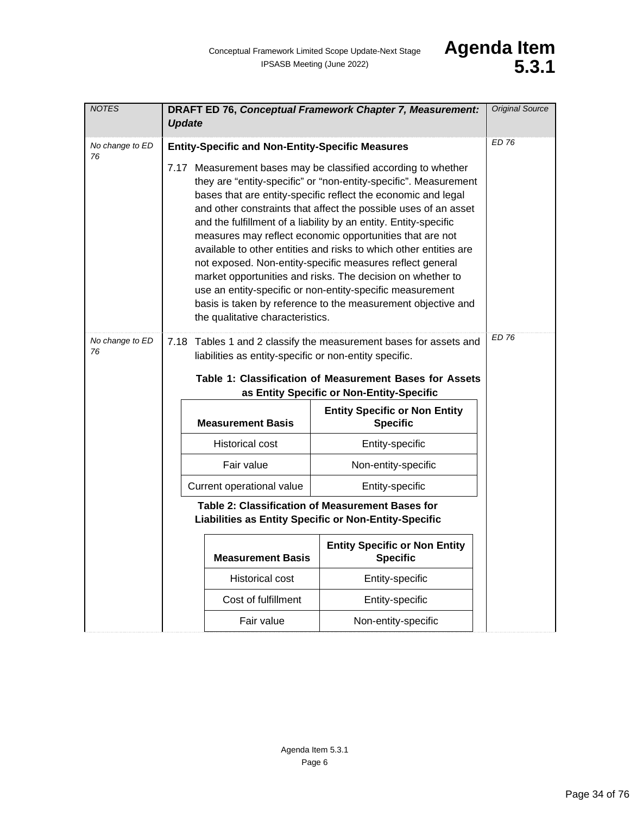| <b>NOTES</b>          | DRAFT ED 76, Conceptual Framework Chapter 7, Measurement:<br><b>Update</b>                                                                                                                                                                                                                                                                                                                                                                                                                                                                                                                                                                                                                                                                                                                                                                        |                          |                                                         | <b>Original Source</b> |
|-----------------------|---------------------------------------------------------------------------------------------------------------------------------------------------------------------------------------------------------------------------------------------------------------------------------------------------------------------------------------------------------------------------------------------------------------------------------------------------------------------------------------------------------------------------------------------------------------------------------------------------------------------------------------------------------------------------------------------------------------------------------------------------------------------------------------------------------------------------------------------------|--------------------------|---------------------------------------------------------|------------------------|
| No change to ED<br>76 | <b>ED 76</b><br><b>Entity-Specific and Non-Entity-Specific Measures</b><br>7.17 Measurement bases may be classified according to whether<br>they are "entity-specific" or "non-entity-specific". Measurement<br>bases that are entity-specific reflect the economic and legal<br>and other constraints that affect the possible uses of an asset<br>and the fulfillment of a liability by an entity. Entity-specific<br>measures may reflect economic opportunities that are not<br>available to other entities and risks to which other entities are<br>not exposed. Non-entity-specific measures reflect general<br>market opportunities and risks. The decision on whether to<br>use an entity-specific or non-entity-specific measurement<br>basis is taken by reference to the measurement objective and<br>the qualitative characteristics. |                          |                                                         |                        |
| No change to ED<br>76 | 7.18 Tables 1 and 2 classify the measurement bases for assets and<br>liabilities as entity-specific or non-entity specific.<br>Table 1: Classification of Measurement Bases for Assets                                                                                                                                                                                                                                                                                                                                                                                                                                                                                                                                                                                                                                                            | <b>ED 76</b>             |                                                         |                        |
|                       |                                                                                                                                                                                                                                                                                                                                                                                                                                                                                                                                                                                                                                                                                                                                                                                                                                                   | <b>Measurement Basis</b> | <b>Entity Specific or Non Entity</b><br><b>Specific</b> |                        |
|                       |                                                                                                                                                                                                                                                                                                                                                                                                                                                                                                                                                                                                                                                                                                                                                                                                                                                   | <b>Historical cost</b>   | Entity-specific                                         |                        |
|                       |                                                                                                                                                                                                                                                                                                                                                                                                                                                                                                                                                                                                                                                                                                                                                                                                                                                   | Fair value               | Non-entity-specific                                     |                        |
|                       | Current operational value<br>Entity-specific                                                                                                                                                                                                                                                                                                                                                                                                                                                                                                                                                                                                                                                                                                                                                                                                      |                          |                                                         |                        |
|                       | Table 2: Classification of Measurement Bases for<br>Liabilities as Entity Specific or Non-Entity-Specific                                                                                                                                                                                                                                                                                                                                                                                                                                                                                                                                                                                                                                                                                                                                         |                          |                                                         |                        |
|                       |                                                                                                                                                                                                                                                                                                                                                                                                                                                                                                                                                                                                                                                                                                                                                                                                                                                   | <b>Measurement Basis</b> | <b>Entity Specific or Non Entity</b><br><b>Specific</b> |                        |
|                       |                                                                                                                                                                                                                                                                                                                                                                                                                                                                                                                                                                                                                                                                                                                                                                                                                                                   | <b>Historical cost</b>   | Entity-specific                                         |                        |
|                       |                                                                                                                                                                                                                                                                                                                                                                                                                                                                                                                                                                                                                                                                                                                                                                                                                                                   | Cost of fulfillment      | Entity-specific                                         |                        |
|                       |                                                                                                                                                                                                                                                                                                                                                                                                                                                                                                                                                                                                                                                                                                                                                                                                                                                   | Fair value               | Non-entity-specific                                     |                        |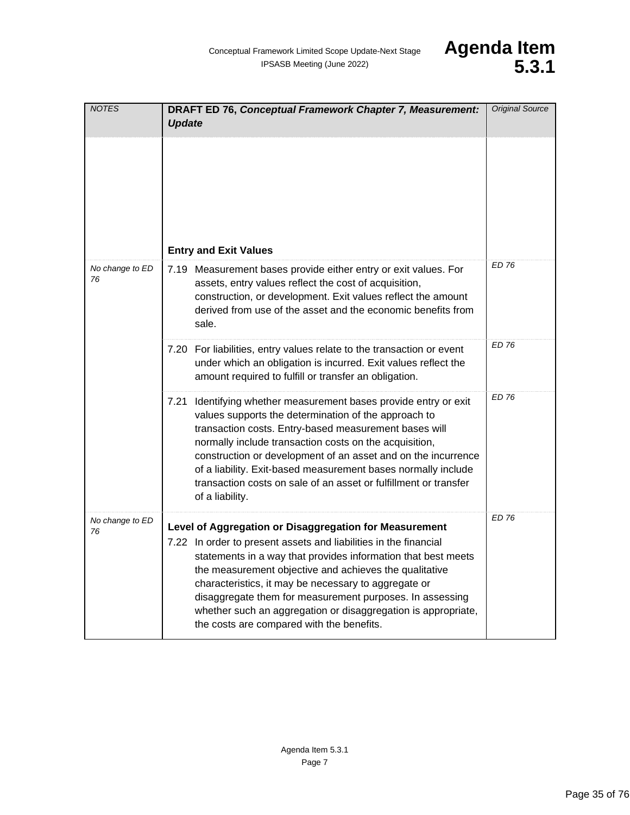| <b>NOTES</b>          | <b>DRAFT ED 76, Conceptual Framework Chapter 7, Measurement:</b><br><b>Update</b>                                                                                                                                                                                                                                                                                                                                                                                                       | <b>Original Source</b> |
|-----------------------|-----------------------------------------------------------------------------------------------------------------------------------------------------------------------------------------------------------------------------------------------------------------------------------------------------------------------------------------------------------------------------------------------------------------------------------------------------------------------------------------|------------------------|
|                       | <b>Entry and Exit Values</b>                                                                                                                                                                                                                                                                                                                                                                                                                                                            |                        |
| No change to ED<br>76 | 7.19 Measurement bases provide either entry or exit values. For<br>assets, entry values reflect the cost of acquisition,<br>construction, or development. Exit values reflect the amount<br>derived from use of the asset and the economic benefits from<br>sale.                                                                                                                                                                                                                       | <b>ED 76</b>           |
|                       | 7.20 For liabilities, entry values relate to the transaction or event<br>under which an obligation is incurred. Exit values reflect the<br>amount required to fulfill or transfer an obligation.                                                                                                                                                                                                                                                                                        | ED 76                  |
|                       | Identifying whether measurement bases provide entry or exit<br>7.21<br>values supports the determination of the approach to<br>transaction costs. Entry-based measurement bases will<br>normally include transaction costs on the acquisition,<br>construction or development of an asset and on the incurrence<br>of a liability. Exit-based measurement bases normally include<br>transaction costs on sale of an asset or fulfillment or transfer<br>of a liability.                 | <b>ED 76</b>           |
| No change to ED<br>76 | Level of Aggregation or Disaggregation for Measurement<br>7.22 In order to present assets and liabilities in the financial<br>statements in a way that provides information that best meets<br>the measurement objective and achieves the qualitative<br>characteristics, it may be necessary to aggregate or<br>disaggregate them for measurement purposes. In assessing<br>whether such an aggregation or disaggregation is appropriate,<br>the costs are compared with the benefits. | ED 76                  |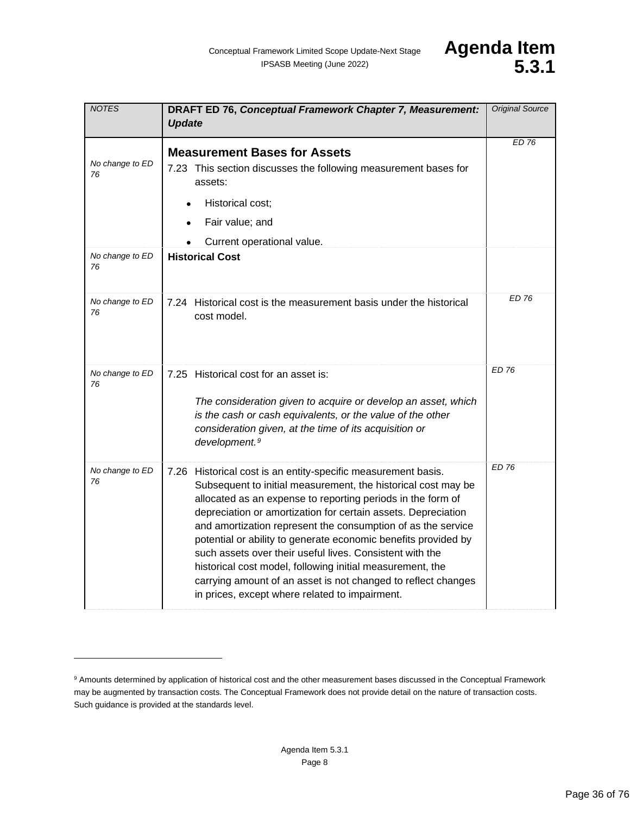| <b>NOTES</b>          | DRAFT ED 76, Conceptual Framework Chapter 7, Measurement:<br><b>Update</b>                                                                                                                                                                                                                                                                                                                                                                                                                                                                                                                                                                   | <b>Original Source</b> |
|-----------------------|----------------------------------------------------------------------------------------------------------------------------------------------------------------------------------------------------------------------------------------------------------------------------------------------------------------------------------------------------------------------------------------------------------------------------------------------------------------------------------------------------------------------------------------------------------------------------------------------------------------------------------------------|------------------------|
| No change to ED<br>76 | <b>Measurement Bases for Assets</b><br>7.23 This section discusses the following measurement bases for<br>assets:<br>Historical cost;<br>Fair value; and<br>Current operational value.                                                                                                                                                                                                                                                                                                                                                                                                                                                       | <b>ED 76</b>           |
| No change to ED<br>76 | <b>Historical Cost</b>                                                                                                                                                                                                                                                                                                                                                                                                                                                                                                                                                                                                                       |                        |
| No change to ED<br>76 | 7.24 Historical cost is the measurement basis under the historical<br>cost model.                                                                                                                                                                                                                                                                                                                                                                                                                                                                                                                                                            | <b>ED 76</b>           |
| No change to ED<br>76 | 7.25 Historical cost for an asset is:<br>The consideration given to acquire or develop an asset, which<br>is the cash or cash equivalents, or the value of the other<br>consideration given, at the time of its acquisition or<br>development. <sup>9</sup>                                                                                                                                                                                                                                                                                                                                                                                  | ED 76                  |
| No change to ED<br>76 | 7.26 Historical cost is an entity-specific measurement basis.<br>Subsequent to initial measurement, the historical cost may be<br>allocated as an expense to reporting periods in the form of<br>depreciation or amortization for certain assets. Depreciation<br>and amortization represent the consumption of as the service<br>potential or ability to generate economic benefits provided by<br>such assets over their useful lives. Consistent with the<br>historical cost model, following initial measurement, the<br>carrying amount of an asset is not changed to reflect changes<br>in prices, except where related to impairment. | <b>ED 76</b>           |

<span id="page-35-0"></span><sup>&</sup>lt;sup>9</sup> Amounts determined by application of historical cost and the other measurement bases discussed in the Conceptual Framework may be augmented by transaction costs. The Conceptual Framework does not provide detail on the nature of transaction costs. Such guidance is provided at the standards level.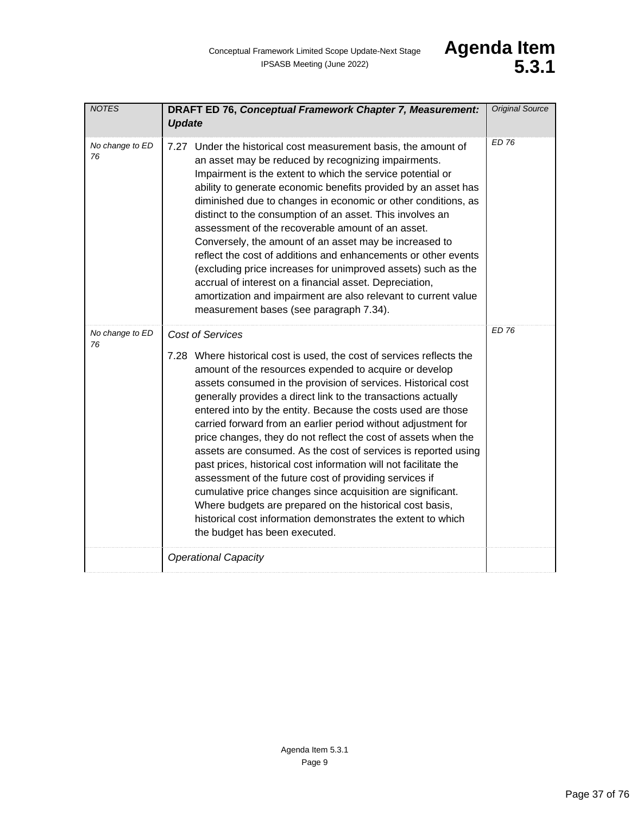<span id="page-36-1"></span><span id="page-36-0"></span>

| <b>NOTES</b>          | DRAFT ED 76, Conceptual Framework Chapter 7, Measurement:<br><b>Update</b>                                                                                                                                                                                                                                                                                                                                                                                                                                                                                                                                                                                                                                                                                                                                                                                                                                                  | <b>Original Source</b> |
|-----------------------|-----------------------------------------------------------------------------------------------------------------------------------------------------------------------------------------------------------------------------------------------------------------------------------------------------------------------------------------------------------------------------------------------------------------------------------------------------------------------------------------------------------------------------------------------------------------------------------------------------------------------------------------------------------------------------------------------------------------------------------------------------------------------------------------------------------------------------------------------------------------------------------------------------------------------------|------------------------|
| No change to ED<br>76 | 7.27 Under the historical cost measurement basis, the amount of<br>an asset may be reduced by recognizing impairments.<br>Impairment is the extent to which the service potential or<br>ability to generate economic benefits provided by an asset has<br>diminished due to changes in economic or other conditions, as<br>distinct to the consumption of an asset. This involves an<br>assessment of the recoverable amount of an asset.<br>Conversely, the amount of an asset may be increased to<br>reflect the cost of additions and enhancements or other events<br>(excluding price increases for unimproved assets) such as the<br>accrual of interest on a financial asset. Depreciation,<br>amortization and impairment are also relevant to current value<br>measurement bases (see paragraph 7.34).                                                                                                              | <b>ED 76</b>           |
| No change to ED<br>76 | <b>Cost of Services</b><br>7.28 Where historical cost is used, the cost of services reflects the<br>amount of the resources expended to acquire or develop<br>assets consumed in the provision of services. Historical cost<br>generally provides a direct link to the transactions actually<br>entered into by the entity. Because the costs used are those<br>carried forward from an earlier period without adjustment for<br>price changes, they do not reflect the cost of assets when the<br>assets are consumed. As the cost of services is reported using<br>past prices, historical cost information will not facilitate the<br>assessment of the future cost of providing services if<br>cumulative price changes since acquisition are significant.<br>Where budgets are prepared on the historical cost basis,<br>historical cost information demonstrates the extent to which<br>the budget has been executed. | <b>ED 76</b>           |
|                       | <b>Operational Capacity</b>                                                                                                                                                                                                                                                                                                                                                                                                                                                                                                                                                                                                                                                                                                                                                                                                                                                                                                 |                        |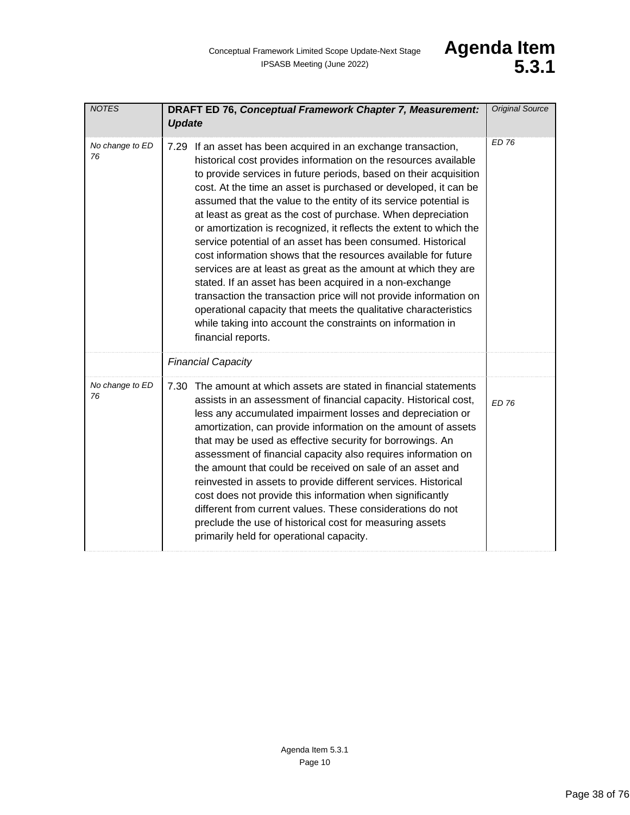<span id="page-37-0"></span>

| <b>NOTES</b>          | DRAFT ED 76, Conceptual Framework Chapter 7, Measurement:<br><b>Update</b>                                                                                                                                                                                                                                                                                                                                                                                                                                                                                                                                                                                                                                                                                                                                                                                                                                                                                                     | <b>Original Source</b> |
|-----------------------|--------------------------------------------------------------------------------------------------------------------------------------------------------------------------------------------------------------------------------------------------------------------------------------------------------------------------------------------------------------------------------------------------------------------------------------------------------------------------------------------------------------------------------------------------------------------------------------------------------------------------------------------------------------------------------------------------------------------------------------------------------------------------------------------------------------------------------------------------------------------------------------------------------------------------------------------------------------------------------|------------------------|
| No change to ED<br>76 | 7.29 If an asset has been acquired in an exchange transaction,<br>historical cost provides information on the resources available<br>to provide services in future periods, based on their acquisition<br>cost. At the time an asset is purchased or developed, it can be<br>assumed that the value to the entity of its service potential is<br>at least as great as the cost of purchase. When depreciation<br>or amortization is recognized, it reflects the extent to which the<br>service potential of an asset has been consumed. Historical<br>cost information shows that the resources available for future<br>services are at least as great as the amount at which they are<br>stated. If an asset has been acquired in a non-exchange<br>transaction the transaction price will not provide information on<br>operational capacity that meets the qualitative characteristics<br>while taking into account the constraints on information in<br>financial reports. | ED 76                  |
|                       | <b>Financial Capacity</b>                                                                                                                                                                                                                                                                                                                                                                                                                                                                                                                                                                                                                                                                                                                                                                                                                                                                                                                                                      |                        |
| No change to ED<br>76 | The amount at which assets are stated in financial statements<br>7.30<br>assists in an assessment of financial capacity. Historical cost,<br>less any accumulated impairment losses and depreciation or<br>amortization, can provide information on the amount of assets<br>that may be used as effective security for borrowings. An<br>assessment of financial capacity also requires information on<br>the amount that could be received on sale of an asset and<br>reinvested in assets to provide different services. Historical<br>cost does not provide this information when significantly<br>different from current values. These considerations do not<br>preclude the use of historical cost for measuring assets<br>primarily held for operational capacity.                                                                                                                                                                                                       | <b>ED 76</b>           |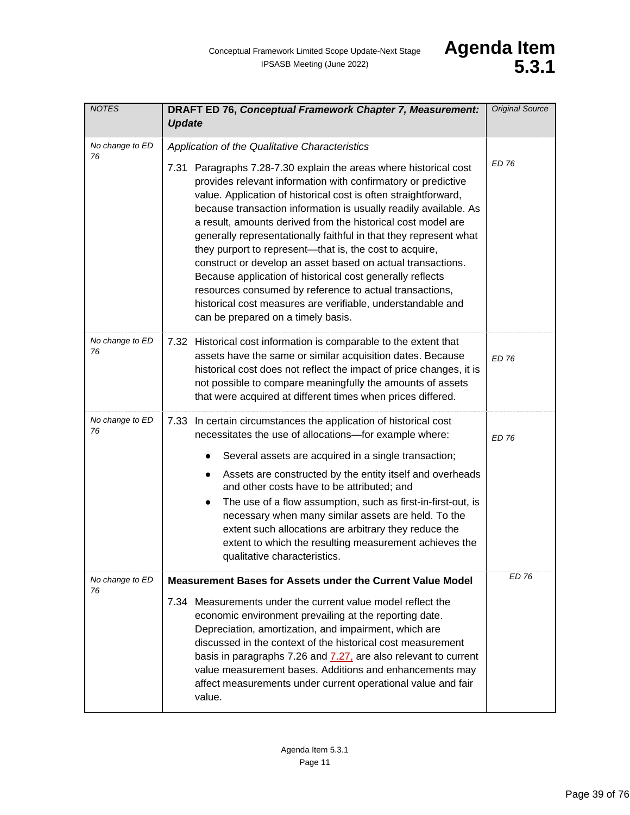| <b>NOTES</b>          | DRAFT ED 76, Conceptual Framework Chapter 7, Measurement:<br><b>Update</b>                                                                                                                                                                                                                                                                                                                                                                                                                                                                                                                                                                                                                                                                                            | <b>Original Source</b> |
|-----------------------|-----------------------------------------------------------------------------------------------------------------------------------------------------------------------------------------------------------------------------------------------------------------------------------------------------------------------------------------------------------------------------------------------------------------------------------------------------------------------------------------------------------------------------------------------------------------------------------------------------------------------------------------------------------------------------------------------------------------------------------------------------------------------|------------------------|
| No change to ED<br>76 | Application of the Qualitative Characteristics                                                                                                                                                                                                                                                                                                                                                                                                                                                                                                                                                                                                                                                                                                                        | <b>ED 76</b>           |
|                       | 7.31 Paragraphs 7.28-7.30 explain the areas where historical cost<br>provides relevant information with confirmatory or predictive<br>value. Application of historical cost is often straightforward,<br>because transaction information is usually readily available. As<br>a result, amounts derived from the historical cost model are<br>generally representationally faithful in that they represent what<br>they purport to represent—that is, the cost to acquire,<br>construct or develop an asset based on actual transactions.<br>Because application of historical cost generally reflects<br>resources consumed by reference to actual transactions,<br>historical cost measures are verifiable, understandable and<br>can be prepared on a timely basis. |                        |
| No change to ED<br>76 | 7.32 Historical cost information is comparable to the extent that<br>assets have the same or similar acquisition dates. Because<br>historical cost does not reflect the impact of price changes, it is<br>not possible to compare meaningfully the amounts of assets<br>that were acquired at different times when prices differed.                                                                                                                                                                                                                                                                                                                                                                                                                                   | <b>ED 76</b>           |
| No change to ED<br>76 | 7.33 In certain circumstances the application of historical cost<br>necessitates the use of allocations-for example where:                                                                                                                                                                                                                                                                                                                                                                                                                                                                                                                                                                                                                                            | <b>ED 76</b>           |
|                       | Several assets are acquired in a single transaction;<br>$\bullet$                                                                                                                                                                                                                                                                                                                                                                                                                                                                                                                                                                                                                                                                                                     |                        |
|                       | Assets are constructed by the entity itself and overheads<br>$\bullet$<br>and other costs have to be attributed; and<br>The use of a flow assumption, such as first-in-first-out, is<br>$\bullet$<br>necessary when many similar assets are held. To the<br>extent such allocations are arbitrary they reduce the<br>extent to which the resulting measurement achieves the<br>qualitative characteristics.                                                                                                                                                                                                                                                                                                                                                           |                        |
| No change to ED<br>76 | Measurement Bases for Assets under the Current Value Model                                                                                                                                                                                                                                                                                                                                                                                                                                                                                                                                                                                                                                                                                                            | FD 76                  |
|                       | 7.34 Measurements under the current value model reflect the<br>economic environment prevailing at the reporting date.<br>Depreciation, amortization, and impairment, which are<br>discussed in the context of the historical cost measurement<br>basis in paragraphs 7.26 and 7.27, are also relevant to current<br>value measurement bases. Additions and enhancements may<br>affect measurements under current operational value and fair<br>value.                                                                                                                                                                                                                                                                                                                 |                        |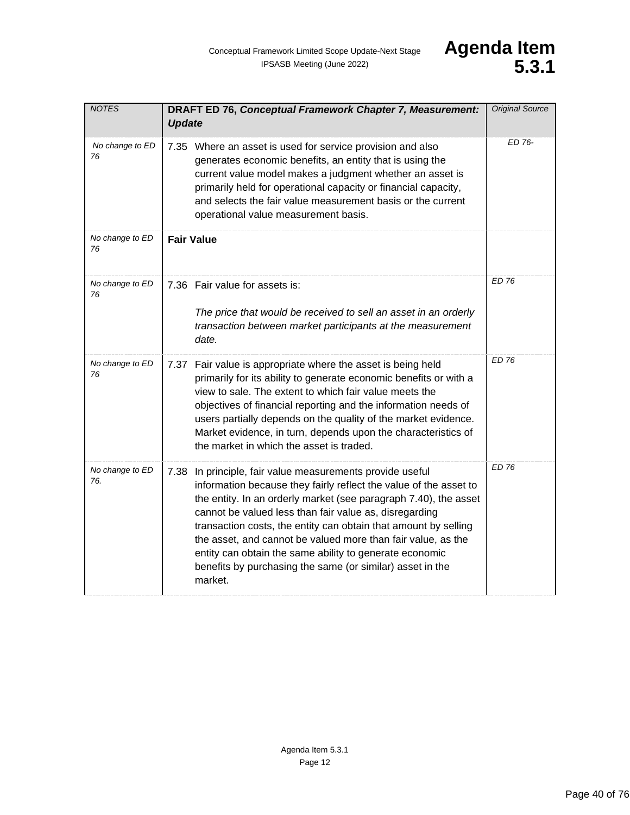<span id="page-39-0"></span>

| <b>NOTES</b>           | DRAFT ED 76, Conceptual Framework Chapter 7, Measurement:<br><b>Update</b>                                                                                                                                                                                                                                                                                                                                                                                                                                                         | <b>Original Source</b> |
|------------------------|------------------------------------------------------------------------------------------------------------------------------------------------------------------------------------------------------------------------------------------------------------------------------------------------------------------------------------------------------------------------------------------------------------------------------------------------------------------------------------------------------------------------------------|------------------------|
| No change to ED<br>76  | 7.35 Where an asset is used for service provision and also<br>generates economic benefits, an entity that is using the<br>current value model makes a judgment whether an asset is<br>primarily held for operational capacity or financial capacity,<br>and selects the fair value measurement basis or the current<br>operational value measurement basis.                                                                                                                                                                        | ED 76-                 |
| No change to ED<br>76  | <b>Fair Value</b>                                                                                                                                                                                                                                                                                                                                                                                                                                                                                                                  |                        |
| No change to ED<br>76  | 7.36 Fair value for assets is:<br>The price that would be received to sell an asset in an orderly<br>transaction between market participants at the measurement<br>date.                                                                                                                                                                                                                                                                                                                                                           | <b>ED 76</b>           |
| No change to ED<br>76  | 7.37 Fair value is appropriate where the asset is being held<br>primarily for its ability to generate economic benefits or with a<br>view to sale. The extent to which fair value meets the<br>objectives of financial reporting and the information needs of<br>users partially depends on the quality of the market evidence.<br>Market evidence, in turn, depends upon the characteristics of<br>the market in which the asset is traded.                                                                                       | <b>ED 76</b>           |
| No change to ED<br>76. | 7.38 In principle, fair value measurements provide useful<br>information because they fairly reflect the value of the asset to<br>the entity. In an orderly market (see paragraph 7.40), the asset<br>cannot be valued less than fair value as, disregarding<br>transaction costs, the entity can obtain that amount by selling<br>the asset, and cannot be valued more than fair value, as the<br>entity can obtain the same ability to generate economic<br>benefits by purchasing the same (or similar) asset in the<br>market. | <b>ED 76</b>           |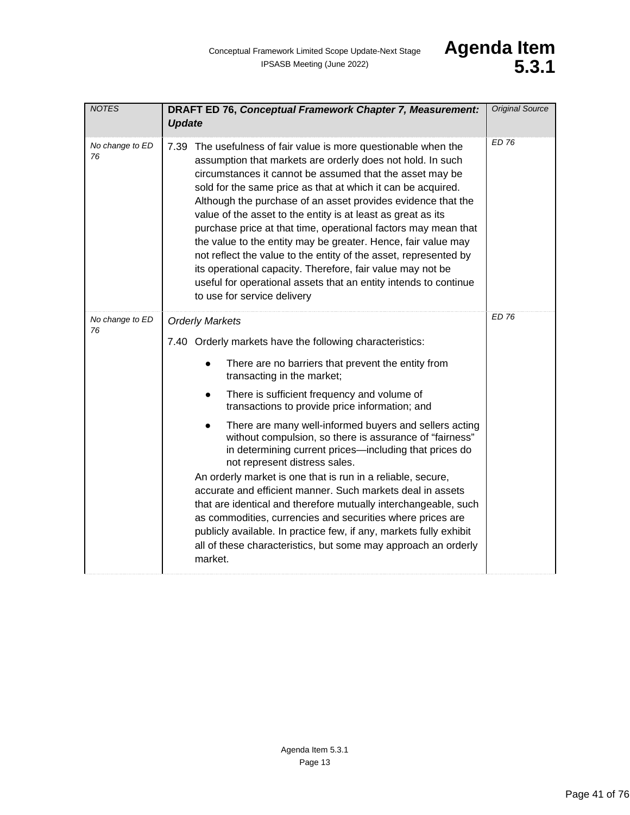<span id="page-40-0"></span>

| <b>NOTES</b>          | DRAFT ED 76, Conceptual Framework Chapter 7, Measurement:<br><b>Update</b>                                                                                                                                                                                                                                                                                                                                                                                                                                                                                                                                                                                                                                                                                                                                                                                                                                                         | <b>Original Source</b> |
|-----------------------|------------------------------------------------------------------------------------------------------------------------------------------------------------------------------------------------------------------------------------------------------------------------------------------------------------------------------------------------------------------------------------------------------------------------------------------------------------------------------------------------------------------------------------------------------------------------------------------------------------------------------------------------------------------------------------------------------------------------------------------------------------------------------------------------------------------------------------------------------------------------------------------------------------------------------------|------------------------|
| No change to ED<br>76 | 7.39 The usefulness of fair value is more questionable when the<br>assumption that markets are orderly does not hold. In such<br>circumstances it cannot be assumed that the asset may be<br>sold for the same price as that at which it can be acquired.<br>Although the purchase of an asset provides evidence that the<br>value of the asset to the entity is at least as great as its<br>purchase price at that time, operational factors may mean that<br>the value to the entity may be greater. Hence, fair value may<br>not reflect the value to the entity of the asset, represented by<br>its operational capacity. Therefore, fair value may not be<br>useful for operational assets that an entity intends to continue<br>to use for service delivery                                                                                                                                                                  | <b>ED 76</b>           |
| No change to ED<br>76 | <b>Orderly Markets</b><br>7.40 Orderly markets have the following characteristics:<br>There are no barriers that prevent the entity from<br>transacting in the market;<br>There is sufficient frequency and volume of<br>$\bullet$<br>transactions to provide price information; and<br>There are many well-informed buyers and sellers acting<br>$\bullet$<br>without compulsion, so there is assurance of "fairness"<br>in determining current prices-including that prices do<br>not represent distress sales.<br>An orderly market is one that is run in a reliable, secure,<br>accurate and efficient manner. Such markets deal in assets<br>that are identical and therefore mutually interchangeable, such<br>as commodities, currencies and securities where prices are<br>publicly available. In practice few, if any, markets fully exhibit<br>all of these characteristics, but some may approach an orderly<br>market. | <b>ED 76</b>           |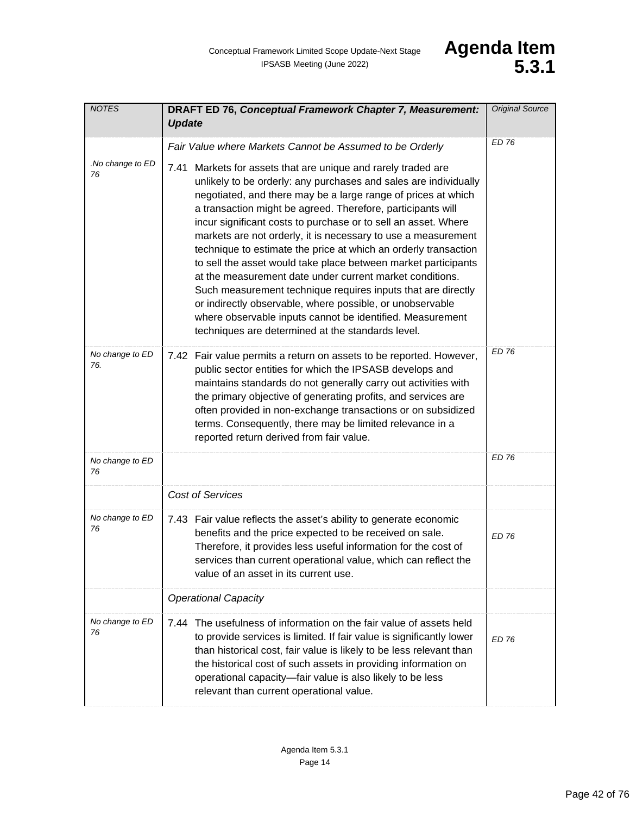| <b>NOTES</b>           | DRAFT ED 76, Conceptual Framework Chapter 7, Measurement:<br><b>Update</b>                                                                                                                                                                                                                                                                                                                                                                                                                                                                                                                                                                                                                                                                                                                                                                              | <b>Original Source</b> |
|------------------------|---------------------------------------------------------------------------------------------------------------------------------------------------------------------------------------------------------------------------------------------------------------------------------------------------------------------------------------------------------------------------------------------------------------------------------------------------------------------------------------------------------------------------------------------------------------------------------------------------------------------------------------------------------------------------------------------------------------------------------------------------------------------------------------------------------------------------------------------------------|------------------------|
|                        | Fair Value where Markets Cannot be Assumed to be Orderly                                                                                                                                                                                                                                                                                                                                                                                                                                                                                                                                                                                                                                                                                                                                                                                                | <b>ED 76</b>           |
| .No change to ED<br>76 | Markets for assets that are unique and rarely traded are<br>7.41<br>unlikely to be orderly: any purchases and sales are individually<br>negotiated, and there may be a large range of prices at which<br>a transaction might be agreed. Therefore, participants will<br>incur significant costs to purchase or to sell an asset. Where<br>markets are not orderly, it is necessary to use a measurement<br>technique to estimate the price at which an orderly transaction<br>to sell the asset would take place between market participants<br>at the measurement date under current market conditions.<br>Such measurement technique requires inputs that are directly<br>or indirectly observable, where possible, or unobservable<br>where observable inputs cannot be identified. Measurement<br>techniques are determined at the standards level. |                        |
| No change to ED<br>76. | 7.42 Fair value permits a return on assets to be reported. However,<br>public sector entities for which the IPSASB develops and<br>maintains standards do not generally carry out activities with<br>the primary objective of generating profits, and services are<br>often provided in non-exchange transactions or on subsidized<br>terms. Consequently, there may be limited relevance in a<br>reported return derived from fair value.                                                                                                                                                                                                                                                                                                                                                                                                              | <b>ED 76</b>           |
| No change to ED<br>76  |                                                                                                                                                                                                                                                                                                                                                                                                                                                                                                                                                                                                                                                                                                                                                                                                                                                         | ED 76                  |
|                        | <b>Cost of Services</b>                                                                                                                                                                                                                                                                                                                                                                                                                                                                                                                                                                                                                                                                                                                                                                                                                                 |                        |
| No change to ED<br>76  | 7.43 Fair value reflects the asset's ability to generate economic<br>benefits and the price expected to be received on sale.<br>Therefore, it provides less useful information for the cost of<br>services than current operational value, which can reflect the<br>value of an asset in its current use.                                                                                                                                                                                                                                                                                                                                                                                                                                                                                                                                               | <b>ED 76</b>           |
|                        | <b>Operational Capacity</b>                                                                                                                                                                                                                                                                                                                                                                                                                                                                                                                                                                                                                                                                                                                                                                                                                             |                        |
| No change to ED<br>76  | 7.44 The usefulness of information on the fair value of assets held<br>to provide services is limited. If fair value is significantly lower<br>than historical cost, fair value is likely to be less relevant than<br>the historical cost of such assets in providing information on<br>operational capacity-fair value is also likely to be less<br>relevant than current operational value.                                                                                                                                                                                                                                                                                                                                                                                                                                                           | <b>ED 76</b>           |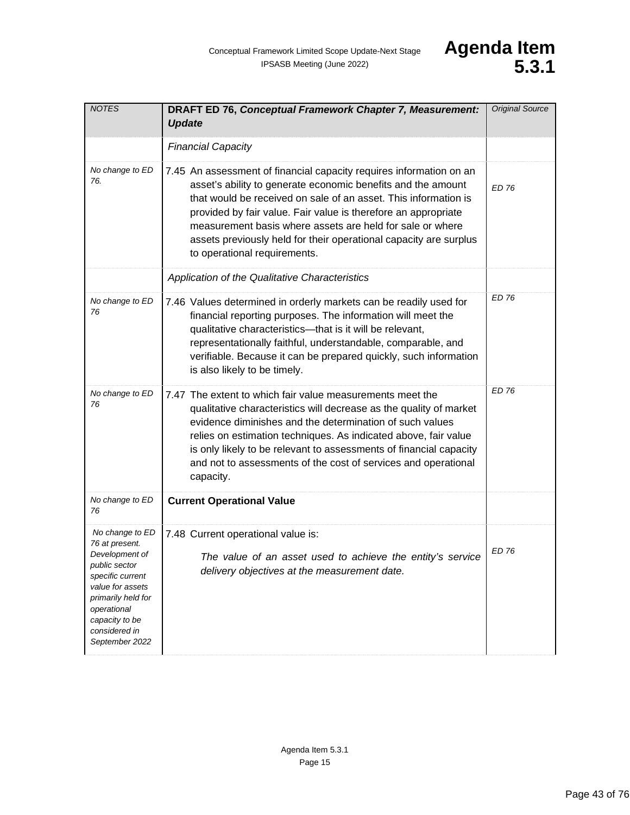| <b>NOTES</b>                                                                                                                                                                                           | DRAFT ED 76, Conceptual Framework Chapter 7, Measurement:<br><b>Update</b>                                                                                                                                                                                                                                                                                                                                                                 | <b>Original Source</b> |
|--------------------------------------------------------------------------------------------------------------------------------------------------------------------------------------------------------|--------------------------------------------------------------------------------------------------------------------------------------------------------------------------------------------------------------------------------------------------------------------------------------------------------------------------------------------------------------------------------------------------------------------------------------------|------------------------|
|                                                                                                                                                                                                        | <b>Financial Capacity</b>                                                                                                                                                                                                                                                                                                                                                                                                                  |                        |
| No change to ED<br>76.                                                                                                                                                                                 | 7.45 An assessment of financial capacity requires information on an<br>asset's ability to generate economic benefits and the amount<br>that would be received on sale of an asset. This information is<br>provided by fair value. Fair value is therefore an appropriate<br>measurement basis where assets are held for sale or where<br>assets previously held for their operational capacity are surplus<br>to operational requirements. | ED 76                  |
|                                                                                                                                                                                                        | Application of the Qualitative Characteristics                                                                                                                                                                                                                                                                                                                                                                                             |                        |
| No change to ED<br>76                                                                                                                                                                                  | 7.46 Values determined in orderly markets can be readily used for<br>financial reporting purposes. The information will meet the<br>qualitative characteristics-that is it will be relevant,<br>representationally faithful, understandable, comparable, and<br>verifiable. Because it can be prepared quickly, such information<br>is also likely to be timely.                                                                           | <b>ED 76</b>           |
| No change to ED<br>76                                                                                                                                                                                  | 7.47 The extent to which fair value measurements meet the<br>qualitative characteristics will decrease as the quality of market<br>evidence diminishes and the determination of such values<br>relies on estimation techniques. As indicated above, fair value<br>is only likely to be relevant to assessments of financial capacity<br>and not to assessments of the cost of services and operational<br>capacity.                        | <b>ED 76</b>           |
| No change to ED<br>76                                                                                                                                                                                  | <b>Current Operational Value</b>                                                                                                                                                                                                                                                                                                                                                                                                           |                        |
| No change to ED<br>76 at present.<br>Development of<br>public sector<br>specific current<br>value for assets<br>primarily held for<br>operational<br>capacity to be<br>considered in<br>September 2022 | 7.48 Current operational value is:<br>The value of an asset used to achieve the entity's service<br>delivery objectives at the measurement date.                                                                                                                                                                                                                                                                                           | ED 76                  |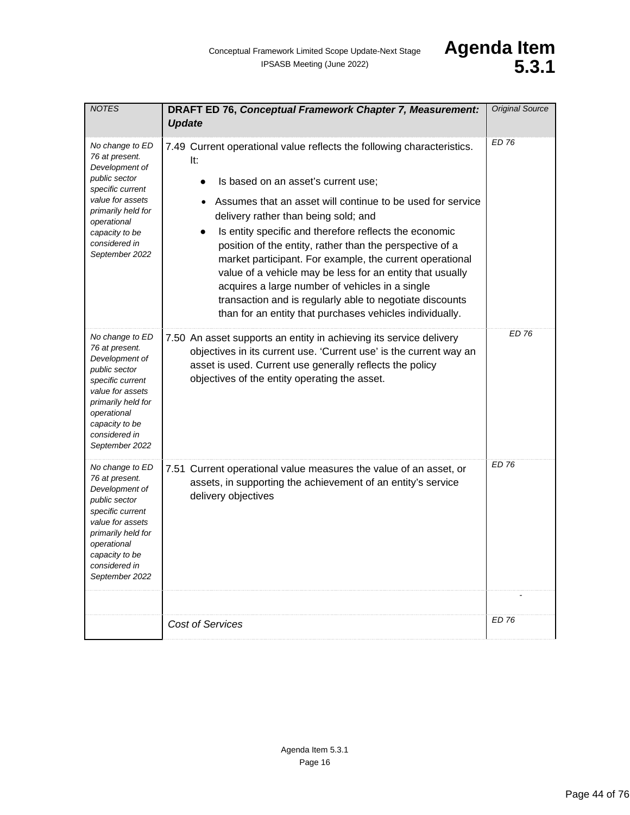| <b>NOTES</b>                                                                                                                                                                                           | <b>DRAFT ED 76, Conceptual Framework Chapter 7, Measurement:</b><br><b>Update</b>                                                                                                                                                                                                                                                                                                                                                                                                                                                                                                                                                                    | <b>Original Source</b> |
|--------------------------------------------------------------------------------------------------------------------------------------------------------------------------------------------------------|------------------------------------------------------------------------------------------------------------------------------------------------------------------------------------------------------------------------------------------------------------------------------------------------------------------------------------------------------------------------------------------------------------------------------------------------------------------------------------------------------------------------------------------------------------------------------------------------------------------------------------------------------|------------------------|
| No change to ED<br>76 at present.<br>Development of<br>public sector<br>specific current<br>value for assets<br>primarily held for<br>operational<br>capacity to be<br>considered in<br>September 2022 | 7.49 Current operational value reflects the following characteristics.<br>It:<br>Is based on an asset's current use;<br>Assumes that an asset will continue to be used for service<br>delivery rather than being sold; and<br>Is entity specific and therefore reflects the economic<br>position of the entity, rather than the perspective of a<br>market participant. For example, the current operational<br>value of a vehicle may be less for an entity that usually<br>acquires a large number of vehicles in a single<br>transaction and is regularly able to negotiate discounts<br>than for an entity that purchases vehicles individually. | <b>ED 76</b>           |
| No change to ED<br>76 at present.<br>Development of<br>public sector<br>specific current<br>value for assets<br>primarily held for<br>operational<br>capacity to be<br>considered in<br>September 2022 | 7.50 An asset supports an entity in achieving its service delivery<br>objectives in its current use. 'Current use' is the current way an<br>asset is used. Current use generally reflects the policy<br>objectives of the entity operating the asset.                                                                                                                                                                                                                                                                                                                                                                                                | <b>ED 76</b>           |
| No change to ED<br>76 at present.<br>Development of<br>public sector<br>specific current<br>value for assets<br>primarily held for<br>operational<br>capacity to be<br>considered in<br>September 2022 | 7.51 Current operational value measures the value of an asset, or<br>assets, in supporting the achievement of an entity's service<br>delivery objectives                                                                                                                                                                                                                                                                                                                                                                                                                                                                                             | <b>ED 76</b>           |
|                                                                                                                                                                                                        | <b>Cost of Services</b>                                                                                                                                                                                                                                                                                                                                                                                                                                                                                                                                                                                                                              | ED 76                  |
|                                                                                                                                                                                                        |                                                                                                                                                                                                                                                                                                                                                                                                                                                                                                                                                                                                                                                      |                        |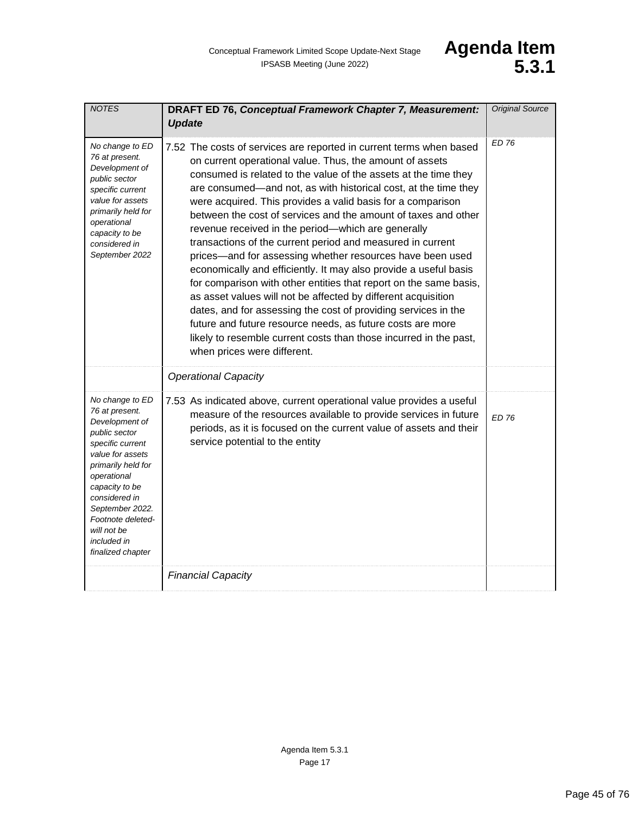| <b>NOTES</b>                                                                                                                                                                                                                                                                    | DRAFT ED 76, Conceptual Framework Chapter 7, Measurement:<br><b>Update</b>                                                                                                                                                                                                                                                                                                                                                                                                                                                                                                                                                                                                                                                                                                                                                                                                                                                                                                                                                            | <b>Original Source</b> |
|---------------------------------------------------------------------------------------------------------------------------------------------------------------------------------------------------------------------------------------------------------------------------------|---------------------------------------------------------------------------------------------------------------------------------------------------------------------------------------------------------------------------------------------------------------------------------------------------------------------------------------------------------------------------------------------------------------------------------------------------------------------------------------------------------------------------------------------------------------------------------------------------------------------------------------------------------------------------------------------------------------------------------------------------------------------------------------------------------------------------------------------------------------------------------------------------------------------------------------------------------------------------------------------------------------------------------------|------------------------|
| No change to ED<br>76 at present.<br>Development of<br>public sector<br>specific current<br>value for assets<br>primarily held for<br>operational<br>capacity to be<br>considered in<br>September 2022                                                                          | 7.52 The costs of services are reported in current terms when based<br>on current operational value. Thus, the amount of assets<br>consumed is related to the value of the assets at the time they<br>are consumed—and not, as with historical cost, at the time they<br>were acquired. This provides a valid basis for a comparison<br>between the cost of services and the amount of taxes and other<br>revenue received in the period-which are generally<br>transactions of the current period and measured in current<br>prices-and for assessing whether resources have been used<br>economically and efficiently. It may also provide a useful basis<br>for comparison with other entities that report on the same basis,<br>as asset values will not be affected by different acquisition<br>dates, and for assessing the cost of providing services in the<br>future and future resource needs, as future costs are more<br>likely to resemble current costs than those incurred in the past,<br>when prices were different. | <b>ED 76</b>           |
|                                                                                                                                                                                                                                                                                 | <b>Operational Capacity</b>                                                                                                                                                                                                                                                                                                                                                                                                                                                                                                                                                                                                                                                                                                                                                                                                                                                                                                                                                                                                           |                        |
| No change to ED<br>76 at present.<br>Development of<br>public sector<br>specific current<br>value for assets<br>primarily held for<br>operational<br>capacity to be<br>considered in<br>September 2022.<br>Footnote deleted-<br>will not be<br>included in<br>finalized chapter | 7.53 As indicated above, current operational value provides a useful<br>measure of the resources available to provide services in future<br>periods, as it is focused on the current value of assets and their<br>service potential to the entity                                                                                                                                                                                                                                                                                                                                                                                                                                                                                                                                                                                                                                                                                                                                                                                     | <b>ED 76</b>           |
|                                                                                                                                                                                                                                                                                 | <b>Financial Capacity</b>                                                                                                                                                                                                                                                                                                                                                                                                                                                                                                                                                                                                                                                                                                                                                                                                                                                                                                                                                                                                             |                        |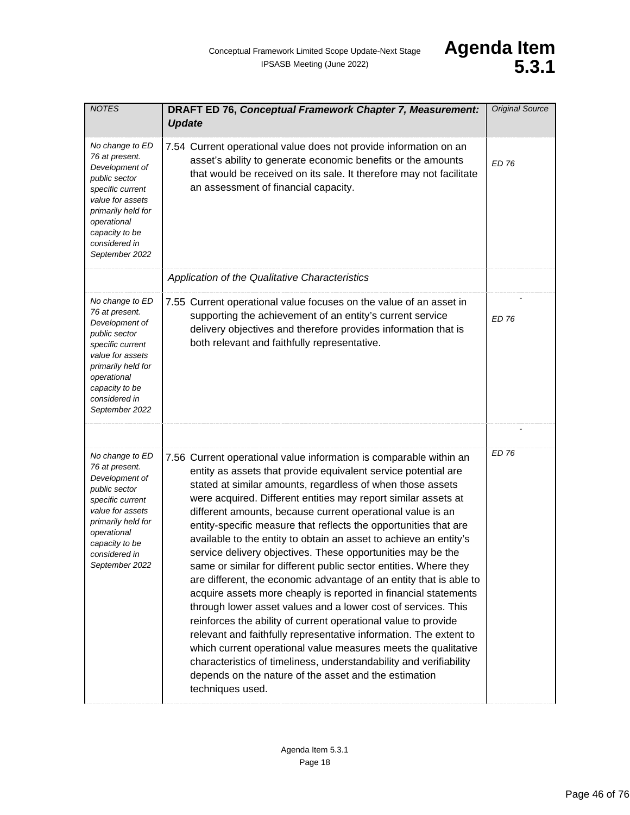| <b>NOTES</b>                                                                                                                                                                                           | DRAFT ED 76, Conceptual Framework Chapter 7, Measurement:<br><b>Update</b>                                                                                                                                                                                                                                                                                                                                                                                                                                                                                                                                                                                                                                                                                                                                                                                                                                                                                                                                                                                                                                                                                                           | <b>Original Source</b> |
|--------------------------------------------------------------------------------------------------------------------------------------------------------------------------------------------------------|--------------------------------------------------------------------------------------------------------------------------------------------------------------------------------------------------------------------------------------------------------------------------------------------------------------------------------------------------------------------------------------------------------------------------------------------------------------------------------------------------------------------------------------------------------------------------------------------------------------------------------------------------------------------------------------------------------------------------------------------------------------------------------------------------------------------------------------------------------------------------------------------------------------------------------------------------------------------------------------------------------------------------------------------------------------------------------------------------------------------------------------------------------------------------------------|------------------------|
| No change to ED<br>76 at present.<br>Development of<br>public sector<br>specific current<br>value for assets<br>primarily held for<br>operational<br>capacity to be<br>considered in<br>September 2022 | 7.54 Current operational value does not provide information on an<br>asset's ability to generate economic benefits or the amounts<br>that would be received on its sale. It therefore may not facilitate<br>an assessment of financial capacity.                                                                                                                                                                                                                                                                                                                                                                                                                                                                                                                                                                                                                                                                                                                                                                                                                                                                                                                                     | FD 76                  |
|                                                                                                                                                                                                        | Application of the Qualitative Characteristics                                                                                                                                                                                                                                                                                                                                                                                                                                                                                                                                                                                                                                                                                                                                                                                                                                                                                                                                                                                                                                                                                                                                       |                        |
| No change to ED<br>76 at present.<br>Development of<br>public sector<br>specific current<br>value for assets<br>primarily held for<br>operational<br>capacity to be<br>considered in<br>September 2022 | 7.55 Current operational value focuses on the value of an asset in<br>supporting the achievement of an entity's current service<br>delivery objectives and therefore provides information that is<br>both relevant and faithfully representative.                                                                                                                                                                                                                                                                                                                                                                                                                                                                                                                                                                                                                                                                                                                                                                                                                                                                                                                                    | <b>ED 76</b>           |
|                                                                                                                                                                                                        |                                                                                                                                                                                                                                                                                                                                                                                                                                                                                                                                                                                                                                                                                                                                                                                                                                                                                                                                                                                                                                                                                                                                                                                      |                        |
| No change to ED<br>76 at present.<br>Development of<br>public sector<br>specific current<br>value for assets<br>primarily held for<br>operational<br>capacity to be<br>considered in<br>September 2022 | 7.56 Current operational value information is comparable within an<br>entity as assets that provide equivalent service potential are<br>stated at similar amounts, regardless of when those assets<br>were acquired. Different entities may report similar assets at<br>different amounts, because current operational value is an<br>entity-specific measure that reflects the opportunities that are<br>available to the entity to obtain an asset to achieve an entity's<br>service delivery objectives. These opportunities may be the<br>same or similar for different public sector entities. Where they<br>are different, the economic advantage of an entity that is able to<br>acquire assets more cheaply is reported in financial statements<br>through lower asset values and a lower cost of services. This<br>reinforces the ability of current operational value to provide<br>relevant and faithfully representative information. The extent to<br>which current operational value measures meets the qualitative<br>characteristics of timeliness, understandability and verifiability<br>depends on the nature of the asset and the estimation<br>techniques used. | <b>ED 76</b>           |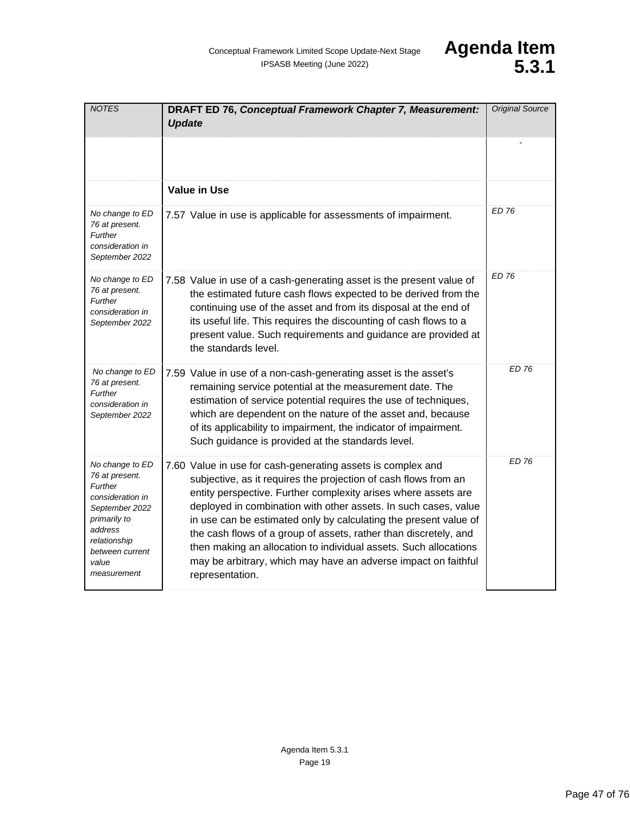| <b>NOTES</b>                                                                                                                                                             | DRAFT ED 76, Conceptual Framework Chapter 7, Measurement:<br><b>Update</b>                                                                                                                                                                                                                                                                                                                                                                                                                                                                                           | <b>Original Source</b> |
|--------------------------------------------------------------------------------------------------------------------------------------------------------------------------|----------------------------------------------------------------------------------------------------------------------------------------------------------------------------------------------------------------------------------------------------------------------------------------------------------------------------------------------------------------------------------------------------------------------------------------------------------------------------------------------------------------------------------------------------------------------|------------------------|
|                                                                                                                                                                          |                                                                                                                                                                                                                                                                                                                                                                                                                                                                                                                                                                      |                        |
|                                                                                                                                                                          | <b>Value in Use</b>                                                                                                                                                                                                                                                                                                                                                                                                                                                                                                                                                  |                        |
| No change to ED<br>76 at present.<br>Further<br>consideration in<br>September 2022                                                                                       | 7.57 Value in use is applicable for assessments of impairment.                                                                                                                                                                                                                                                                                                                                                                                                                                                                                                       | <b>ED 76</b>           |
| No change to ED<br>76 at present.<br>Further<br>consideration in<br>September 2022                                                                                       | 7.58 Value in use of a cash-generating asset is the present value of<br>the estimated future cash flows expected to be derived from the<br>continuing use of the asset and from its disposal at the end of<br>its useful life. This requires the discounting of cash flows to a<br>present value. Such requirements and guidance are provided at<br>the standards level.                                                                                                                                                                                             | <b>ED 76</b>           |
| No change to ED<br>76 at present.<br>Further<br>consideration in<br>September 2022                                                                                       | 7.59 Value in use of a non-cash-generating asset is the asset's<br>remaining service potential at the measurement date. The<br>estimation of service potential requires the use of techniques,<br>which are dependent on the nature of the asset and, because<br>of its applicability to impairment, the indicator of impairment.<br>Such guidance is provided at the standards level.                                                                                                                                                                               | <b>ED 76</b>           |
| No change to ED<br>76 at present.<br>Further<br>consideration in<br>September 2022<br>primarily to<br>address<br>relationship<br>between current<br>value<br>measurement | 7.60 Value in use for cash-generating assets is complex and<br>subjective, as it requires the projection of cash flows from an<br>entity perspective. Further complexity arises where assets are<br>deployed in combination with other assets. In such cases, value<br>in use can be estimated only by calculating the present value of<br>the cash flows of a group of assets, rather than discretely, and<br>then making an allocation to individual assets. Such allocations<br>may be arbitrary, which may have an adverse impact on faithful<br>representation. | <b>ED 76</b>           |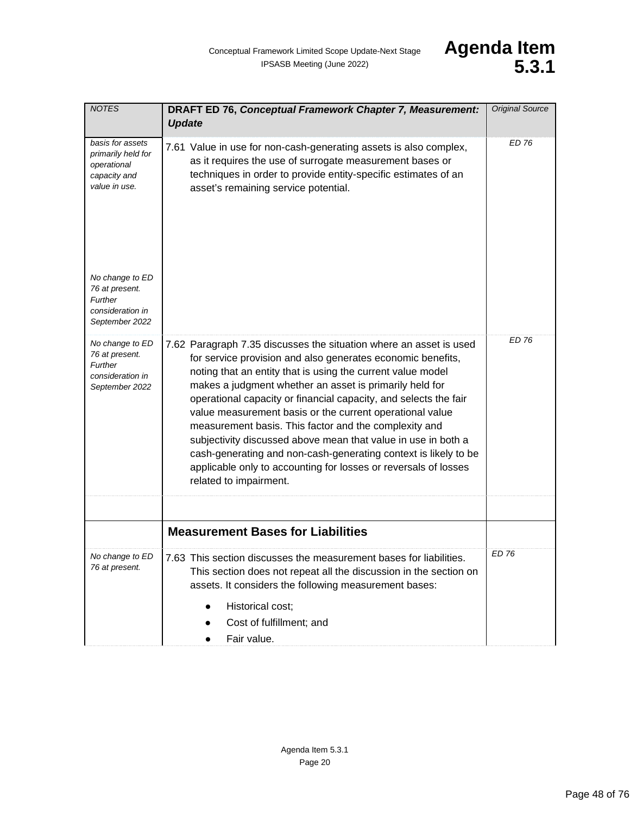| <b>NOTES</b>                                                                           | DRAFT ED 76, Conceptual Framework Chapter 7, Measurement:<br><b>Update</b>                                                                                                                                                                                                                                                                                                                                                                                                                                                                                                                                                                                                            | <b>Original Source</b> |
|----------------------------------------------------------------------------------------|---------------------------------------------------------------------------------------------------------------------------------------------------------------------------------------------------------------------------------------------------------------------------------------------------------------------------------------------------------------------------------------------------------------------------------------------------------------------------------------------------------------------------------------------------------------------------------------------------------------------------------------------------------------------------------------|------------------------|
| basis for assets<br>primarily held for<br>operational<br>capacity and<br>value in use. | 7.61 Value in use for non-cash-generating assets is also complex,<br>as it requires the use of surrogate measurement bases or<br>techniques in order to provide entity-specific estimates of an<br>asset's remaining service potential.                                                                                                                                                                                                                                                                                                                                                                                                                                               | <b>ED 76</b>           |
| No change to ED<br>76 at present.<br>Further<br>consideration in<br>September 2022     |                                                                                                                                                                                                                                                                                                                                                                                                                                                                                                                                                                                                                                                                                       |                        |
| No change to ED<br>76 at present.<br>Further<br>consideration in<br>September 2022     | 7.62 Paragraph 7.35 discusses the situation where an asset is used<br>for service provision and also generates economic benefits,<br>noting that an entity that is using the current value model<br>makes a judgment whether an asset is primarily held for<br>operational capacity or financial capacity, and selects the fair<br>value measurement basis or the current operational value<br>measurement basis. This factor and the complexity and<br>subjectivity discussed above mean that value in use in both a<br>cash-generating and non-cash-generating context is likely to be<br>applicable only to accounting for losses or reversals of losses<br>related to impairment. | <b>ED 76</b>           |
|                                                                                        |                                                                                                                                                                                                                                                                                                                                                                                                                                                                                                                                                                                                                                                                                       |                        |
|                                                                                        | <b>Measurement Bases for Liabilities</b>                                                                                                                                                                                                                                                                                                                                                                                                                                                                                                                                                                                                                                              |                        |
| No change to ED<br>76 at present.                                                      | 7.63 This section discusses the measurement bases for liabilities.<br>This section does not repeat all the discussion in the section on<br>assets. It considers the following measurement bases:<br>Historical cost;<br>$\bullet$<br>Cost of fulfillment; and<br>Fair value.                                                                                                                                                                                                                                                                                                                                                                                                          | ED 76                  |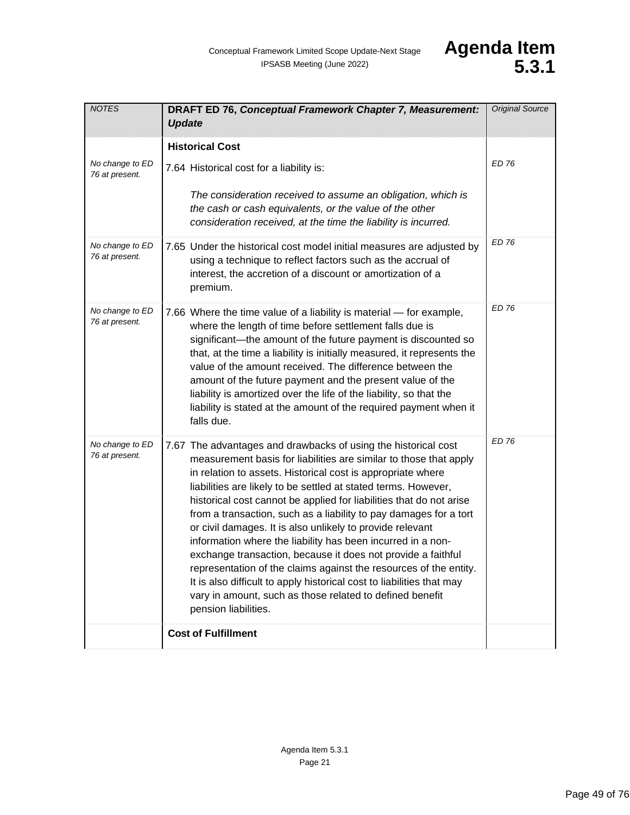| <b>NOTES</b>                      | <b>DRAFT ED 76, Conceptual Framework Chapter 7, Measurement:</b><br><b>Update</b>                                                                                                                                                                                                                                                                                                                                                                                                                                                                                                                                                                                                                                                                                                                                                              | <b>Original Source</b> |
|-----------------------------------|------------------------------------------------------------------------------------------------------------------------------------------------------------------------------------------------------------------------------------------------------------------------------------------------------------------------------------------------------------------------------------------------------------------------------------------------------------------------------------------------------------------------------------------------------------------------------------------------------------------------------------------------------------------------------------------------------------------------------------------------------------------------------------------------------------------------------------------------|------------------------|
| No change to ED<br>76 at present. | <b>Historical Cost</b><br>7.64 Historical cost for a liability is:<br>The consideration received to assume an obligation, which is<br>the cash or cash equivalents, or the value of the other<br>consideration received, at the time the liability is incurred.                                                                                                                                                                                                                                                                                                                                                                                                                                                                                                                                                                                | ED 76                  |
| No change to ED<br>76 at present. | 7.65 Under the historical cost model initial measures are adjusted by<br>using a technique to reflect factors such as the accrual of<br>interest, the accretion of a discount or amortization of a<br>premium.                                                                                                                                                                                                                                                                                                                                                                                                                                                                                                                                                                                                                                 | <b>ED 76</b>           |
| No change to ED<br>76 at present. | 7.66 Where the time value of a liability is material - for example,<br>where the length of time before settlement falls due is<br>significant—the amount of the future payment is discounted so<br>that, at the time a liability is initially measured, it represents the<br>value of the amount received. The difference between the<br>amount of the future payment and the present value of the<br>liability is amortized over the life of the liability, so that the<br>liability is stated at the amount of the required payment when it<br>falls due.                                                                                                                                                                                                                                                                                    | ED 76                  |
| No change to ED<br>76 at present. | 7.67 The advantages and drawbacks of using the historical cost<br>measurement basis for liabilities are similar to those that apply<br>in relation to assets. Historical cost is appropriate where<br>liabilities are likely to be settled at stated terms. However,<br>historical cost cannot be applied for liabilities that do not arise<br>from a transaction, such as a liability to pay damages for a tort<br>or civil damages. It is also unlikely to provide relevant<br>information where the liability has been incurred in a non-<br>exchange transaction, because it does not provide a faithful<br>representation of the claims against the resources of the entity.<br>It is also difficult to apply historical cost to liabilities that may<br>vary in amount, such as those related to defined benefit<br>pension liabilities. | <b>ED 76</b>           |
|                                   | <b>Cost of Fulfillment</b>                                                                                                                                                                                                                                                                                                                                                                                                                                                                                                                                                                                                                                                                                                                                                                                                                     |                        |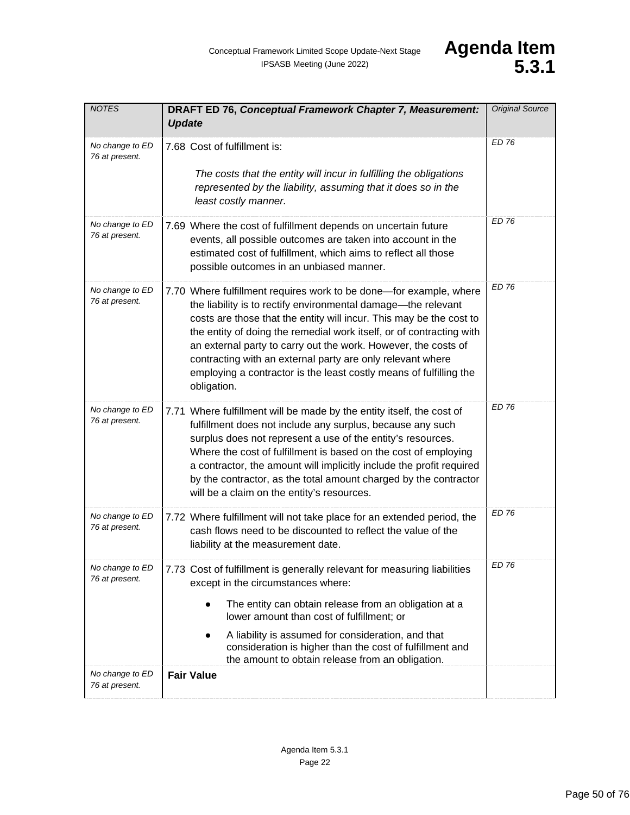| <b>NOTES</b>                      | DRAFT ED 76, Conceptual Framework Chapter 7, Measurement:<br><b>Update</b>                                                                                                                                                                                                                                                                                                                                                                                                                              | <b>Original Source</b> |
|-----------------------------------|---------------------------------------------------------------------------------------------------------------------------------------------------------------------------------------------------------------------------------------------------------------------------------------------------------------------------------------------------------------------------------------------------------------------------------------------------------------------------------------------------------|------------------------|
| No change to ED<br>76 at present. | 7.68 Cost of fulfillment is:<br>The costs that the entity will incur in fulfilling the obligations<br>represented by the liability, assuming that it does so in the<br>least costly manner.                                                                                                                                                                                                                                                                                                             | <b>ED 76</b>           |
| No change to ED<br>76 at present. | 7.69 Where the cost of fulfillment depends on uncertain future<br>events, all possible outcomes are taken into account in the<br>estimated cost of fulfillment, which aims to reflect all those<br>possible outcomes in an unbiased manner.                                                                                                                                                                                                                                                             | ED 76                  |
| No change to ED<br>76 at present. | 7.70 Where fulfillment requires work to be done—for example, where<br>the liability is to rectify environmental damage-the relevant<br>costs are those that the entity will incur. This may be the cost to<br>the entity of doing the remedial work itself, or of contracting with<br>an external party to carry out the work. However, the costs of<br>contracting with an external party are only relevant where<br>employing a contractor is the least costly means of fulfilling the<br>obligation. | <b>ED 76</b>           |
| No change to ED<br>76 at present. | 7.71 Where fulfillment will be made by the entity itself, the cost of<br>fulfillment does not include any surplus, because any such<br>surplus does not represent a use of the entity's resources.<br>Where the cost of fulfillment is based on the cost of employing<br>a contractor, the amount will implicitly include the profit required<br>by the contractor, as the total amount charged by the contractor<br>will be a claim on the entity's resources.                                         | ED 76                  |
| No change to ED<br>76 at present. | 7.72 Where fulfillment will not take place for an extended period, the<br>cash flows need to be discounted to reflect the value of the<br>liability at the measurement date.                                                                                                                                                                                                                                                                                                                            | <b>ED 76</b>           |
| No change to ED<br>76 at present. | 7.73 Cost of fulfillment is generally relevant for measuring liabilities<br>except in the circumstances where:<br>The entity can obtain release from an obligation at a<br>$\bullet$<br>lower amount than cost of fulfillment; or<br>A liability is assumed for consideration, and that<br>$\bullet$<br>consideration is higher than the cost of fulfillment and<br>the amount to obtain release from an obligation.                                                                                    | ED 76                  |
| No change to ED<br>76 at present. | <b>Fair Value</b>                                                                                                                                                                                                                                                                                                                                                                                                                                                                                       |                        |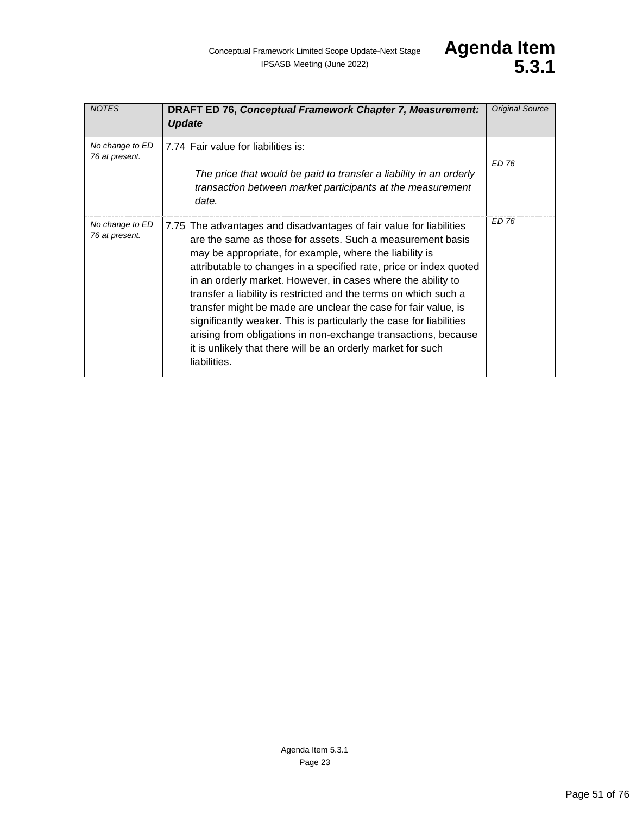| <b>NOTES</b>                      | <b>DRAFT ED 76, Conceptual Framework Chapter 7, Measurement:</b><br><b>Update</b>                                                                                                                                                                                                                                                                                                                                                                                                                                                                                                                                                                                                                 | <b>Original Source</b> |
|-----------------------------------|---------------------------------------------------------------------------------------------------------------------------------------------------------------------------------------------------------------------------------------------------------------------------------------------------------------------------------------------------------------------------------------------------------------------------------------------------------------------------------------------------------------------------------------------------------------------------------------------------------------------------------------------------------------------------------------------------|------------------------|
| No change to ED<br>76 at present. | 7.74 Fair value for liabilities is:<br>The price that would be paid to transfer a liability in an orderly<br>transaction between market participants at the measurement<br>date.                                                                                                                                                                                                                                                                                                                                                                                                                                                                                                                  | ED 76                  |
| No change to ED<br>76 at present. | 7.75 The advantages and disadvantages of fair value for liabilities<br>are the same as those for assets. Such a measurement basis<br>may be appropriate, for example, where the liability is<br>attributable to changes in a specified rate, price or index quoted<br>in an orderly market. However, in cases where the ability to<br>transfer a liability is restricted and the terms on which such a<br>transfer might be made are unclear the case for fair value, is<br>significantly weaker. This is particularly the case for liabilities<br>arising from obligations in non-exchange transactions, because<br>it is unlikely that there will be an orderly market for such<br>liabilities. | <b>ED 76</b>           |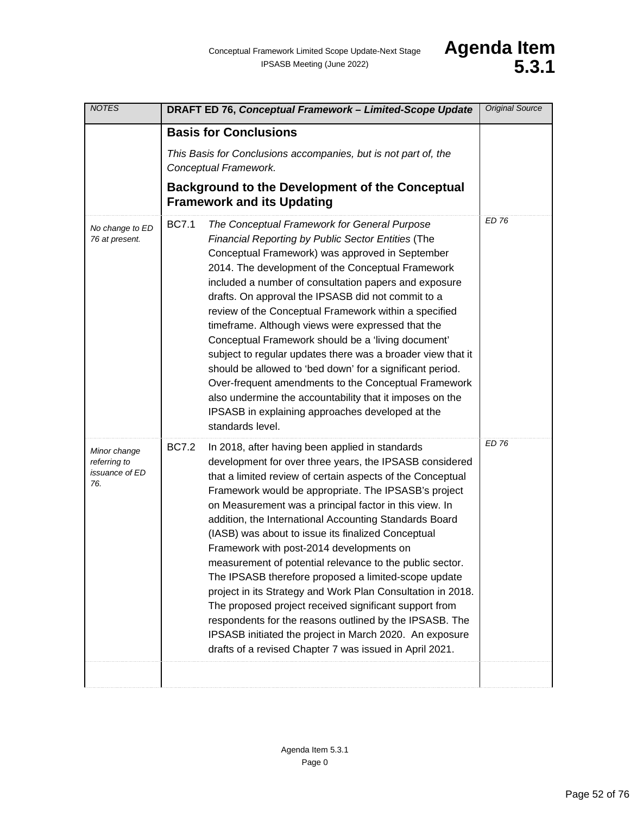| <b>NOTES</b>                                                 | DRAFT ED 76, Conceptual Framework - Limited-Scope Update                                                                                                                                                                                                                                                                                                                                                                                                                                                                                                                                                                                                                                                                                                                                                                                                                                             | <b>Original Source</b> |
|--------------------------------------------------------------|------------------------------------------------------------------------------------------------------------------------------------------------------------------------------------------------------------------------------------------------------------------------------------------------------------------------------------------------------------------------------------------------------------------------------------------------------------------------------------------------------------------------------------------------------------------------------------------------------------------------------------------------------------------------------------------------------------------------------------------------------------------------------------------------------------------------------------------------------------------------------------------------------|------------------------|
|                                                              | <b>Basis for Conclusions</b><br>This Basis for Conclusions accompanies, but is not part of, the<br>Conceptual Framework.<br><b>Background to the Development of the Conceptual</b><br><b>Framework and its Updating</b>                                                                                                                                                                                                                                                                                                                                                                                                                                                                                                                                                                                                                                                                              |                        |
| No change to ED<br>76 at present.                            | <b>BC7.1</b><br>The Conceptual Framework for General Purpose<br>Financial Reporting by Public Sector Entities (The<br>Conceptual Framework) was approved in September<br>2014. The development of the Conceptual Framework<br>included a number of consultation papers and exposure<br>drafts. On approval the IPSASB did not commit to a<br>review of the Conceptual Framework within a specified<br>timeframe. Although views were expressed that the<br>Conceptual Framework should be a 'living document'<br>subject to regular updates there was a broader view that it<br>should be allowed to 'bed down' for a significant period.<br>Over-frequent amendments to the Conceptual Framework<br>also undermine the accountability that it imposes on the<br>IPSASB in explaining approaches developed at the<br>standards level.                                                                | ED 76                  |
| Minor change<br>referring to<br><i>issuance of ED</i><br>76. | <b>BC7.2</b><br>In 2018, after having been applied in standards<br>development for over three years, the IPSASB considered<br>that a limited review of certain aspects of the Conceptual<br>Framework would be appropriate. The IPSASB's project<br>on Measurement was a principal factor in this view. In<br>addition, the International Accounting Standards Board<br>(IASB) was about to issue its finalized Conceptual<br>Framework with post-2014 developments on<br>measurement of potential relevance to the public sector.<br>The IPSASB therefore proposed a limited-scope update<br>project in its Strategy and Work Plan Consultation in 2018.<br>The proposed project received significant support from<br>respondents for the reasons outlined by the IPSASB. The<br>IPSASB initiated the project in March 2020. An exposure<br>drafts of a revised Chapter 7 was issued in April 2021. | <b>ED 76</b>           |
|                                                              |                                                                                                                                                                                                                                                                                                                                                                                                                                                                                                                                                                                                                                                                                                                                                                                                                                                                                                      |                        |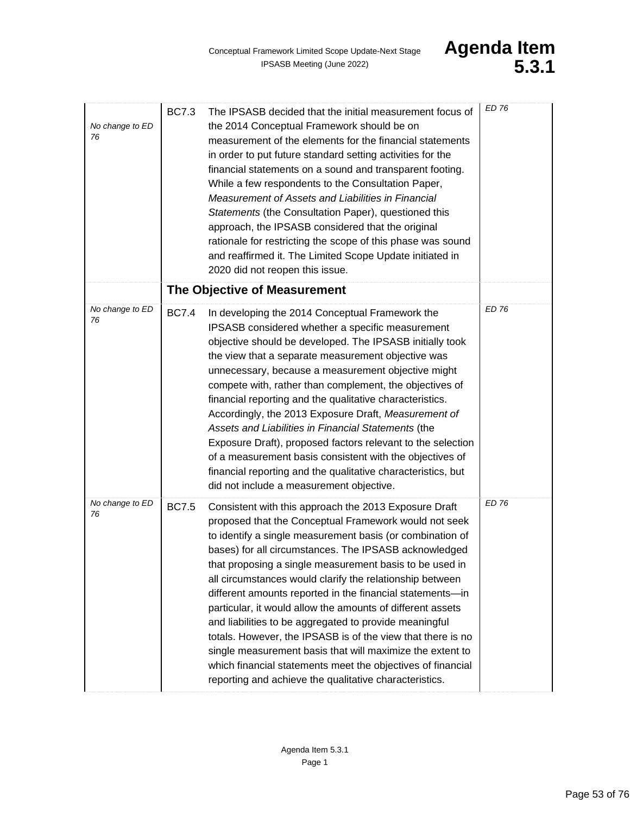| No change to ED<br>76 | <b>BC7.3</b> | The IPSASB decided that the initial measurement focus of<br>the 2014 Conceptual Framework should be on<br>measurement of the elements for the financial statements<br>in order to put future standard setting activities for the<br>financial statements on a sound and transparent footing.<br>While a few respondents to the Consultation Paper,<br>Measurement of Assets and Liabilities in Financial<br>Statements (the Consultation Paper), questioned this<br>approach, the IPSASB considered that the original<br>rationale for restricting the scope of this phase was sound<br>and reaffirmed it. The Limited Scope Update initiated in<br>2020 did not reopen this issue.                                                                                                                   | ED 76        |
|-----------------------|--------------|-------------------------------------------------------------------------------------------------------------------------------------------------------------------------------------------------------------------------------------------------------------------------------------------------------------------------------------------------------------------------------------------------------------------------------------------------------------------------------------------------------------------------------------------------------------------------------------------------------------------------------------------------------------------------------------------------------------------------------------------------------------------------------------------------------|--------------|
|                       |              | The Objective of Measurement                                                                                                                                                                                                                                                                                                                                                                                                                                                                                                                                                                                                                                                                                                                                                                          |              |
| No change to ED<br>76 | <b>BC7.4</b> | In developing the 2014 Conceptual Framework the<br>IPSASB considered whether a specific measurement<br>objective should be developed. The IPSASB initially took<br>the view that a separate measurement objective was<br>unnecessary, because a measurement objective might<br>compete with, rather than complement, the objectives of<br>financial reporting and the qualitative characteristics.<br>Accordingly, the 2013 Exposure Draft, Measurement of<br>Assets and Liabilities in Financial Statements (the<br>Exposure Draft), proposed factors relevant to the selection<br>of a measurement basis consistent with the objectives of<br>financial reporting and the qualitative characteristics, but<br>did not include a measurement objective.                                              | ED 76        |
| No change to ED<br>76 | <b>BC7.5</b> | Consistent with this approach the 2013 Exposure Draft<br>proposed that the Conceptual Framework would not seek<br>to identify a single measurement basis (or combination of<br>bases) for all circumstances. The IPSASB acknowledged<br>that proposing a single measurement basis to be used in<br>all circumstances would clarify the relationship between<br>different amounts reported in the financial statements-in<br>particular, it would allow the amounts of different assets<br>and liabilities to be aggregated to provide meaningful<br>totals. However, the IPSASB is of the view that there is no<br>single measurement basis that will maximize the extent to<br>which financial statements meet the objectives of financial<br>reporting and achieve the qualitative characteristics. | <b>ED 76</b> |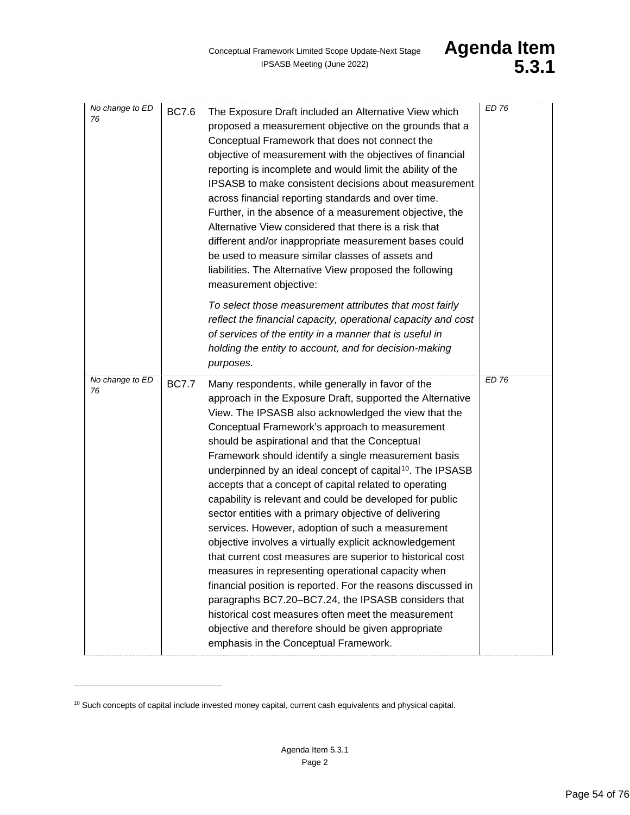| No change to ED<br>76 | <b>BC7.6</b> | The Exposure Draft included an Alternative View which<br>proposed a measurement objective on the grounds that a<br>Conceptual Framework that does not connect the<br>objective of measurement with the objectives of financial<br>reporting is incomplete and would limit the ability of the<br>IPSASB to make consistent decisions about measurement<br>across financial reporting standards and over time.<br>Further, in the absence of a measurement objective, the<br>Alternative View considered that there is a risk that<br>different and/or inappropriate measurement bases could<br>be used to measure similar classes of assets and<br>liabilities. The Alternative View proposed the following<br>measurement objective:                                                                                                                                                                                                                                                                                                                                                                          | <b>ED 76</b> |
|-----------------------|--------------|---------------------------------------------------------------------------------------------------------------------------------------------------------------------------------------------------------------------------------------------------------------------------------------------------------------------------------------------------------------------------------------------------------------------------------------------------------------------------------------------------------------------------------------------------------------------------------------------------------------------------------------------------------------------------------------------------------------------------------------------------------------------------------------------------------------------------------------------------------------------------------------------------------------------------------------------------------------------------------------------------------------------------------------------------------------------------------------------------------------|--------------|
|                       |              | To select those measurement attributes that most fairly<br>reflect the financial capacity, operational capacity and cost<br>of services of the entity in a manner that is useful in<br>holding the entity to account, and for decision-making<br>purposes.                                                                                                                                                                                                                                                                                                                                                                                                                                                                                                                                                                                                                                                                                                                                                                                                                                                    |              |
| No change to ED<br>76 | <b>BC7.7</b> | Many respondents, while generally in favor of the<br>approach in the Exposure Draft, supported the Alternative<br>View. The IPSASB also acknowledged the view that the<br>Conceptual Framework's approach to measurement<br>should be aspirational and that the Conceptual<br>Framework should identify a single measurement basis<br>underpinned by an ideal concept of capital <sup>10</sup> . The IPSASB<br>accepts that a concept of capital related to operating<br>capability is relevant and could be developed for public<br>sector entities with a primary objective of delivering<br>services. However, adoption of such a measurement<br>objective involves a virtually explicit acknowledgement<br>that current cost measures are superior to historical cost<br>measures in representing operational capacity when<br>financial position is reported. For the reasons discussed in<br>paragraphs BC7.20-BC7.24, the IPSASB considers that<br>historical cost measures often meet the measurement<br>objective and therefore should be given appropriate<br>emphasis in the Conceptual Framework. | ED 76        |

<span id="page-53-0"></span><sup>&</sup>lt;sup>10</sup> Such concepts of capital include invested money capital, current cash equivalents and physical capital.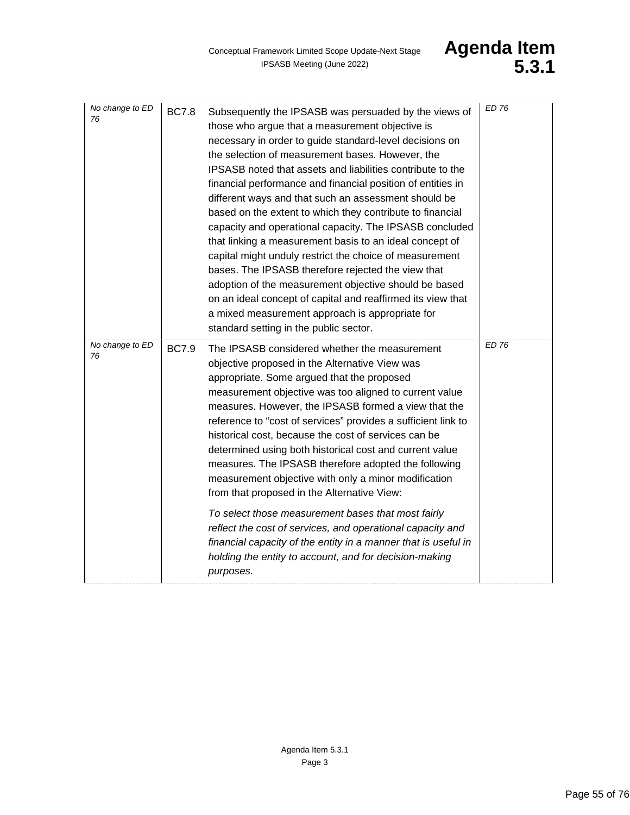| No change to ED<br>76 | <b>BC7.8</b> | Subsequently the IPSASB was persuaded by the views of<br>those who argue that a measurement objective is<br>necessary in order to guide standard-level decisions on<br>the selection of measurement bases. However, the<br>IPSASB noted that assets and liabilities contribute to the<br>financial performance and financial position of entities in<br>different ways and that such an assessment should be<br>based on the extent to which they contribute to financial<br>capacity and operational capacity. The IPSASB concluded<br>that linking a measurement basis to an ideal concept of<br>capital might unduly restrict the choice of measurement<br>bases. The IPSASB therefore rejected the view that<br>adoption of the measurement objective should be based<br>on an ideal concept of capital and reaffirmed its view that<br>a mixed measurement approach is appropriate for | ED 76        |
|-----------------------|--------------|---------------------------------------------------------------------------------------------------------------------------------------------------------------------------------------------------------------------------------------------------------------------------------------------------------------------------------------------------------------------------------------------------------------------------------------------------------------------------------------------------------------------------------------------------------------------------------------------------------------------------------------------------------------------------------------------------------------------------------------------------------------------------------------------------------------------------------------------------------------------------------------------|--------------|
| No change to ED<br>76 | <b>BC7.9</b> | standard setting in the public sector.<br>The IPSASB considered whether the measurement<br>objective proposed in the Alternative View was<br>appropriate. Some argued that the proposed<br>measurement objective was too aligned to current value<br>measures. However, the IPSASB formed a view that the<br>reference to "cost of services" provides a sufficient link to<br>historical cost, because the cost of services can be<br>determined using both historical cost and current value<br>measures. The IPSASB therefore adopted the following<br>measurement objective with only a minor modification<br>from that proposed in the Alternative View:                                                                                                                                                                                                                                | <b>ED 76</b> |
|                       |              | To select those measurement bases that most fairly<br>reflect the cost of services, and operational capacity and<br>financial capacity of the entity in a manner that is useful in<br>holding the entity to account, and for decision-making<br>purposes.                                                                                                                                                                                                                                                                                                                                                                                                                                                                                                                                                                                                                                   |              |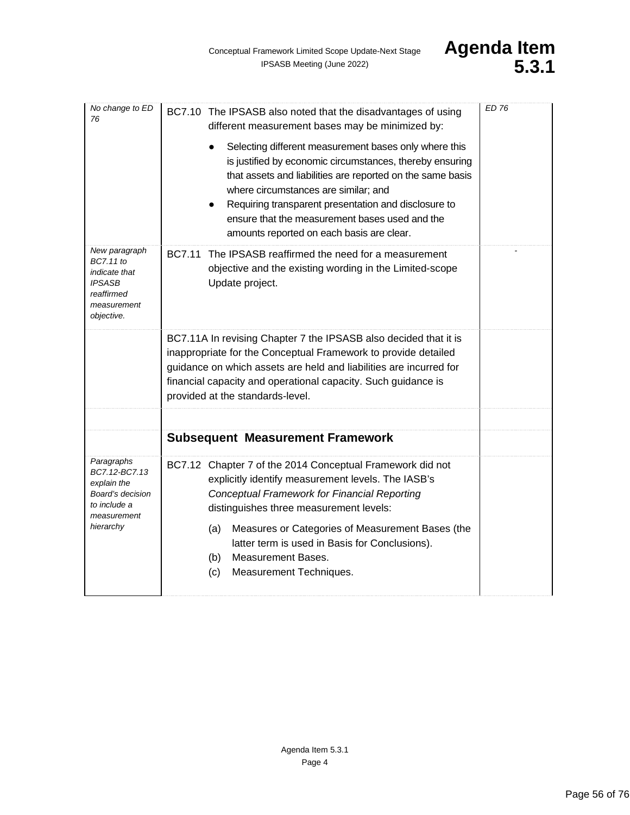<span id="page-55-0"></span>

| No change to ED<br>76                                                                                          | BC7.10 The IPSASB also noted that the disadvantages of using<br>different measurement bases may be minimized by:<br>Selecting different measurement bases only where this<br>is justified by economic circumstances, thereby ensuring<br>that assets and liabilities are reported on the same basis<br>where circumstances are similar; and<br>Requiring transparent presentation and disclosure to<br>ensure that the measurement bases used and the<br>amounts reported on each basis are clear. | <b>ED 76</b> |
|----------------------------------------------------------------------------------------------------------------|----------------------------------------------------------------------------------------------------------------------------------------------------------------------------------------------------------------------------------------------------------------------------------------------------------------------------------------------------------------------------------------------------------------------------------------------------------------------------------------------------|--------------|
| New paragraph<br>BC7.11 to<br><i>indicate that</i><br><b>IPSASB</b><br>reaffirmed<br>measurement<br>objective. | The IPSASB reaffirmed the need for a measurement<br>BC7.11<br>objective and the existing wording in the Limited-scope<br>Update project.                                                                                                                                                                                                                                                                                                                                                           |              |
|                                                                                                                | BC7.11A In revising Chapter 7 the IPSASB also decided that it is<br>inappropriate for the Conceptual Framework to provide detailed<br>guidance on which assets are held and liabilities are incurred for<br>financial capacity and operational capacity. Such guidance is<br>provided at the standards-level.                                                                                                                                                                                      |              |
|                                                                                                                | <b>Subsequent Measurement Framework</b>                                                                                                                                                                                                                                                                                                                                                                                                                                                            |              |
|                                                                                                                |                                                                                                                                                                                                                                                                                                                                                                                                                                                                                                    |              |
| Paragraphs<br>BC7.12-BC7.13<br>explain the<br>Board's decision<br>to include a<br>measurement<br>hierarchy     | BC7.12 Chapter 7 of the 2014 Conceptual Framework did not<br>explicitly identify measurement levels. The IASB's<br><b>Conceptual Framework for Financial Reporting</b><br>distinguishes three measurement levels:<br>Measures or Categories of Measurement Bases (the<br>(a)<br>latter term is used in Basis for Conclusions).<br><b>Measurement Bases.</b><br>(b)<br>Measurement Techniques.<br>(c)                                                                                               |              |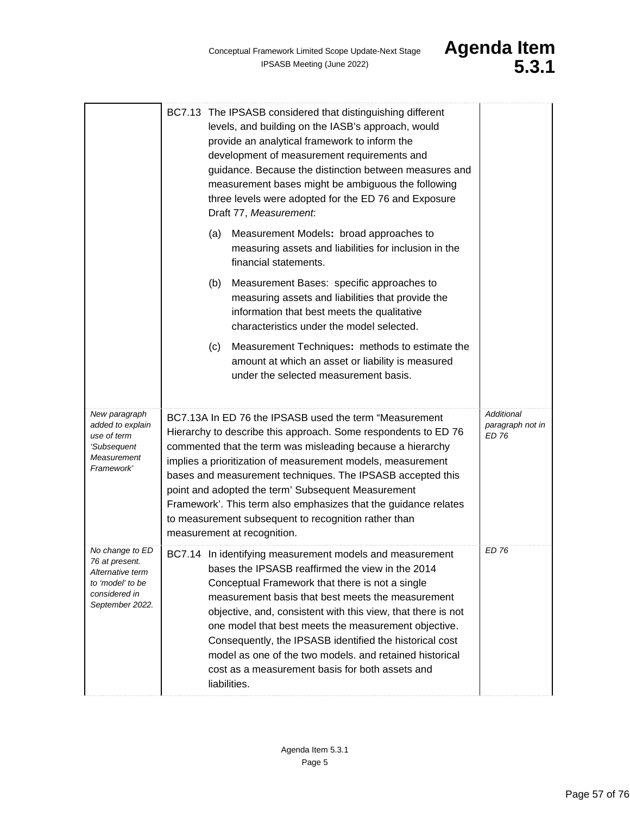

<span id="page-56-0"></span>

|                                                                                                               | BC7.13 The IPSASB considered that distinguishing different<br>levels, and building on the IASB's approach, would<br>provide an analytical framework to inform the<br>development of measurement requirements and<br>guidance. Because the distinction between measures and<br>measurement bases might be ambiguous the following<br>three levels were adopted for the ED 76 and Exposure<br>Draft 77, Measurement.                                                                                                                    |                                         |
|---------------------------------------------------------------------------------------------------------------|---------------------------------------------------------------------------------------------------------------------------------------------------------------------------------------------------------------------------------------------------------------------------------------------------------------------------------------------------------------------------------------------------------------------------------------------------------------------------------------------------------------------------------------|-----------------------------------------|
|                                                                                                               | (a)<br>Measurement Models: broad approaches to<br>measuring assets and liabilities for inclusion in the<br>financial statements.                                                                                                                                                                                                                                                                                                                                                                                                      |                                         |
|                                                                                                               | (b)<br>Measurement Bases: specific approaches to<br>measuring assets and liabilities that provide the<br>information that best meets the qualitative<br>characteristics under the model selected.                                                                                                                                                                                                                                                                                                                                     |                                         |
|                                                                                                               | Measurement Techniques: methods to estimate the<br>(c)<br>amount at which an asset or liability is measured<br>under the selected measurement basis.                                                                                                                                                                                                                                                                                                                                                                                  |                                         |
| New paragraph<br>added to explain<br>use of term<br>'Subsequent<br>Measurement<br>Framework'                  | BC7.13A In ED 76 the IPSASB used the term "Measurement<br>Hierarchy to describe this approach. Some respondents to ED 76<br>commented that the term was misleading because a hierarchy<br>implies a prioritization of measurement models, measurement<br>bases and measurement techniques. The IPSASB accepted this<br>point and adopted the term' Subsequent Measurement<br>Framework'. This term also emphasizes that the guidance relates<br>to measurement subsequent to recognition rather than<br>measurement at recognition.   | Additional<br>paragraph not in<br>ED 76 |
| No change to ED<br>76 at present.<br>Alternative term<br>to 'model' to be<br>considered in<br>September 2022. | BC7.14 In identifying measurement models and measurement<br>bases the IPSASB reaffirmed the view in the 2014<br>Conceptual Framework that there is not a single<br>measurement basis that best meets the measurement<br>objective, and, consistent with this view, that there is not<br>one model that best meets the measurement objective.<br>Consequently, the IPSASB identified the historical cost<br>model as one of the two models, and retained historical<br>cost as a measurement basis for both assets and<br>liabilities. | ED 76                                   |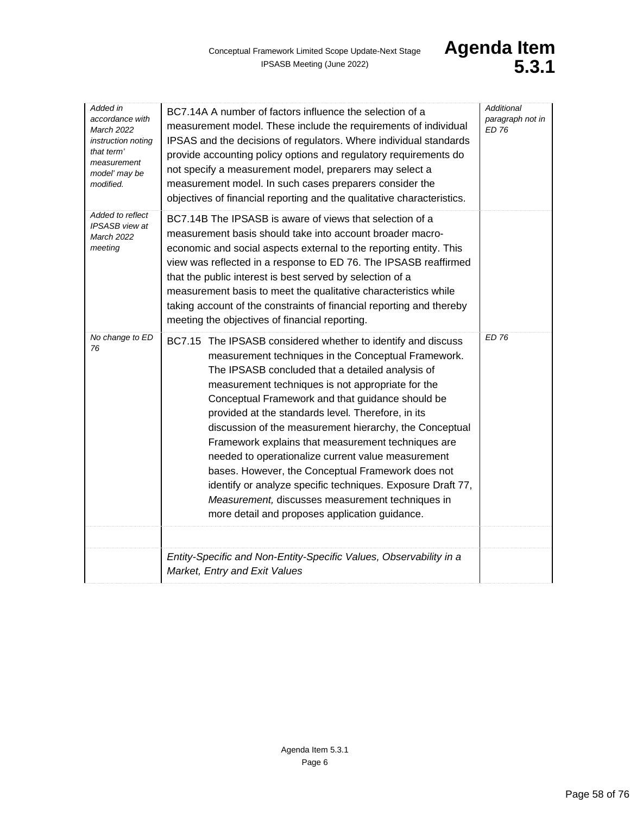| Added in<br>accordance with<br><b>March 2022</b><br>instruction noting<br>that term'<br>measurement<br>model' may be<br>modified. | BC7.14A A number of factors influence the selection of a<br>measurement model. These include the requirements of individual<br>IPSAS and the decisions of regulators. Where individual standards<br>provide accounting policy options and regulatory requirements do<br>not specify a measurement model, preparers may select a<br>measurement model. In such cases preparers consider the<br>objectives of financial reporting and the qualitative characteristics.                                                                                                                                                                                                                                                                    | <b>Additional</b><br>paragraph not in<br>ED 76 |
|-----------------------------------------------------------------------------------------------------------------------------------|-----------------------------------------------------------------------------------------------------------------------------------------------------------------------------------------------------------------------------------------------------------------------------------------------------------------------------------------------------------------------------------------------------------------------------------------------------------------------------------------------------------------------------------------------------------------------------------------------------------------------------------------------------------------------------------------------------------------------------------------|------------------------------------------------|
| Added to reflect<br>IPSASB view at<br><b>March 2022</b><br>meeting                                                                | BC7.14B The IPSASB is aware of views that selection of a<br>measurement basis should take into account broader macro-<br>economic and social aspects external to the reporting entity. This<br>view was reflected in a response to ED 76. The IPSASB reaffirmed<br>that the public interest is best served by selection of a<br>measurement basis to meet the qualitative characteristics while<br>taking account of the constraints of financial reporting and thereby<br>meeting the objectives of financial reporting.                                                                                                                                                                                                               |                                                |
| No change to ED<br>76                                                                                                             | BC7.15 The IPSASB considered whether to identify and discuss<br>measurement techniques in the Conceptual Framework.<br>The IPSASB concluded that a detailed analysis of<br>measurement techniques is not appropriate for the<br>Conceptual Framework and that guidance should be<br>provided at the standards level. Therefore, in its<br>discussion of the measurement hierarchy, the Conceptual<br>Framework explains that measurement techniques are<br>needed to operationalize current value measurement<br>bases. However, the Conceptual Framework does not<br>identify or analyze specific techniques. Exposure Draft 77,<br>Measurement, discusses measurement techniques in<br>more detail and proposes application guidance. | <b>ED 76</b>                                   |
|                                                                                                                                   |                                                                                                                                                                                                                                                                                                                                                                                                                                                                                                                                                                                                                                                                                                                                         |                                                |
|                                                                                                                                   | Entity-Specific and Non-Entity-Specific Values, Observability in a<br>Market, Entry and Exit Values                                                                                                                                                                                                                                                                                                                                                                                                                                                                                                                                                                                                                                     |                                                |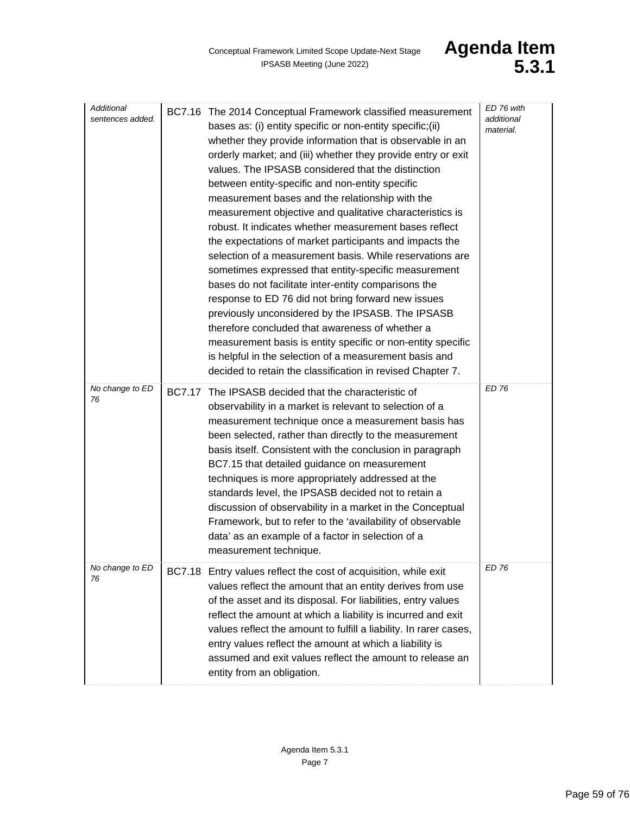| Additional<br>sentences added. | BC7.16 The 2014 Conceptual Framework classified measurement<br>bases as: (i) entity specific or non-entity specific; (ii)<br>whether they provide information that is observable in an<br>orderly market; and (iii) whether they provide entry or exit<br>values. The IPSASB considered that the distinction<br>between entity-specific and non-entity specific<br>measurement bases and the relationship with the<br>measurement objective and qualitative characteristics is<br>robust. It indicates whether measurement bases reflect<br>the expectations of market participants and impacts the<br>selection of a measurement basis. While reservations are<br>sometimes expressed that entity-specific measurement<br>bases do not facilitate inter-entity comparisons the<br>response to ED 76 did not bring forward new issues<br>previously unconsidered by the IPSASB. The IPSASB<br>therefore concluded that awareness of whether a<br>measurement basis is entity specific or non-entity specific<br>is helpful in the selection of a measurement basis and<br>decided to retain the classification in revised Chapter 7. | ED 76 with<br>additional<br>material. |
|--------------------------------|--------------------------------------------------------------------------------------------------------------------------------------------------------------------------------------------------------------------------------------------------------------------------------------------------------------------------------------------------------------------------------------------------------------------------------------------------------------------------------------------------------------------------------------------------------------------------------------------------------------------------------------------------------------------------------------------------------------------------------------------------------------------------------------------------------------------------------------------------------------------------------------------------------------------------------------------------------------------------------------------------------------------------------------------------------------------------------------------------------------------------------------|---------------------------------------|
| No change to ED<br>76          | <b>BC7.17</b><br>The IPSASB decided that the characteristic of<br>observability in a market is relevant to selection of a<br>measurement technique once a measurement basis has<br>been selected, rather than directly to the measurement<br>basis itself. Consistent with the conclusion in paragraph<br>BC7.15 that detailed guidance on measurement<br>techniques is more appropriately addressed at the<br>standards level, the IPSASB decided not to retain a<br>discussion of observability in a market in the Conceptual<br>Framework, but to refer to the 'availability of observable<br>data' as an example of a factor in selection of a<br>measurement technique.                                                                                                                                                                                                                                                                                                                                                                                                                                                         | <b>ED 76</b>                          |
| No change to ED<br>76          | BC7.18 Entry values reflect the cost of acquisition, while exit<br>values reflect the amount that an entity derives from use<br>of the asset and its disposal. For liabilities, entry values<br>reflect the amount at which a liability is incurred and exit<br>values reflect the amount to fulfill a liability. In rarer cases,<br>entry values reflect the amount at which a liability is<br>assumed and exit values reflect the amount to release an<br>entity from an obligation.                                                                                                                                                                                                                                                                                                                                                                                                                                                                                                                                                                                                                                               | ED 76                                 |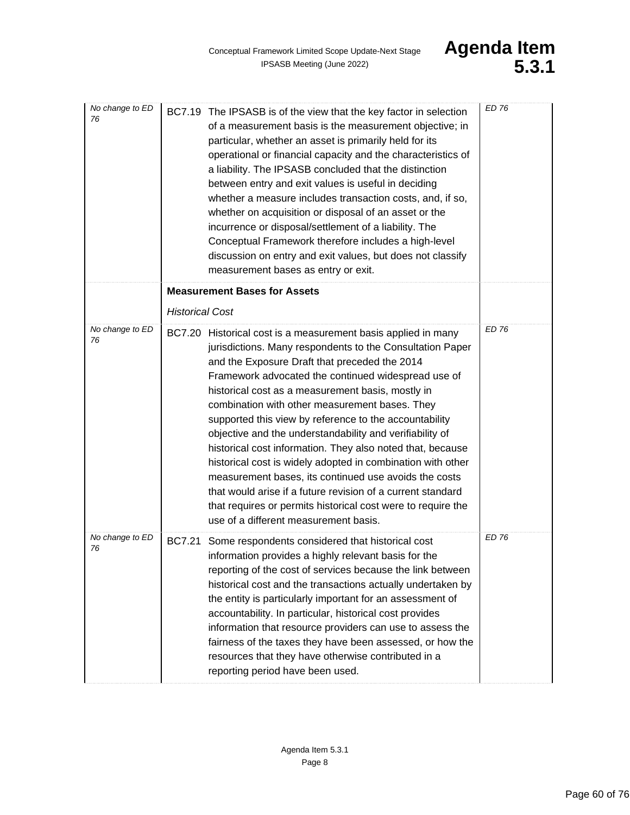| No change to ED<br>76 | BC7.19 The IPSASB is of the view that the key factor in selection<br>of a measurement basis is the measurement objective; in<br>particular, whether an asset is primarily held for its<br>operational or financial capacity and the characteristics of<br>a liability. The IPSASB concluded that the distinction<br>between entry and exit values is useful in deciding<br>whether a measure includes transaction costs, and, if so,<br>whether on acquisition or disposal of an asset or the<br>incurrence or disposal/settlement of a liability. The<br>Conceptual Framework therefore includes a high-level<br>discussion on entry and exit values, but does not classify<br>measurement bases as entry or exit.                                                                                                           | <b>ED 76</b> |
|-----------------------|-------------------------------------------------------------------------------------------------------------------------------------------------------------------------------------------------------------------------------------------------------------------------------------------------------------------------------------------------------------------------------------------------------------------------------------------------------------------------------------------------------------------------------------------------------------------------------------------------------------------------------------------------------------------------------------------------------------------------------------------------------------------------------------------------------------------------------|--------------|
|                       | <b>Measurement Bases for Assets</b>                                                                                                                                                                                                                                                                                                                                                                                                                                                                                                                                                                                                                                                                                                                                                                                           |              |
|                       | <b>Historical Cost</b>                                                                                                                                                                                                                                                                                                                                                                                                                                                                                                                                                                                                                                                                                                                                                                                                        |              |
| No change to ED<br>76 | BC7.20 Historical cost is a measurement basis applied in many<br>jurisdictions. Many respondents to the Consultation Paper<br>and the Exposure Draft that preceded the 2014<br>Framework advocated the continued widespread use of<br>historical cost as a measurement basis, mostly in<br>combination with other measurement bases. They<br>supported this view by reference to the accountability<br>objective and the understandability and verifiability of<br>historical cost information. They also noted that, because<br>historical cost is widely adopted in combination with other<br>measurement bases, its continued use avoids the costs<br>that would arise if a future revision of a current standard<br>that requires or permits historical cost were to require the<br>use of a different measurement basis. | <b>ED 76</b> |
| No change to ED<br>76 | <b>BC7.21</b><br>Some respondents considered that historical cost<br>information provides a highly relevant basis for the<br>reporting of the cost of services because the link between<br>historical cost and the transactions actually undertaken by<br>the entity is particularly important for an assessment of<br>accountability. In particular, historical cost provides<br>information that resource providers can use to assess the<br>fairness of the taxes they have been assessed, or how the<br>resources that they have otherwise contributed in a<br>reporting period have been used.                                                                                                                                                                                                                           | ED 76        |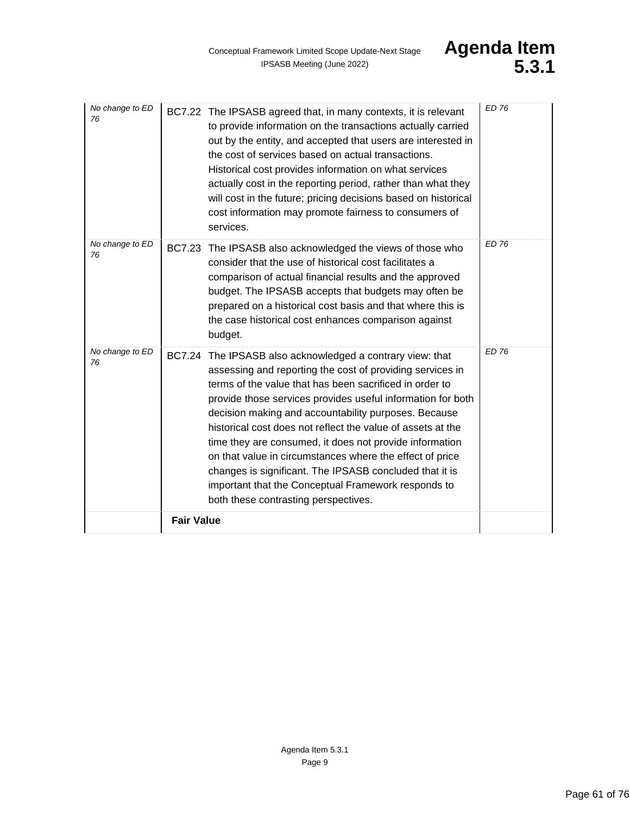| No change to ED<br>76 | BC7.22 The IPSASB agreed that, in many contexts, it is relevant<br>to provide information on the transactions actually carried<br>out by the entity, and accepted that users are interested in<br>the cost of services based on actual transactions.<br>Historical cost provides information on what services<br>actually cost in the reporting period, rather than what they<br>will cost in the future; pricing decisions based on historical<br>cost information may promote fairness to consumers of<br>services.                                                                                                                                    | <b>ED 76</b> |
|-----------------------|----------------------------------------------------------------------------------------------------------------------------------------------------------------------------------------------------------------------------------------------------------------------------------------------------------------------------------------------------------------------------------------------------------------------------------------------------------------------------------------------------------------------------------------------------------------------------------------------------------------------------------------------------------|--------------|
| No change to ED<br>76 | BC7.23 The IPSASB also acknowledged the views of those who<br>consider that the use of historical cost facilitates a<br>comparison of actual financial results and the approved<br>budget. The IPSASB accepts that budgets may often be<br>prepared on a historical cost basis and that where this is<br>the case historical cost enhances comparison against<br>budget.                                                                                                                                                                                                                                                                                 | ED 76        |
| No change to ED<br>76 | BC7.24 The IPSASB also acknowledged a contrary view: that<br>assessing and reporting the cost of providing services in<br>terms of the value that has been sacrificed in order to<br>provide those services provides useful information for both<br>decision making and accountability purposes. Because<br>historical cost does not reflect the value of assets at the<br>time they are consumed, it does not provide information<br>on that value in circumstances where the effect of price<br>changes is significant. The IPSASB concluded that it is<br>important that the Conceptual Framework responds to<br>both these contrasting perspectives. | <b>ED 76</b> |
|                       | <b>Fair Value</b>                                                                                                                                                                                                                                                                                                                                                                                                                                                                                                                                                                                                                                        |              |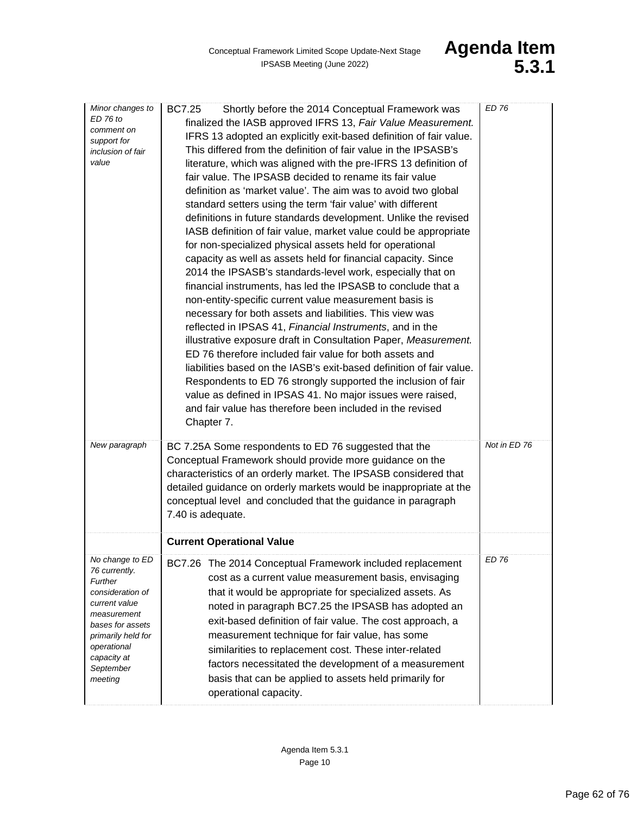| Minor changes to<br>ED 76 to<br>comment on<br>support for<br>inclusion of fair<br>value                                                                                                         | <b>BC7.25</b><br>Shortly before the 2014 Conceptual Framework was<br>finalized the IASB approved IFRS 13, Fair Value Measurement.<br>IFRS 13 adopted an explicitly exit-based definition of fair value.<br>This differed from the definition of fair value in the IPSASB's<br>literature, which was aligned with the pre-IFRS 13 definition of<br>fair value. The IPSASB decided to rename its fair value<br>definition as 'market value'. The aim was to avoid two global<br>standard setters using the term 'fair value' with different<br>definitions in future standards development. Unlike the revised<br>IASB definition of fair value, market value could be appropriate<br>for non-specialized physical assets held for operational<br>capacity as well as assets held for financial capacity. Since<br>2014 the IPSASB's standards-level work, especially that on<br>financial instruments, has led the IPSASB to conclude that a<br>non-entity-specific current value measurement basis is<br>necessary for both assets and liabilities. This view was<br>reflected in IPSAS 41, Financial Instruments, and in the<br>illustrative exposure draft in Consultation Paper, Measurement.<br>ED 76 therefore included fair value for both assets and<br>liabilities based on the IASB's exit-based definition of fair value.<br>Respondents to ED 76 strongly supported the inclusion of fair<br>value as defined in IPSAS 41. No major issues were raised,<br>and fair value has therefore been included in the revised<br>Chapter 7. | <b>ED 76</b> |
|-------------------------------------------------------------------------------------------------------------------------------------------------------------------------------------------------|-----------------------------------------------------------------------------------------------------------------------------------------------------------------------------------------------------------------------------------------------------------------------------------------------------------------------------------------------------------------------------------------------------------------------------------------------------------------------------------------------------------------------------------------------------------------------------------------------------------------------------------------------------------------------------------------------------------------------------------------------------------------------------------------------------------------------------------------------------------------------------------------------------------------------------------------------------------------------------------------------------------------------------------------------------------------------------------------------------------------------------------------------------------------------------------------------------------------------------------------------------------------------------------------------------------------------------------------------------------------------------------------------------------------------------------------------------------------------------------------------------------------------------------------------|--------------|
| New paragraph                                                                                                                                                                                   | BC 7.25A Some respondents to ED 76 suggested that the<br>Conceptual Framework should provide more guidance on the<br>characteristics of an orderly market. The IPSASB considered that<br>detailed guidance on orderly markets would be inappropriate at the<br>conceptual level and concluded that the guidance in paragraph<br>7.40 is adequate.                                                                                                                                                                                                                                                                                                                                                                                                                                                                                                                                                                                                                                                                                                                                                                                                                                                                                                                                                                                                                                                                                                                                                                                             | Not in ED 76 |
|                                                                                                                                                                                                 | <b>Current Operational Value</b>                                                                                                                                                                                                                                                                                                                                                                                                                                                                                                                                                                                                                                                                                                                                                                                                                                                                                                                                                                                                                                                                                                                                                                                                                                                                                                                                                                                                                                                                                                              |              |
| No change to ED<br>76 currently.<br>Further<br>consideration of<br>current value<br>measurement<br>bases for assets<br>primarily held for<br>operational<br>capacity at<br>September<br>meeting | BC7.26 The 2014 Conceptual Framework included replacement<br>cost as a current value measurement basis, envisaging<br>that it would be appropriate for specialized assets. As<br>noted in paragraph BC7.25 the IPSASB has adopted an<br>exit-based definition of fair value. The cost approach, a<br>measurement technique for fair value, has some<br>similarities to replacement cost. These inter-related<br>factors necessitated the development of a measurement<br>basis that can be applied to assets held primarily for<br>operational capacity.                                                                                                                                                                                                                                                                                                                                                                                                                                                                                                                                                                                                                                                                                                                                                                                                                                                                                                                                                                                      | <b>ED 76</b> |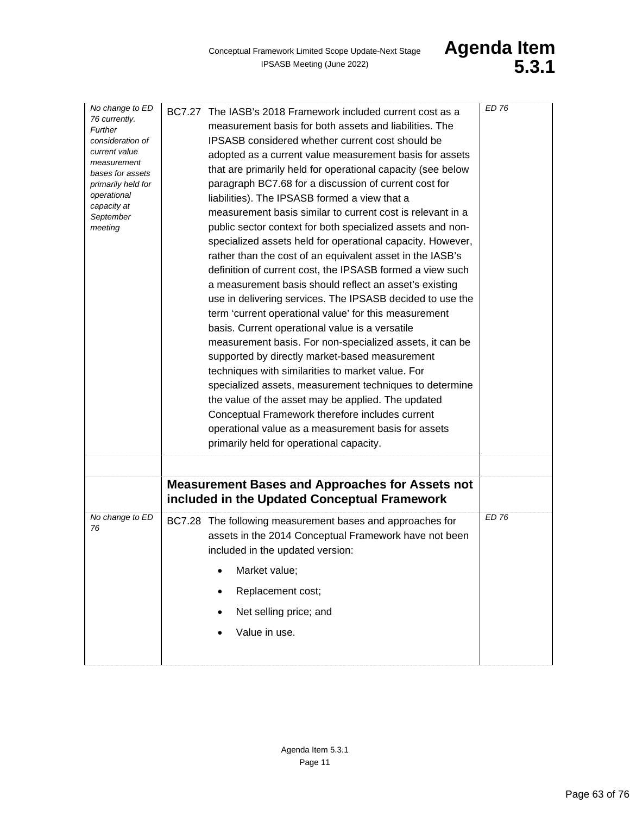| No change to ED<br>76 currently.<br>Further<br>consideration of<br>current value<br>measurement<br>bases for assets<br>primarily held for<br>operational<br>capacity at<br>September<br>meeting | BC7.27 The IASB's 2018 Framework included current cost as a<br>measurement basis for both assets and liabilities. The<br><b>IPSASB</b> considered whether current cost should be<br>adopted as a current value measurement basis for assets<br>that are primarily held for operational capacity (see below<br>paragraph BC7.68 for a discussion of current cost for<br>liabilities). The IPSASB formed a view that a<br>measurement basis similar to current cost is relevant in a<br>public sector context for both specialized assets and non-<br>specialized assets held for operational capacity. However,<br>rather than the cost of an equivalent asset in the IASB's<br>definition of current cost, the IPSASB formed a view such<br>a measurement basis should reflect an asset's existing<br>use in delivering services. The IPSASB decided to use the<br>term 'current operational value' for this measurement<br>basis. Current operational value is a versatile<br>measurement basis. For non-specialized assets, it can be<br>supported by directly market-based measurement<br>techniques with similarities to market value. For<br>specialized assets, measurement techniques to determine<br>the value of the asset may be applied. The updated<br>Conceptual Framework therefore includes current<br>operational value as a measurement basis for assets<br>primarily held for operational capacity. | ED 76 |
|-------------------------------------------------------------------------------------------------------------------------------------------------------------------------------------------------|-----------------------------------------------------------------------------------------------------------------------------------------------------------------------------------------------------------------------------------------------------------------------------------------------------------------------------------------------------------------------------------------------------------------------------------------------------------------------------------------------------------------------------------------------------------------------------------------------------------------------------------------------------------------------------------------------------------------------------------------------------------------------------------------------------------------------------------------------------------------------------------------------------------------------------------------------------------------------------------------------------------------------------------------------------------------------------------------------------------------------------------------------------------------------------------------------------------------------------------------------------------------------------------------------------------------------------------------------------------------------------------------------------------------------|-------|
|                                                                                                                                                                                                 |                                                                                                                                                                                                                                                                                                                                                                                                                                                                                                                                                                                                                                                                                                                                                                                                                                                                                                                                                                                                                                                                                                                                                                                                                                                                                                                                                                                                                       |       |
|                                                                                                                                                                                                 | <b>Measurement Bases and Approaches for Assets not</b><br>included in the Updated Conceptual Framework                                                                                                                                                                                                                                                                                                                                                                                                                                                                                                                                                                                                                                                                                                                                                                                                                                                                                                                                                                                                                                                                                                                                                                                                                                                                                                                |       |
| No change to ED<br>76                                                                                                                                                                           | BC7.28 The following measurement bases and approaches for<br>assets in the 2014 Conceptual Framework have not been<br>included in the updated version:                                                                                                                                                                                                                                                                                                                                                                                                                                                                                                                                                                                                                                                                                                                                                                                                                                                                                                                                                                                                                                                                                                                                                                                                                                                                | FD 76 |
|                                                                                                                                                                                                 | Market value;                                                                                                                                                                                                                                                                                                                                                                                                                                                                                                                                                                                                                                                                                                                                                                                                                                                                                                                                                                                                                                                                                                                                                                                                                                                                                                                                                                                                         |       |
|                                                                                                                                                                                                 | Replacement cost;                                                                                                                                                                                                                                                                                                                                                                                                                                                                                                                                                                                                                                                                                                                                                                                                                                                                                                                                                                                                                                                                                                                                                                                                                                                                                                                                                                                                     |       |
|                                                                                                                                                                                                 | Net selling price; and                                                                                                                                                                                                                                                                                                                                                                                                                                                                                                                                                                                                                                                                                                                                                                                                                                                                                                                                                                                                                                                                                                                                                                                                                                                                                                                                                                                                |       |
|                                                                                                                                                                                                 | Value in use.                                                                                                                                                                                                                                                                                                                                                                                                                                                                                                                                                                                                                                                                                                                                                                                                                                                                                                                                                                                                                                                                                                                                                                                                                                                                                                                                                                                                         |       |
|                                                                                                                                                                                                 |                                                                                                                                                                                                                                                                                                                                                                                                                                                                                                                                                                                                                                                                                                                                                                                                                                                                                                                                                                                                                                                                                                                                                                                                                                                                                                                                                                                                                       |       |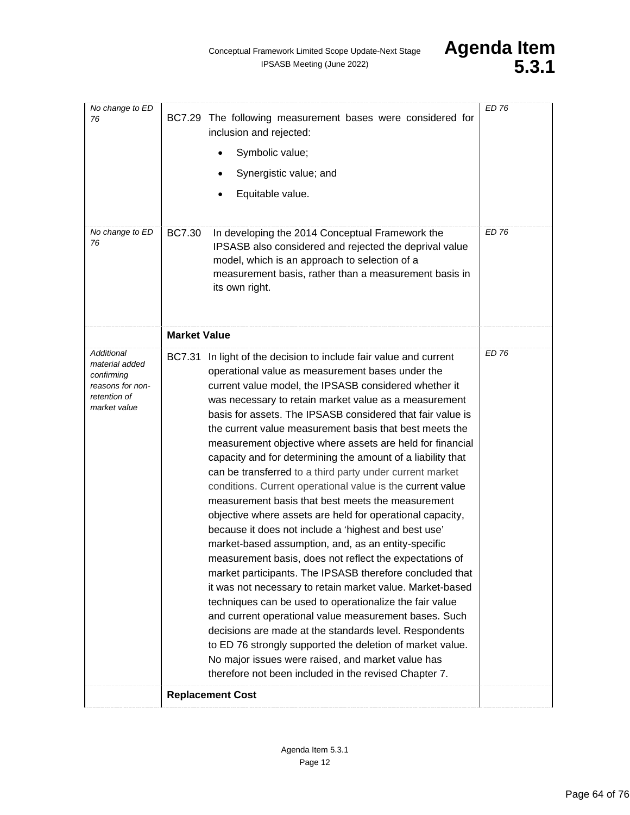| No change to ED<br>76                                                                          | BC7.29 The following measurement bases were considered for<br>inclusion and rejected:<br>Symbolic value;<br>Synergistic value; and<br>Equitable value.                                                                                                                                                                                                                                                                                                                                                                                                                                                                                                                                                                                                                                                                                                                                                                                                                                                                                                                                                                                                                                                                                                                                                                                                                                                                                    | <b>ED 76</b> |
|------------------------------------------------------------------------------------------------|-------------------------------------------------------------------------------------------------------------------------------------------------------------------------------------------------------------------------------------------------------------------------------------------------------------------------------------------------------------------------------------------------------------------------------------------------------------------------------------------------------------------------------------------------------------------------------------------------------------------------------------------------------------------------------------------------------------------------------------------------------------------------------------------------------------------------------------------------------------------------------------------------------------------------------------------------------------------------------------------------------------------------------------------------------------------------------------------------------------------------------------------------------------------------------------------------------------------------------------------------------------------------------------------------------------------------------------------------------------------------------------------------------------------------------------------|--------------|
| No change to ED<br>76                                                                          | <b>BC7.30</b><br>In developing the 2014 Conceptual Framework the<br>IPSASB also considered and rejected the deprival value<br>model, which is an approach to selection of a<br>measurement basis, rather than a measurement basis in<br>its own right.                                                                                                                                                                                                                                                                                                                                                                                                                                                                                                                                                                                                                                                                                                                                                                                                                                                                                                                                                                                                                                                                                                                                                                                    | ED 76        |
|                                                                                                | <b>Market Value</b>                                                                                                                                                                                                                                                                                                                                                                                                                                                                                                                                                                                                                                                                                                                                                                                                                                                                                                                                                                                                                                                                                                                                                                                                                                                                                                                                                                                                                       |              |
| Additional<br>material added<br>confirming<br>reasons for non-<br>retention of<br>market value | In light of the decision to include fair value and current<br><b>BC7.31</b><br>operational value as measurement bases under the<br>current value model, the IPSASB considered whether it<br>was necessary to retain market value as a measurement<br>basis for assets. The IPSASB considered that fair value is<br>the current value measurement basis that best meets the<br>measurement objective where assets are held for financial<br>capacity and for determining the amount of a liability that<br>can be transferred to a third party under current market<br>conditions. Current operational value is the current value<br>measurement basis that best meets the measurement<br>objective where assets are held for operational capacity,<br>because it does not include a 'highest and best use'<br>market-based assumption, and, as an entity-specific<br>measurement basis, does not reflect the expectations of<br>market participants. The IPSASB therefore concluded that<br>it was not necessary to retain market value. Market-based<br>techniques can be used to operationalize the fair value<br>and current operational value measurement bases. Such<br>decisions are made at the standards level. Respondents<br>to ED 76 strongly supported the deletion of market value.<br>No major issues were raised, and market value has<br>therefore not been included in the revised Chapter 7.<br><b>Replacement Cost</b> | <b>ED 76</b> |
|                                                                                                |                                                                                                                                                                                                                                                                                                                                                                                                                                                                                                                                                                                                                                                                                                                                                                                                                                                                                                                                                                                                                                                                                                                                                                                                                                                                                                                                                                                                                                           |              |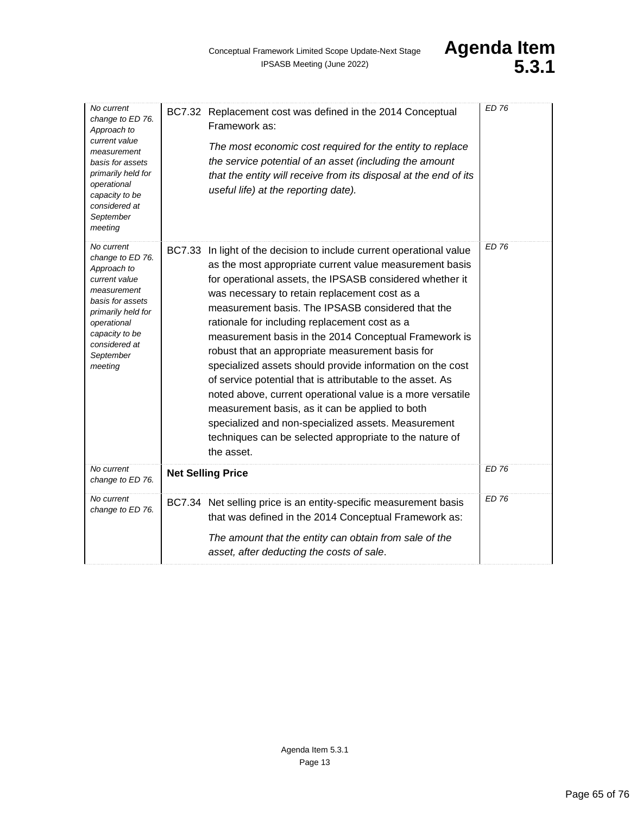| No current<br>change to ED 76.<br>Approach to<br>current value<br>measurement<br>basis for assets<br>primarily held for<br>operational<br>capacity to be<br>considered at<br>September<br>meeting | BC7.32 Replacement cost was defined in the 2014 Conceptual<br>Framework as:<br>The most economic cost required for the entity to replace<br>the service potential of an asset (including the amount<br>that the entity will receive from its disposal at the end of its<br>useful life) at the reporting date).                                                                                                                                                                                                                                                                                                                                                                                                                                                                                                                             | <b>ED 76</b> |
|---------------------------------------------------------------------------------------------------------------------------------------------------------------------------------------------------|---------------------------------------------------------------------------------------------------------------------------------------------------------------------------------------------------------------------------------------------------------------------------------------------------------------------------------------------------------------------------------------------------------------------------------------------------------------------------------------------------------------------------------------------------------------------------------------------------------------------------------------------------------------------------------------------------------------------------------------------------------------------------------------------------------------------------------------------|--------------|
| No current<br>change to ED 76.<br>Approach to<br>current value<br>measurement<br>basis for assets<br>primarily held for<br>operational<br>capacity to be<br>considered at<br>September<br>meeting | BC7.33 In light of the decision to include current operational value<br>as the most appropriate current value measurement basis<br>for operational assets, the IPSASB considered whether it<br>was necessary to retain replacement cost as a<br>measurement basis. The IPSASB considered that the<br>rationale for including replacement cost as a<br>measurement basis in the 2014 Conceptual Framework is<br>robust that an appropriate measurement basis for<br>specialized assets should provide information on the cost<br>of service potential that is attributable to the asset. As<br>noted above, current operational value is a more versatile<br>measurement basis, as it can be applied to both<br>specialized and non-specialized assets. Measurement<br>techniques can be selected appropriate to the nature of<br>the asset. | ED 76        |
| No current<br>change to ED 76.                                                                                                                                                                    | <b>Net Selling Price</b>                                                                                                                                                                                                                                                                                                                                                                                                                                                                                                                                                                                                                                                                                                                                                                                                                    | <b>ED 76</b> |
| No current<br>change to ED 76.                                                                                                                                                                    | BC7.34 Net selling price is an entity-specific measurement basis<br>that was defined in the 2014 Conceptual Framework as:<br>The amount that the entity can obtain from sale of the<br>asset, after deducting the costs of sale.                                                                                                                                                                                                                                                                                                                                                                                                                                                                                                                                                                                                            | ED 76        |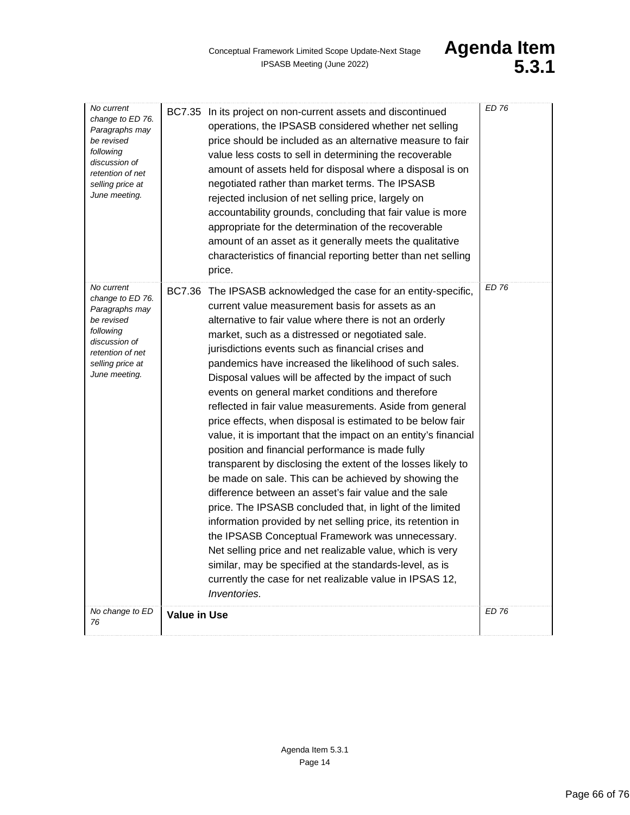| No current<br>change to ED 76.<br>Paragraphs may<br>be revised<br>following<br>discussion of<br>retention of net<br>selling price at<br>June meeting. | BC7.35 In its project on non-current assets and discontinued<br>operations, the IPSASB considered whether net selling<br>price should be included as an alternative measure to fair<br>value less costs to sell in determining the recoverable<br>amount of assets held for disposal where a disposal is on<br>negotiated rather than market terms. The IPSASB<br>rejected inclusion of net selling price, largely on<br>accountability grounds, concluding that fair value is more<br>appropriate for the determination of the recoverable<br>amount of an asset as it generally meets the qualitative<br>characteristics of financial reporting better than net selling<br>price.                                                                                                                                                                                                                                                                                                                                                                                                                                                                                                                                                                                                           | <b>ED 76</b> |
|-------------------------------------------------------------------------------------------------------------------------------------------------------|-----------------------------------------------------------------------------------------------------------------------------------------------------------------------------------------------------------------------------------------------------------------------------------------------------------------------------------------------------------------------------------------------------------------------------------------------------------------------------------------------------------------------------------------------------------------------------------------------------------------------------------------------------------------------------------------------------------------------------------------------------------------------------------------------------------------------------------------------------------------------------------------------------------------------------------------------------------------------------------------------------------------------------------------------------------------------------------------------------------------------------------------------------------------------------------------------------------------------------------------------------------------------------------------------|--------------|
| No current<br>change to ED 76.<br>Paragraphs may<br>be revised<br>following<br>discussion of<br>retention of net<br>selling price at<br>June meeting. | BC7.36 The IPSASB acknowledged the case for an entity-specific,<br>current value measurement basis for assets as an<br>alternative to fair value where there is not an orderly<br>market, such as a distressed or negotiated sale.<br>jurisdictions events such as financial crises and<br>pandemics have increased the likelihood of such sales.<br>Disposal values will be affected by the impact of such<br>events on general market conditions and therefore<br>reflected in fair value measurements. Aside from general<br>price effects, when disposal is estimated to be below fair<br>value, it is important that the impact on an entity's financial<br>position and financial performance is made fully<br>transparent by disclosing the extent of the losses likely to<br>be made on sale. This can be achieved by showing the<br>difference between an asset's fair value and the sale<br>price. The IPSASB concluded that, in light of the limited<br>information provided by net selling price, its retention in<br>the IPSASB Conceptual Framework was unnecessary.<br>Net selling price and net realizable value, which is very<br>similar, may be specified at the standards-level, as is<br>currently the case for net realizable value in IPSAS 12,<br><i>Inventories.</i> | <b>ED 76</b> |
| No change to ED<br>76                                                                                                                                 | <b>Value in Use</b>                                                                                                                                                                                                                                                                                                                                                                                                                                                                                                                                                                                                                                                                                                                                                                                                                                                                                                                                                                                                                                                                                                                                                                                                                                                                           | <b>ED 76</b> |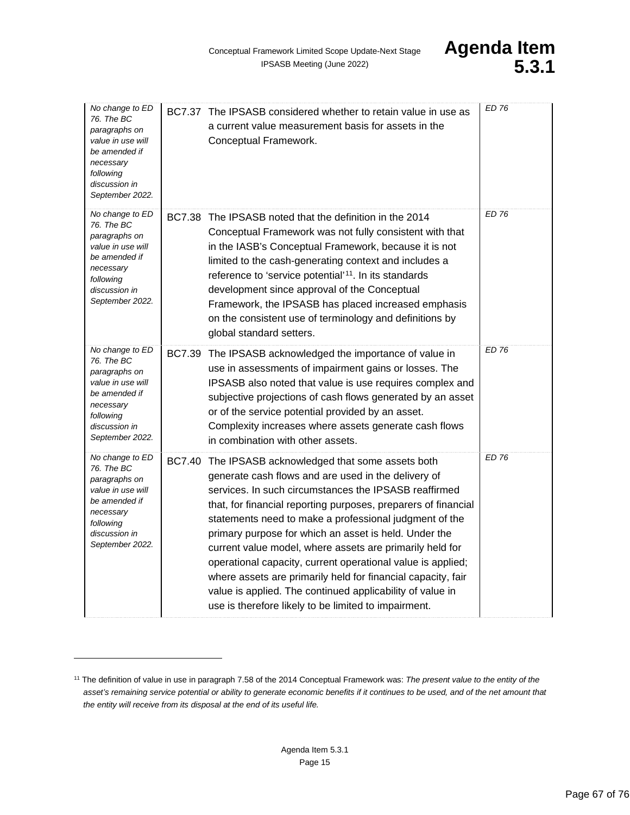| No change to ED<br>76. The BC<br>paragraphs on<br>value in use will<br>be amended if<br>necessary<br>following<br>discussion in<br>September 2022. |               | BC7.37 The IPSASB considered whether to retain value in use as<br>a current value measurement basis for assets in the<br>Conceptual Framework.                                                                                                                                                                                                                                                                                                                                                                                                                                                                                                                     | <b>ED 76</b> |
|----------------------------------------------------------------------------------------------------------------------------------------------------|---------------|--------------------------------------------------------------------------------------------------------------------------------------------------------------------------------------------------------------------------------------------------------------------------------------------------------------------------------------------------------------------------------------------------------------------------------------------------------------------------------------------------------------------------------------------------------------------------------------------------------------------------------------------------------------------|--------------|
| No change to ED<br>76. The BC<br>paragraphs on<br>value in use will<br>be amended if<br>necessary<br>following<br>discussion in<br>September 2022. |               | BC7.38 The IPSASB noted that the definition in the 2014<br>Conceptual Framework was not fully consistent with that<br>in the IASB's Conceptual Framework, because it is not<br>limited to the cash-generating context and includes a<br>reference to 'service potential' <sup>11</sup> . In its standards<br>development since approval of the Conceptual<br>Framework, the IPSASB has placed increased emphasis<br>on the consistent use of terminology and definitions by<br>global standard setters.                                                                                                                                                            | <b>ED 76</b> |
| No change to ED<br>76. The BC<br>paragraphs on<br>value in use will<br>be amended if<br>necessary<br>following<br>discussion in<br>September 2022. | <b>BC7.39</b> | The IPSASB acknowledged the importance of value in<br>use in assessments of impairment gains or losses. The<br>IPSASB also noted that value is use requires complex and<br>subjective projections of cash flows generated by an asset<br>or of the service potential provided by an asset.<br>Complexity increases where assets generate cash flows<br>in combination with other assets.                                                                                                                                                                                                                                                                           | <b>ED 76</b> |
| No change to ED<br>76. The BC<br>paragraphs on<br>value in use will<br>be amended if<br>necessary<br>following<br>discussion in<br>September 2022. | <b>BC7.40</b> | The IPSASB acknowledged that some assets both<br>generate cash flows and are used in the delivery of<br>services. In such circumstances the IPSASB reaffirmed<br>that, for financial reporting purposes, preparers of financial<br>statements need to make a professional judgment of the<br>primary purpose for which an asset is held. Under the<br>current value model, where assets are primarily held for<br>operational capacity, current operational value is applied;<br>where assets are primarily held for financial capacity, fair<br>value is applied. The continued applicability of value in<br>use is therefore likely to be limited to impairment. | <b>ED 76</b> |

<span id="page-66-0"></span><sup>11</sup> The definition of value in use in paragraph 7.58 of the 2014 Conceptual Framework was: *The present value to the entity of the asset's remaining service potential or ability to generate economic benefits if it continues to be used, and of the net amount that the entity will receive from its disposal at the end of its useful life.*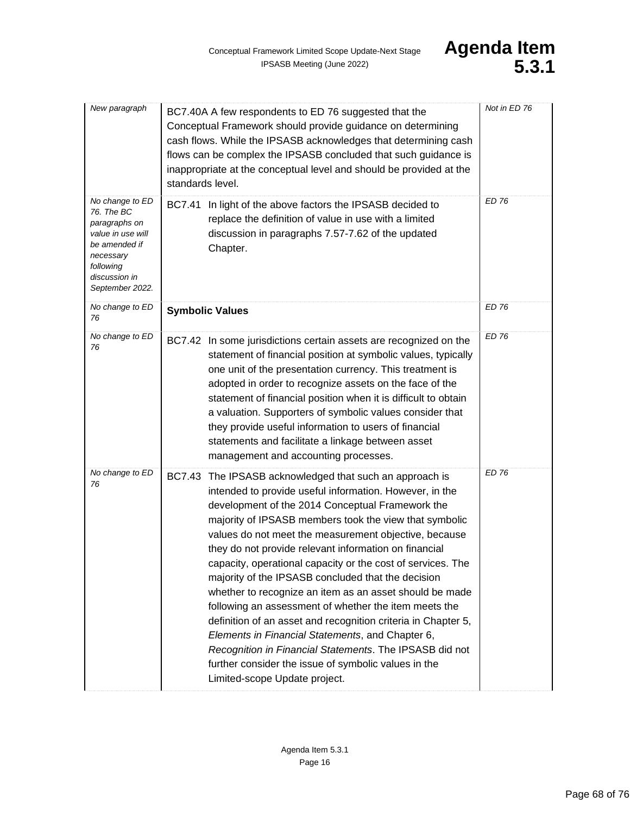| New paragraph                                                                                                                                      | BC7.40A A few respondents to ED 76 suggested that the<br>Conceptual Framework should provide guidance on determining<br>cash flows. While the IPSASB acknowledges that determining cash<br>flows can be complex the IPSASB concluded that such guidance is<br>inappropriate at the conceptual level and should be provided at the<br>standards level.                                                                                                                                                                                                                                                                                                                                                                                                                                                                                                                          | Not in ED 76 |
|----------------------------------------------------------------------------------------------------------------------------------------------------|--------------------------------------------------------------------------------------------------------------------------------------------------------------------------------------------------------------------------------------------------------------------------------------------------------------------------------------------------------------------------------------------------------------------------------------------------------------------------------------------------------------------------------------------------------------------------------------------------------------------------------------------------------------------------------------------------------------------------------------------------------------------------------------------------------------------------------------------------------------------------------|--------------|
| No change to ED<br>76. The BC<br>paragraphs on<br>value in use will<br>be amended if<br>necessary<br>following<br>discussion in<br>September 2022. | BC7.41 In light of the above factors the IPSASB decided to<br>replace the definition of value in use with a limited<br>discussion in paragraphs 7.57-7.62 of the updated<br>Chapter.                                                                                                                                                                                                                                                                                                                                                                                                                                                                                                                                                                                                                                                                                           | <b>ED 76</b> |
| No change to ED<br>76                                                                                                                              | <b>Symbolic Values</b>                                                                                                                                                                                                                                                                                                                                                                                                                                                                                                                                                                                                                                                                                                                                                                                                                                                         | ED 76        |
| No change to ED<br>76                                                                                                                              | BC7.42 In some jurisdictions certain assets are recognized on the<br>statement of financial position at symbolic values, typically<br>one unit of the presentation currency. This treatment is<br>adopted in order to recognize assets on the face of the<br>statement of financial position when it is difficult to obtain<br>a valuation. Supporters of symbolic values consider that<br>they provide useful information to users of financial<br>statements and facilitate a linkage between asset<br>management and accounting processes.                                                                                                                                                                                                                                                                                                                                  | <b>ED 76</b> |
| No change to ED<br>76                                                                                                                              | <b>BC7.43</b><br>The IPSASB acknowledged that such an approach is<br>intended to provide useful information. However, in the<br>development of the 2014 Conceptual Framework the<br>majority of IPSASB members took the view that symbolic<br>values do not meet the measurement objective, because<br>they do not provide relevant information on financial<br>capacity, operational capacity or the cost of services. The<br>majority of the IPSASB concluded that the decision<br>whether to recognize an item as an asset should be made<br>following an assessment of whether the item meets the<br>definition of an asset and recognition criteria in Chapter 5,<br>Elements in Financial Statements, and Chapter 6,<br>Recognition in Financial Statements. The IPSASB did not<br>further consider the issue of symbolic values in the<br>Limited-scope Update project. | <b>ED 76</b> |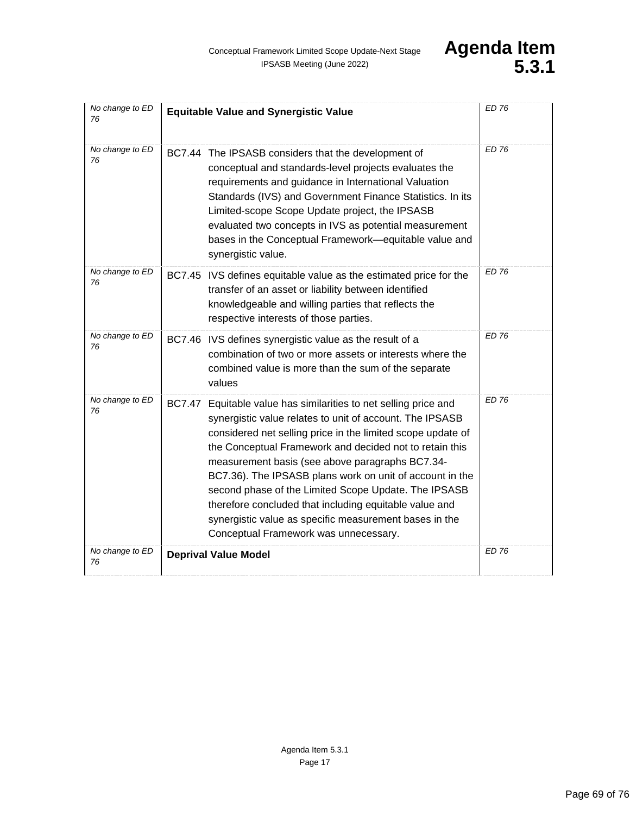| No change to ED<br>76 | <b>Equitable Value and Synergistic Value</b>                                                                                                                                                                                                                                                                                                                                                                                                                                                                                                                                                         | <b>ED 76</b> |
|-----------------------|------------------------------------------------------------------------------------------------------------------------------------------------------------------------------------------------------------------------------------------------------------------------------------------------------------------------------------------------------------------------------------------------------------------------------------------------------------------------------------------------------------------------------------------------------------------------------------------------------|--------------|
| No change to ED<br>76 | BC7.44 The IPSASB considers that the development of<br>conceptual and standards-level projects evaluates the<br>requirements and guidance in International Valuation<br>Standards (IVS) and Government Finance Statistics. In its<br>Limited-scope Scope Update project, the IPSASB<br>evaluated two concepts in IVS as potential measurement<br>bases in the Conceptual Framework-equitable value and<br>synergistic value.                                                                                                                                                                         | ED 76        |
| No change to ED<br>76 | BC7.45 IVS defines equitable value as the estimated price for the<br>transfer of an asset or liability between identified<br>knowledgeable and willing parties that reflects the<br>respective interests of those parties.                                                                                                                                                                                                                                                                                                                                                                           | <b>ED 76</b> |
| No change to ED<br>76 | BC7.46 IVS defines synergistic value as the result of a<br>combination of two or more assets or interests where the<br>combined value is more than the sum of the separate<br>values                                                                                                                                                                                                                                                                                                                                                                                                                 | <b>ED 76</b> |
| No change to ED<br>76 | <b>BC7.47</b><br>Equitable value has similarities to net selling price and<br>synergistic value relates to unit of account. The IPSASB<br>considered net selling price in the limited scope update of<br>the Conceptual Framework and decided not to retain this<br>measurement basis (see above paragraphs BC7.34-<br>BC7.36). The IPSASB plans work on unit of account in the<br>second phase of the Limited Scope Update. The IPSASB<br>therefore concluded that including equitable value and<br>synergistic value as specific measurement bases in the<br>Conceptual Framework was unnecessary. | <b>ED 76</b> |
| No change to ED<br>76 | <b>Deprival Value Model</b>                                                                                                                                                                                                                                                                                                                                                                                                                                                                                                                                                                          | <b>ED 76</b> |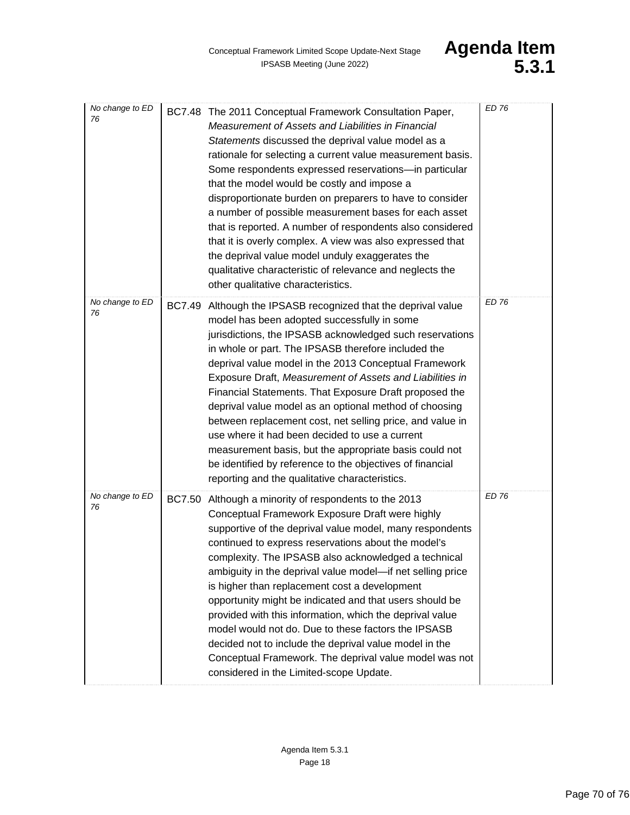| No change to ED<br>76 |               | BC7.48 The 2011 Conceptual Framework Consultation Paper,<br>Measurement of Assets and Liabilities in Financial<br>Statements discussed the deprival value model as a<br>rationale for selecting a current value measurement basis.<br>Some respondents expressed reservations-in particular<br>that the model would be costly and impose a<br>disproportionate burden on preparers to have to consider<br>a number of possible measurement bases for each asset<br>that is reported. A number of respondents also considered<br>that it is overly complex. A view was also expressed that<br>the deprival value model unduly exaggerates the<br>qualitative characteristic of relevance and neglects the<br>other qualitative characteristics.            | <b>ED 76</b> |
|-----------------------|---------------|-----------------------------------------------------------------------------------------------------------------------------------------------------------------------------------------------------------------------------------------------------------------------------------------------------------------------------------------------------------------------------------------------------------------------------------------------------------------------------------------------------------------------------------------------------------------------------------------------------------------------------------------------------------------------------------------------------------------------------------------------------------|--------------|
| No change to ED<br>76 | <b>BC7.49</b> | Although the IPSASB recognized that the deprival value<br>model has been adopted successfully in some<br>jurisdictions, the IPSASB acknowledged such reservations<br>in whole or part. The IPSASB therefore included the<br>deprival value model in the 2013 Conceptual Framework<br>Exposure Draft, Measurement of Assets and Liabilities in<br>Financial Statements. That Exposure Draft proposed the<br>deprival value model as an optional method of choosing<br>between replacement cost, net selling price, and value in<br>use where it had been decided to use a current<br>measurement basis, but the appropriate basis could not<br>be identified by reference to the objectives of financial<br>reporting and the qualitative characteristics. | <b>ED 76</b> |
| No change to ED<br>76 | <b>BC7.50</b> | Although a minority of respondents to the 2013<br>Conceptual Framework Exposure Draft were highly<br>supportive of the deprival value model, many respondents<br>continued to express reservations about the model's<br>complexity. The IPSASB also acknowledged a technical<br>ambiguity in the deprival value model-if net selling price<br>is higher than replacement cost a development<br>opportunity might be indicated and that users should be<br>provided with this information, which the deprival value<br>model would not do. Due to these factors the IPSASB<br>decided not to include the deprival value model in the<br>Conceptual Framework. The deprival value model was not<br>considered in the Limited-scope Update.                  | <b>ED 76</b> |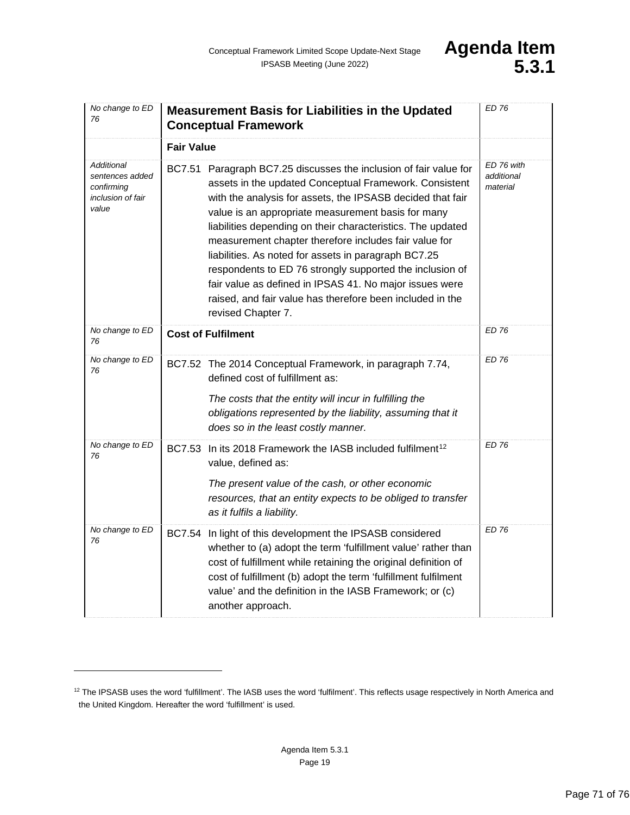| No change to ED<br>76                                                     | <b>Measurement Basis for Liabilities in the Updated</b><br><b>Conceptual Framework</b>                                                                                                                                                                                                                                                                                                                                                                                                                                                                                                                                                    | <b>ED 76</b>                         |
|---------------------------------------------------------------------------|-------------------------------------------------------------------------------------------------------------------------------------------------------------------------------------------------------------------------------------------------------------------------------------------------------------------------------------------------------------------------------------------------------------------------------------------------------------------------------------------------------------------------------------------------------------------------------------------------------------------------------------------|--------------------------------------|
|                                                                           | <b>Fair Value</b>                                                                                                                                                                                                                                                                                                                                                                                                                                                                                                                                                                                                                         |                                      |
| Additional<br>sentences added<br>confirming<br>inclusion of fair<br>value | BC7.51 Paragraph BC7.25 discusses the inclusion of fair value for<br>assets in the updated Conceptual Framework. Consistent<br>with the analysis for assets, the IPSASB decided that fair<br>value is an appropriate measurement basis for many<br>liabilities depending on their characteristics. The updated<br>measurement chapter therefore includes fair value for<br>liabilities. As noted for assets in paragraph BC7.25<br>respondents to ED 76 strongly supported the inclusion of<br>fair value as defined in IPSAS 41. No major issues were<br>raised, and fair value has therefore been included in the<br>revised Chapter 7. | ED 76 with<br>additional<br>material |
| No change to ED<br>76                                                     | <b>Cost of Fulfilment</b>                                                                                                                                                                                                                                                                                                                                                                                                                                                                                                                                                                                                                 | <b>ED 76</b>                         |
| No change to ED<br>76                                                     | BC7.52 The 2014 Conceptual Framework, in paragraph 7.74,<br>defined cost of fulfillment as:<br>The costs that the entity will incur in fulfilling the<br>obligations represented by the liability, assuming that it<br>does so in the least costly manner.                                                                                                                                                                                                                                                                                                                                                                                | ED 76                                |
| No change to ED<br>76                                                     | <b>BC7.53</b><br>In its 2018 Framework the IASB included fulfilment <sup>12</sup><br>value, defined as:<br>The present value of the cash, or other economic<br>resources, that an entity expects to be obliged to transfer<br>as it fulfils a liability.                                                                                                                                                                                                                                                                                                                                                                                  | <b>ED 76</b>                         |
| No change to ED<br>76                                                     | <b>BC7.54</b><br>In light of this development the IPSASB considered<br>whether to (a) adopt the term 'fulfillment value' rather than<br>cost of fulfillment while retaining the original definition of<br>cost of fulfillment (b) adopt the term 'fulfillment fulfilment<br>value' and the definition in the IASB Framework; or (c)<br>another approach.                                                                                                                                                                                                                                                                                  | <b>ED 76</b>                         |

<span id="page-70-0"></span><sup>&</sup>lt;sup>12</sup> The IPSASB uses the word 'fulfillment'. The IASB uses the word 'fulfilment'. This reflects usage respectively in North America and the United Kingdom. Hereafter the word 'fulfillment' is used.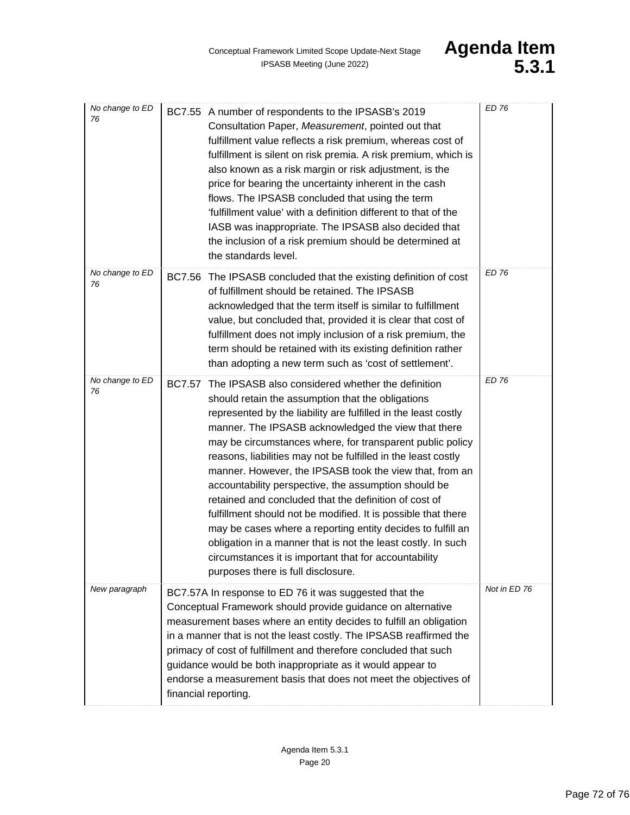| No change to ED<br>76 | BC7.55 A number of respondents to the IPSASB's 2019<br>Consultation Paper, Measurement, pointed out that<br>fulfillment value reflects a risk premium, whereas cost of<br>fulfillment is silent on risk premia. A risk premium, which is<br>also known as a risk margin or risk adjustment, is the<br>price for bearing the uncertainty inherent in the cash<br>flows. The IPSASB concluded that using the term<br>'fulfillment value' with a definition different to that of the<br>IASB was inappropriate. The IPSASB also decided that<br>the inclusion of a risk premium should be determined at<br>the standards level.                                                                                                                                                                                                                              | <b>ED 76</b> |
|-----------------------|-----------------------------------------------------------------------------------------------------------------------------------------------------------------------------------------------------------------------------------------------------------------------------------------------------------------------------------------------------------------------------------------------------------------------------------------------------------------------------------------------------------------------------------------------------------------------------------------------------------------------------------------------------------------------------------------------------------------------------------------------------------------------------------------------------------------------------------------------------------|--------------|
| No change to ED<br>76 | BC7.56 The IPSASB concluded that the existing definition of cost<br>of fulfillment should be retained. The IPSASB<br>acknowledged that the term itself is similar to fulfillment<br>value, but concluded that, provided it is clear that cost of<br>fulfillment does not imply inclusion of a risk premium, the<br>term should be retained with its existing definition rather<br>than adopting a new term such as 'cost of settlement'.                                                                                                                                                                                                                                                                                                                                                                                                                  | <b>ED 76</b> |
| No change to ED<br>76 | The IPSASB also considered whether the definition<br><b>BC7.57</b><br>should retain the assumption that the obligations<br>represented by the liability are fulfilled in the least costly<br>manner. The IPSASB acknowledged the view that there<br>may be circumstances where, for transparent public policy<br>reasons, liabilities may not be fulfilled in the least costly<br>manner. However, the IPSASB took the view that, from an<br>accountability perspective, the assumption should be<br>retained and concluded that the definition of cost of<br>fulfillment should not be modified. It is possible that there<br>may be cases where a reporting entity decides to fulfill an<br>obligation in a manner that is not the least costly. In such<br>circumstances it is important that for accountability<br>purposes there is full disclosure. | <b>ED 76</b> |
| New paragraph         | BC7.57A In response to ED 76 it was suggested that the<br>Conceptual Framework should provide guidance on alternative<br>measurement bases where an entity decides to fulfill an obligation<br>in a manner that is not the least costly. The IPSASB reaffirmed the<br>primacy of cost of fulfillment and therefore concluded that such<br>guidance would be both inappropriate as it would appear to<br>endorse a measurement basis that does not meet the objectives of<br>financial reporting.                                                                                                                                                                                                                                                                                                                                                          | Not in ED 76 |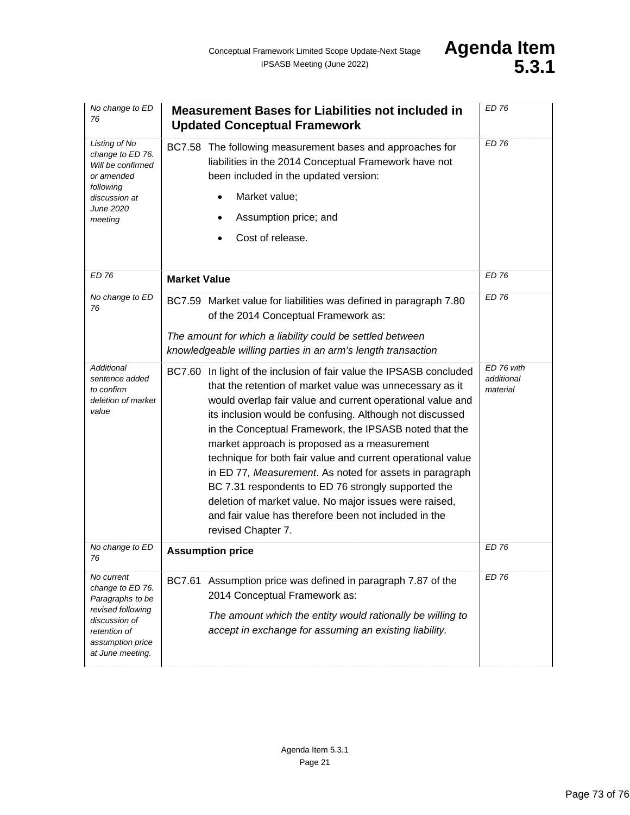| No change to ED<br>76                                                                                                                            | <b>Measurement Bases for Liabilities not included in</b><br><b>Updated Conceptual Framework</b>                                                                                                                                                                                                                                                                                                                                                                                                                                                                                                                                                                                               | <b>ED 76</b>                         |
|--------------------------------------------------------------------------------------------------------------------------------------------------|-----------------------------------------------------------------------------------------------------------------------------------------------------------------------------------------------------------------------------------------------------------------------------------------------------------------------------------------------------------------------------------------------------------------------------------------------------------------------------------------------------------------------------------------------------------------------------------------------------------------------------------------------------------------------------------------------|--------------------------------------|
| Listing of No<br>change to ED 76.<br>Will be confirmed<br>or amended<br>following<br>discussion at<br>June 2020<br>meeting                       | BC7.58 The following measurement bases and approaches for<br>liabilities in the 2014 Conceptual Framework have not<br>been included in the updated version:<br>Market value;<br>Assumption price; and<br>Cost of release.                                                                                                                                                                                                                                                                                                                                                                                                                                                                     | ED 76                                |
| <b>ED 76</b>                                                                                                                                     | <b>Market Value</b>                                                                                                                                                                                                                                                                                                                                                                                                                                                                                                                                                                                                                                                                           | <b>ED 76</b>                         |
| No change to ED<br>76                                                                                                                            | BC7.59 Market value for liabilities was defined in paragraph 7.80<br>of the 2014 Conceptual Framework as:<br>The amount for which a liability could be settled between<br>knowledgeable willing parties in an arm's length transaction                                                                                                                                                                                                                                                                                                                                                                                                                                                        | ED 76                                |
| Additional<br>sentence added<br>to confirm<br>deletion of market<br>value                                                                        | BC7.60 In light of the inclusion of fair value the IPSASB concluded<br>that the retention of market value was unnecessary as it<br>would overlap fair value and current operational value and<br>its inclusion would be confusing. Although not discussed<br>in the Conceptual Framework, the IPSASB noted that the<br>market approach is proposed as a measurement<br>technique for both fair value and current operational value<br>in ED 77, Measurement. As noted for assets in paragraph<br>BC 7.31 respondents to ED 76 strongly supported the<br>deletion of market value. No major issues were raised,<br>and fair value has therefore been not included in the<br>revised Chapter 7. | ED 76 with<br>additional<br>material |
| No change to ED<br>76                                                                                                                            | <b>Assumption price</b>                                                                                                                                                                                                                                                                                                                                                                                                                                                                                                                                                                                                                                                                       | <b>ED 76</b>                         |
| No current<br>change to ED 76.<br>Paragraphs to be<br>revised following<br>discussion of<br>retention of<br>assumption price<br>at June meeting. | BC7.61 Assumption price was defined in paragraph 7.87 of the<br>2014 Conceptual Framework as:<br>The amount which the entity would rationally be willing to<br>accept in exchange for assuming an existing liability.                                                                                                                                                                                                                                                                                                                                                                                                                                                                         | FD 76                                |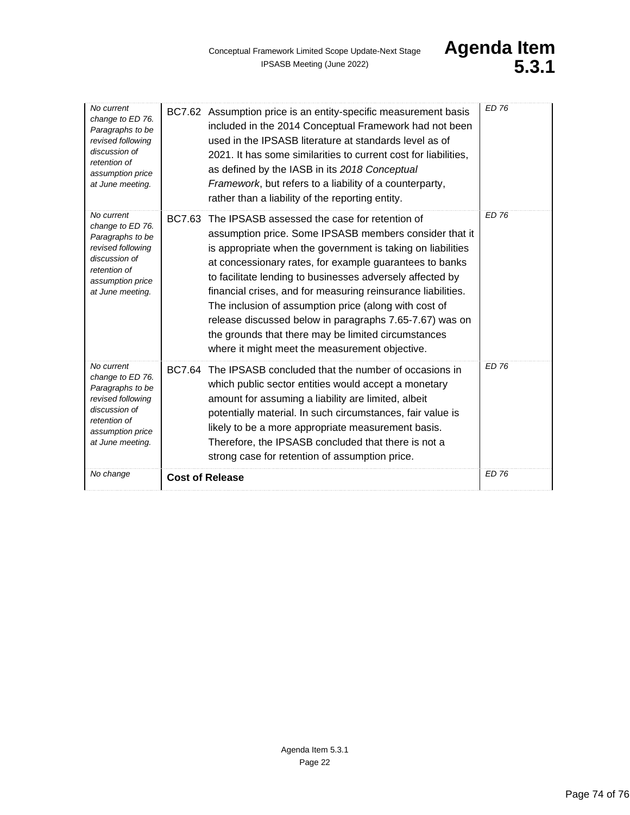| No current<br>change to ED 76.<br>Paragraphs to be<br>revised following<br>discussion of<br>retention of<br>assumption price<br>at June meeting. | BC7.62 Assumption price is an entity-specific measurement basis<br>included in the 2014 Conceptual Framework had not been<br>used in the IPSASB literature at standards level as of<br>2021. It has some similarities to current cost for liabilities,<br>as defined by the IASB in its 2018 Conceptual<br>Framework, but refers to a liability of a counterparty,<br>rather than a liability of the reporting entity.                                                                                                                                                                             | <b>ED 76</b> |
|--------------------------------------------------------------------------------------------------------------------------------------------------|----------------------------------------------------------------------------------------------------------------------------------------------------------------------------------------------------------------------------------------------------------------------------------------------------------------------------------------------------------------------------------------------------------------------------------------------------------------------------------------------------------------------------------------------------------------------------------------------------|--------------|
| No current<br>change to ED 76.<br>Paragraphs to be<br>revised following<br>discussion of<br>retention of<br>assumption price<br>at June meeting. | BC7.63 The IPSASB assessed the case for retention of<br>assumption price. Some IPSASB members consider that it<br>is appropriate when the government is taking on liabilities<br>at concessionary rates, for example guarantees to banks<br>to facilitate lending to businesses adversely affected by<br>financial crises, and for measuring reinsurance liabilities.<br>The inclusion of assumption price (along with cost of<br>release discussed below in paragraphs 7.65-7.67) was on<br>the grounds that there may be limited circumstances<br>where it might meet the measurement objective. | ED 76        |
| No current<br>change to ED 76.<br>Paragraphs to be<br>revised following<br>discussion of<br>retention of<br>assumption price<br>at June meeting. | BC7.64 The IPSASB concluded that the number of occasions in<br>which public sector entities would accept a monetary<br>amount for assuming a liability are limited, albeit<br>potentially material. In such circumstances, fair value is<br>likely to be a more appropriate measurement basis.<br>Therefore, the IPSASB concluded that there is not a<br>strong case for retention of assumption price.                                                                                                                                                                                            | <b>ED 76</b> |
| No change                                                                                                                                        | <b>Cost of Release</b>                                                                                                                                                                                                                                                                                                                                                                                                                                                                                                                                                                             | <b>ED 76</b> |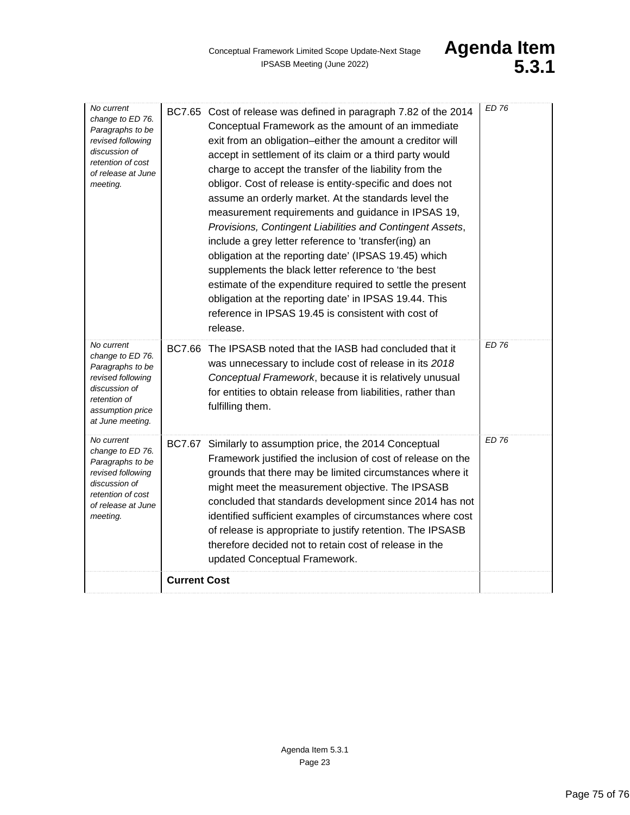| release.<br><b>ED 76</b><br>No current<br>BC7.66 The IPSASB noted that the IASB had concluded that it<br>change to ED 76.<br>was unnecessary to include cost of release in its 2018<br>Paragraphs to be<br>Conceptual Framework, because it is relatively unusual<br>revised following<br>discussion of<br>for entities to obtain release from liabilities, rather than<br>retention of<br>fulfilling them.<br>assumption price<br>at June meeting.<br><b>ED 76</b><br>No current<br>BC7.67 Similarly to assumption price, the 2014 Conceptual<br>change to ED 76.<br>Framework justified the inclusion of cost of release on the<br>Paragraphs to be<br>grounds that there may be limited circumstances where it<br>revised following<br>discussion of<br>might meet the measurement objective. The IPSASB<br>retention of cost<br>concluded that standards development since 2014 has not<br>of release at June<br>identified sufficient examples of circumstances where cost<br>meeting.<br>of release is appropriate to justify retention. The IPSASB<br>therefore decided not to retain cost of release in the<br>updated Conceptual Framework.<br><b>Current Cost</b> | No current<br>change to ED 76.<br>Paragraphs to be<br>revised following<br>discussion of<br>retention of cost<br>of release at June<br>meeting. | BC7.65 Cost of release was defined in paragraph 7.82 of the 2014<br>Conceptual Framework as the amount of an immediate<br>exit from an obligation-either the amount a creditor will<br>accept in settlement of its claim or a third party would<br>charge to accept the transfer of the liability from the<br>obligor. Cost of release is entity-specific and does not<br>assume an orderly market. At the standards level the<br>measurement requirements and guidance in IPSAS 19,<br>Provisions, Contingent Liabilities and Contingent Assets,<br>include a grey letter reference to 'transfer(ing) an<br>obligation at the reporting date' (IPSAS 19.45) which<br>supplements the black letter reference to 'the best<br>estimate of the expenditure required to settle the present<br>obligation at the reporting date' in IPSAS 19.44. This<br>reference in IPSAS 19.45 is consistent with cost of | <b>ED 76</b> |
|-----------------------------------------------------------------------------------------------------------------------------------------------------------------------------------------------------------------------------------------------------------------------------------------------------------------------------------------------------------------------------------------------------------------------------------------------------------------------------------------------------------------------------------------------------------------------------------------------------------------------------------------------------------------------------------------------------------------------------------------------------------------------------------------------------------------------------------------------------------------------------------------------------------------------------------------------------------------------------------------------------------------------------------------------------------------------------------------------------------------------------------------------------------------------------|-------------------------------------------------------------------------------------------------------------------------------------------------|----------------------------------------------------------------------------------------------------------------------------------------------------------------------------------------------------------------------------------------------------------------------------------------------------------------------------------------------------------------------------------------------------------------------------------------------------------------------------------------------------------------------------------------------------------------------------------------------------------------------------------------------------------------------------------------------------------------------------------------------------------------------------------------------------------------------------------------------------------------------------------------------------------|--------------|
|                                                                                                                                                                                                                                                                                                                                                                                                                                                                                                                                                                                                                                                                                                                                                                                                                                                                                                                                                                                                                                                                                                                                                                             |                                                                                                                                                 |                                                                                                                                                                                                                                                                                                                                                                                                                                                                                                                                                                                                                                                                                                                                                                                                                                                                                                          |              |
|                                                                                                                                                                                                                                                                                                                                                                                                                                                                                                                                                                                                                                                                                                                                                                                                                                                                                                                                                                                                                                                                                                                                                                             |                                                                                                                                                 |                                                                                                                                                                                                                                                                                                                                                                                                                                                                                                                                                                                                                                                                                                                                                                                                                                                                                                          |              |
|                                                                                                                                                                                                                                                                                                                                                                                                                                                                                                                                                                                                                                                                                                                                                                                                                                                                                                                                                                                                                                                                                                                                                                             |                                                                                                                                                 |                                                                                                                                                                                                                                                                                                                                                                                                                                                                                                                                                                                                                                                                                                                                                                                                                                                                                                          |              |
|                                                                                                                                                                                                                                                                                                                                                                                                                                                                                                                                                                                                                                                                                                                                                                                                                                                                                                                                                                                                                                                                                                                                                                             |                                                                                                                                                 |                                                                                                                                                                                                                                                                                                                                                                                                                                                                                                                                                                                                                                                                                                                                                                                                                                                                                                          |              |